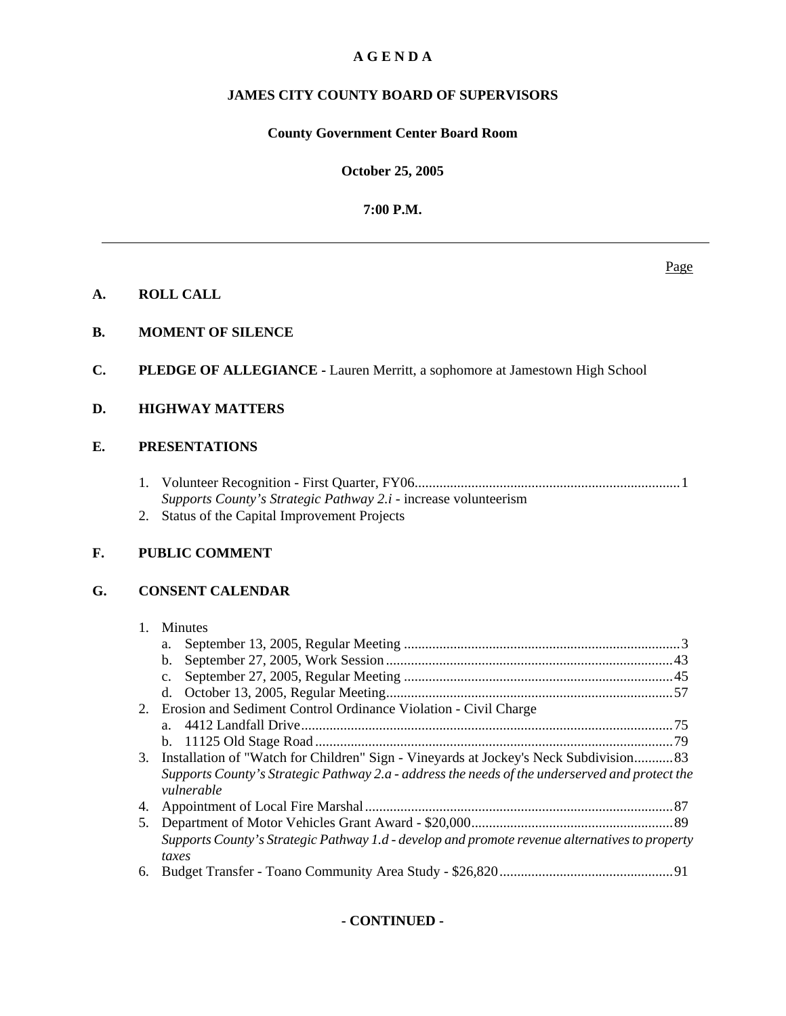# **A G E N D A**

# **JAMES CITY COUNTY BOARD OF SUPERVISORS**

# **County Government Center Board Room**

**October 25, 2005**

**7:00 P.M.**

## **A. ROLL CALL**

# **B. MOMENT OF SILENCE**

**C. PLEDGE OF ALLEGIANCE -** Lauren Merritt, a sophomore at Jamestown High School

# **D. HIGHWAY MATTERS**

# **E. PRESENTATIONS**

- 1. Volunteer Recognition First Quarter, FY06 ........................................................................... 1  *Supports County's Strategic Pathway 2.i* - increase volunteerism
- 2. Status of the Capital Improvement Projects

# **F. PUBLIC COMMENT**

# **G. CONSENT CALENDAR**

# 1. Minutes

| 2. | Erosion and Sediment Control Ordinance Violation - Civil Charge                                              |  |
|----|--------------------------------------------------------------------------------------------------------------|--|
|    |                                                                                                              |  |
|    |                                                                                                              |  |
|    | 3. Installation of "Watch for Children" Sign - Vineyards at Jockey's Neck Subdivision 83                     |  |
|    | Supports County's Strategic Pathway 2.a - address the needs of the underserved and protect the<br>vulnerable |  |
| 4. |                                                                                                              |  |
| 5. |                                                                                                              |  |
|    | Supports County's Strategic Pathway 1.d - develop and promote revenue alternatives to property<br>taxes      |  |
| 6. |                                                                                                              |  |

# **- CONTINUED -**

Page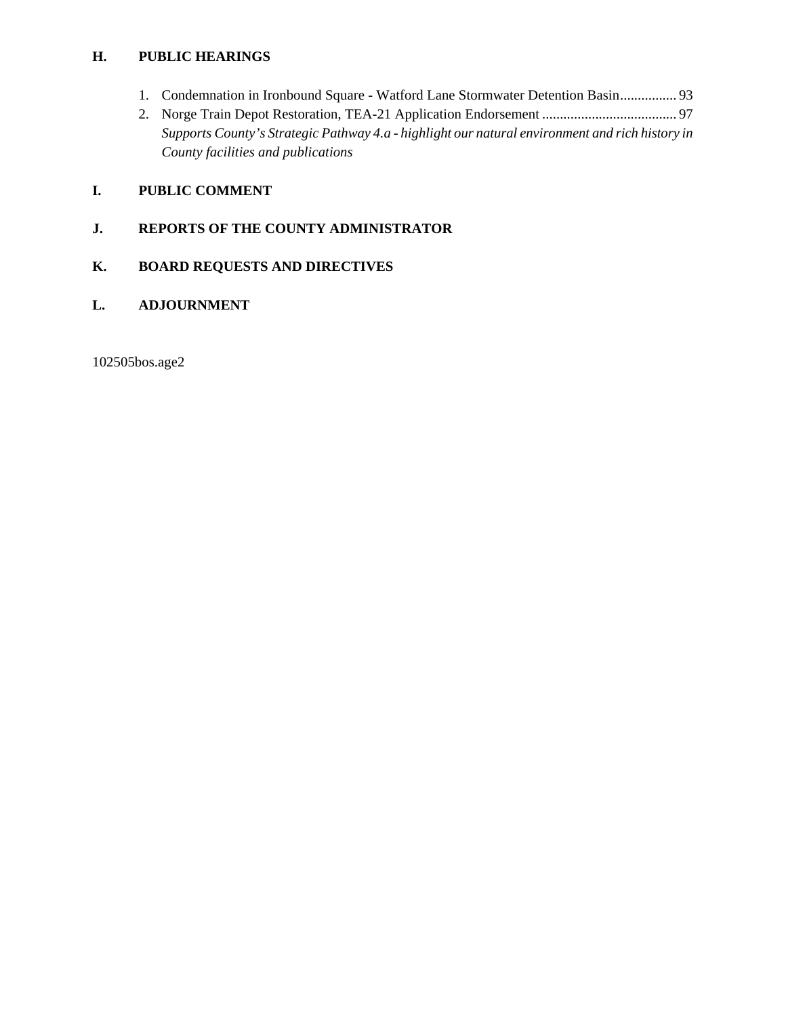# **H. PUBLIC HEARINGS**

- 1. Condemnation in Ironbound Square Watford Lane Stormwater Detention Basin ................ 93
- 2. Norge Train Depot Restoration, TEA-21 Application Endorsement ...................................... 97  *Supports County's Strategic Pathway 4.a - highlight our natural environment and rich history in County facilities and publications*

# **I. PUBLIC COMMENT**

# **J. REPORTS OF THE COUNTY ADMINISTRATOR**

# **K. BOARD REQUESTS AND DIRECTIVES**

# **L. ADJOURNMENT**

102505bos.age2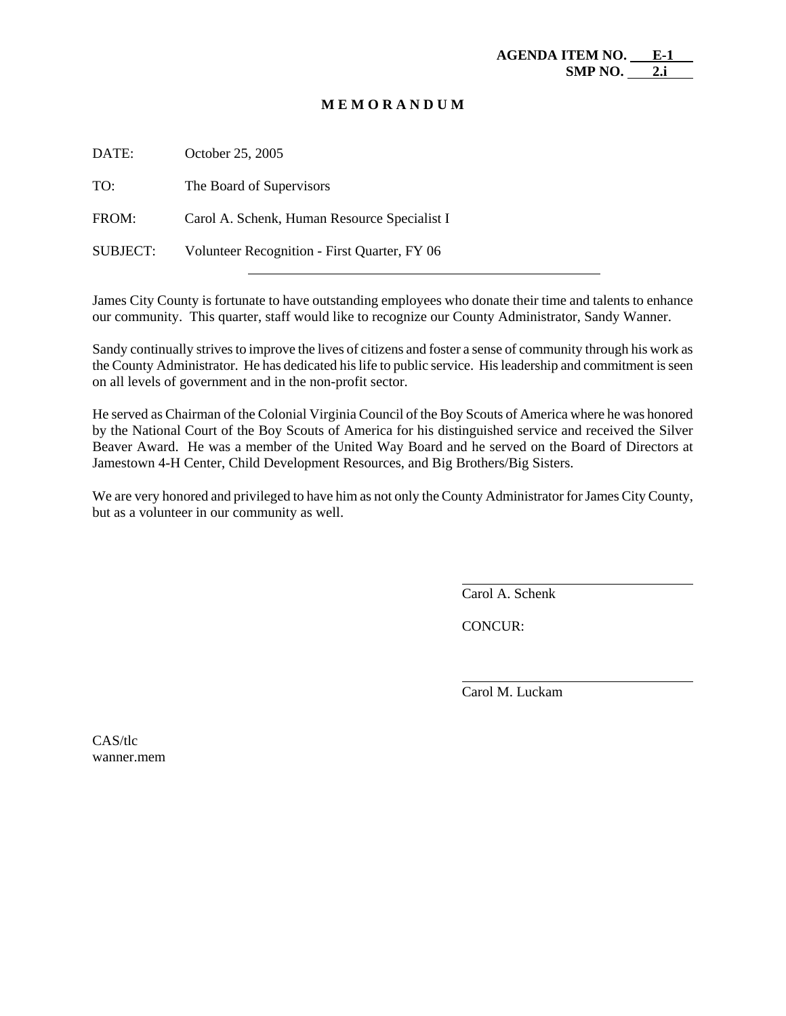## **M E M O R A N D U M**

| DATE:           | October 25, 2005                             |
|-----------------|----------------------------------------------|
| TO:             | The Board of Supervisors                     |
| FROM:           | Carol A. Schenk, Human Resource Specialist I |
| <b>SUBJECT:</b> | Volunteer Recognition - First Quarter, FY 06 |

James City County is fortunate to have outstanding employees who donate their time and talents to enhance our community. This quarter, staff would like to recognize our County Administrator, Sandy Wanner.

Sandy continually strives to improve the lives of citizens and foster a sense of community through his work as the County Administrator. He has dedicated his life to public service. His leadership and commitment is seen on all levels of government and in the non-profit sector.

He served as Chairman of the Colonial Virginia Council of the Boy Scouts of America where he was honored by the National Court of the Boy Scouts of America for his distinguished service and received the Silver Beaver Award. He was a member of the United Way Board and he served on the Board of Directors at Jamestown 4-H Center, Child Development Resources, and Big Brothers/Big Sisters.

We are very honored and privileged to have him as not only the County Administrator for James City County, but as a volunteer in our community as well.

Carol A. Schenk

CONCUR:

 $\overline{a}$ 

l

Carol M. Luckam

CAS/tlc wanner.mem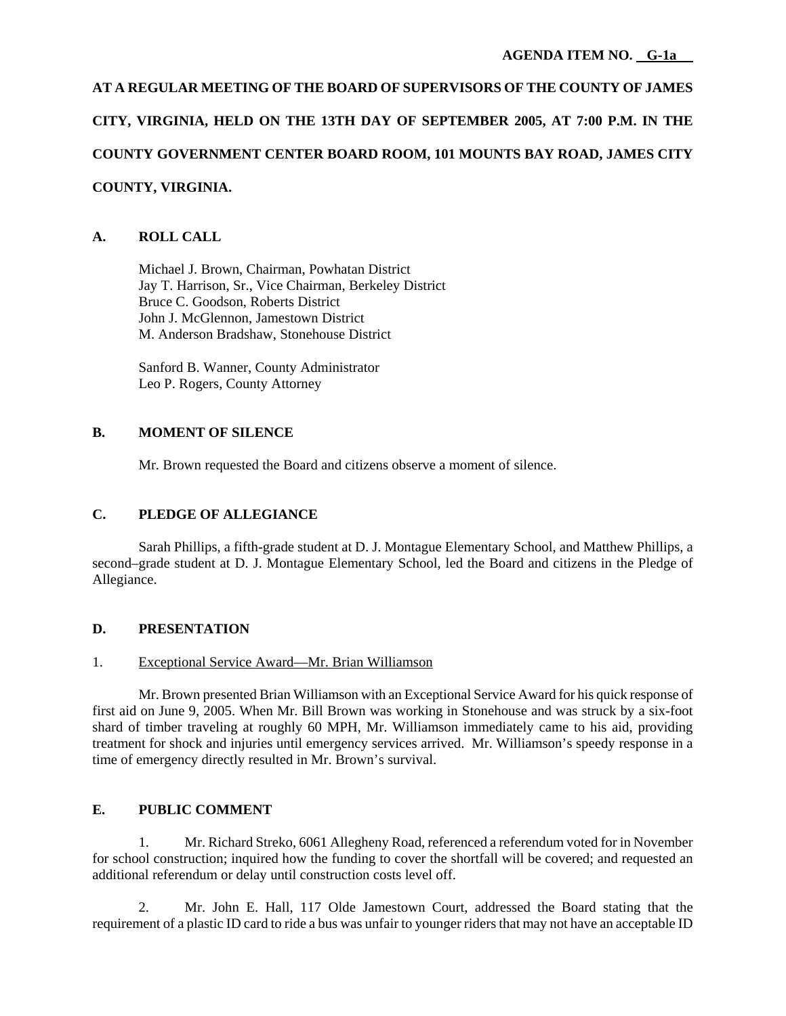# **AT A REGULAR MEETING OF THE BOARD OF SUPERVISORS OF THE COUNTY OF JAMES CITY, VIRGINIA, HELD ON THE 13TH DAY OF SEPTEMBER 2005, AT 7:00 P.M. IN THE COUNTY GOVERNMENT CENTER BOARD ROOM, 101 MOUNTS BAY ROAD, JAMES CITY COUNTY, VIRGINIA.**

# **A. ROLL CALL**

 Michael J. Brown, Chairman, Powhatan District Jay T. Harrison, Sr., Vice Chairman, Berkeley District Bruce C. Goodson, Roberts District John J. McGlennon, Jamestown District M. Anderson Bradshaw, Stonehouse District

 Sanford B. Wanner, County Administrator Leo P. Rogers, County Attorney

# **B. MOMENT OF SILENCE**

Mr. Brown requested the Board and citizens observe a moment of silence.

# **C. PLEDGE OF ALLEGIANCE**

Sarah Phillips, a fifth-grade student at D. J. Montague Elementary School, and Matthew Phillips, a second–grade student at D. J. Montague Elementary School, led the Board and citizens in the Pledge of Allegiance.

# **D. PRESENTATION**

# 1. Exceptional Service Award—Mr. Brian Williamson

 Mr. Brown presented Brian Williamson with an Exceptional Service Award for his quick response of first aid on June 9, 2005. When Mr. Bill Brown was working in Stonehouse and was struck by a six-foot shard of timber traveling at roughly 60 MPH, Mr. Williamson immediately came to his aid, providing treatment for shock and injuries until emergency services arrived. Mr. Williamson's speedy response in a time of emergency directly resulted in Mr. Brown's survival.

# **E. PUBLIC COMMENT**

1. Mr. Richard Streko, 6061 Allegheny Road, referenced a referendum voted for in November for school construction; inquired how the funding to cover the shortfall will be covered; and requested an additional referendum or delay until construction costs level off.

2. Mr. John E. Hall, 117 Olde Jamestown Court, addressed the Board stating that the requirement of a plastic ID card to ride a bus was unfair to younger riders that may not have an acceptable ID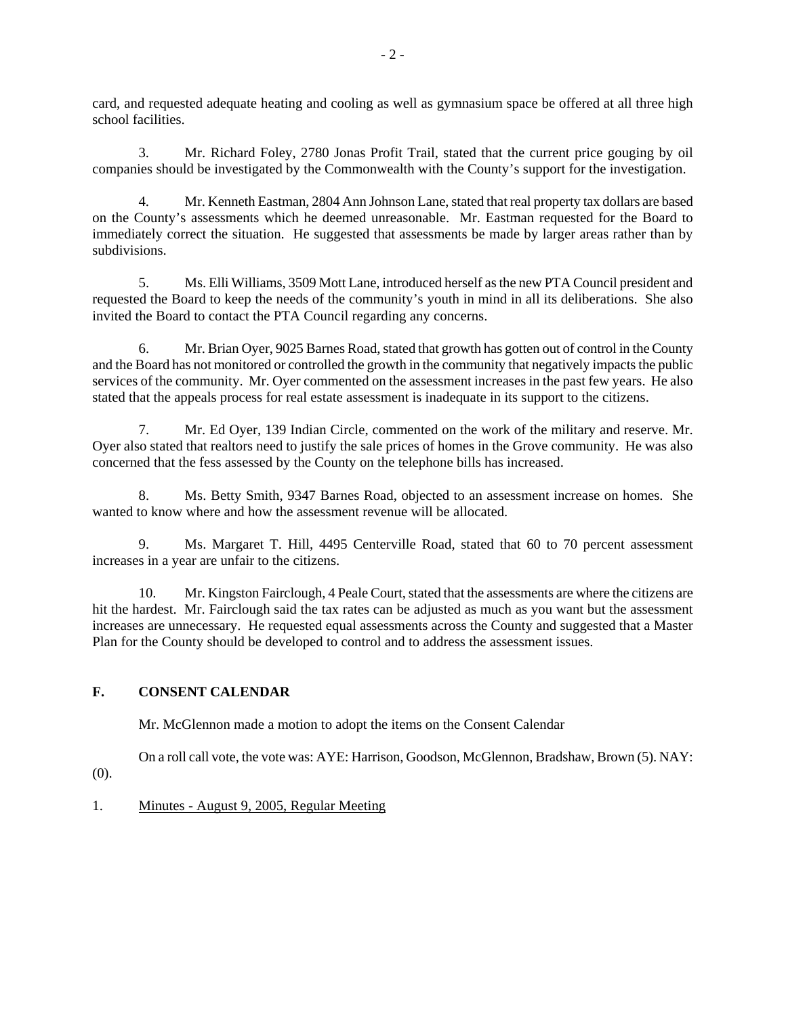card, and requested adequate heating and cooling as well as gymnasium space be offered at all three high school facilities.

3. Mr. Richard Foley, 2780 Jonas Profit Trail, stated that the current price gouging by oil companies should be investigated by the Commonwealth with the County's support for the investigation.

4. Mr. Kenneth Eastman, 2804 Ann Johnson Lane, stated that real property tax dollars are based on the County's assessments which he deemed unreasonable. Mr. Eastman requested for the Board to immediately correct the situation. He suggested that assessments be made by larger areas rather than by subdivisions.

5. Ms. Elli Williams, 3509 Mott Lane, introduced herself as the new PTA Council president and requested the Board to keep the needs of the community's youth in mind in all its deliberations. She also invited the Board to contact the PTA Council regarding any concerns.

6. Mr. Brian Oyer, 9025 Barnes Road, stated that growth has gotten out of control in the County and the Board has not monitored or controlled the growth in the community that negatively impacts the public services of the community. Mr. Oyer commented on the assessment increases in the past few years. He also stated that the appeals process for real estate assessment is inadequate in its support to the citizens.

7. Mr. Ed Oyer, 139 Indian Circle, commented on the work of the military and reserve. Mr. Oyer also stated that realtors need to justify the sale prices of homes in the Grove community. He was also concerned that the fess assessed by the County on the telephone bills has increased.

8. Ms. Betty Smith, 9347 Barnes Road, objected to an assessment increase on homes. She wanted to know where and how the assessment revenue will be allocated.

9. Ms. Margaret T. Hill, 4495 Centerville Road, stated that 60 to 70 percent assessment increases in a year are unfair to the citizens.

10. Mr. Kingston Fairclough, 4 Peale Court, stated that the assessments are where the citizens are hit the hardest. Mr. Fairclough said the tax rates can be adjusted as much as you want but the assessment increases are unnecessary. He requested equal assessments across the County and suggested that a Master Plan for the County should be developed to control and to address the assessment issues.

# **F. CONSENT CALENDAR**

Mr. McGlennon made a motion to adopt the items on the Consent Calendar

On a roll call vote, the vote was: AYE: Harrison, Goodson, McGlennon, Bradshaw, Brown (5). NAY:

(0).

## 1. Minutes - August 9, 2005, Regular Meeting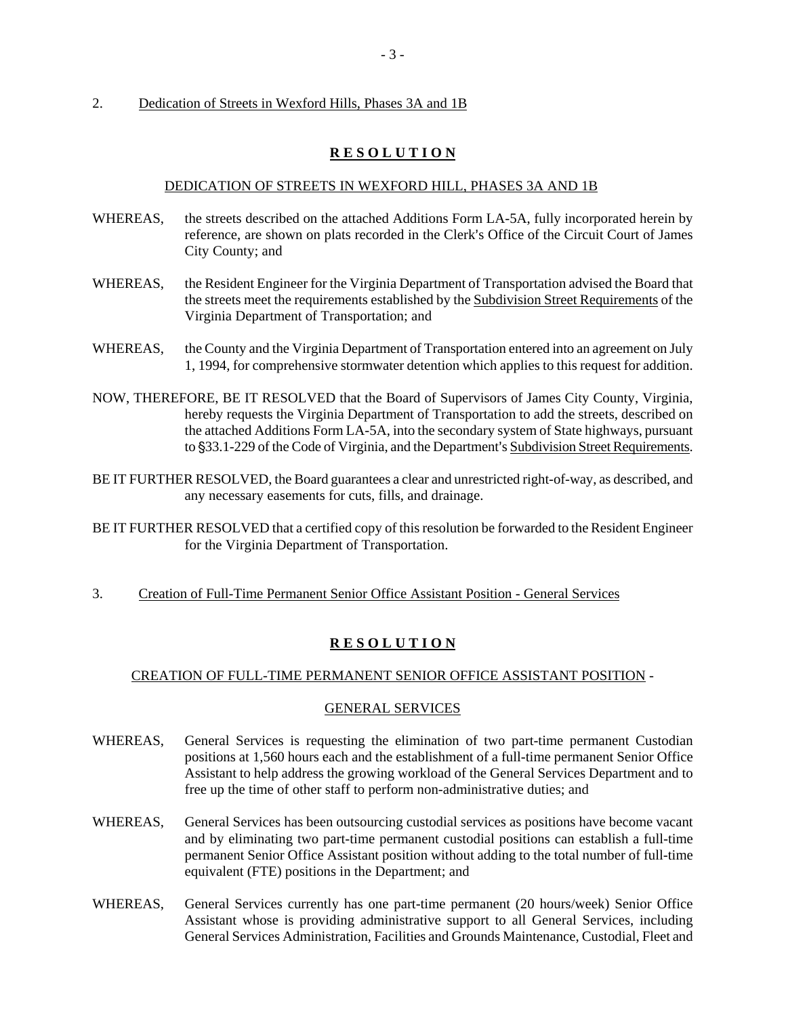## 2. Dedication of Streets in Wexford Hills, Phases 3A and 1B

# **R E S O L U T I O N**

## DEDICATION OF STREETS IN WEXFORD HILL, PHASES 3A AND 1B

- WHEREAS, the streets described on the attached Additions Form LA-5A, fully incorporated herein by reference, are shown on plats recorded in the Clerk's Office of the Circuit Court of James City County; and
- WHEREAS, the Resident Engineer for the Virginia Department of Transportation advised the Board that the streets meet the requirements established by the Subdivision Street Requirements of the Virginia Department of Transportation; and
- WHEREAS, the County and the Virginia Department of Transportation entered into an agreement on July 1, 1994, for comprehensive stormwater detention which applies to this request for addition.
- NOW, THEREFORE, BE IT RESOLVED that the Board of Supervisors of James City County, Virginia, hereby requests the Virginia Department of Transportation to add the streets, described on the attached Additions Form LA-5A, into the secondary system of State highways, pursuant to \$33.1-229 of the Code of Virginia, and the Department's Subdivision Street Requirements.
- BE IT FURTHER RESOLVED, the Board guarantees a clear and unrestricted right-of-way, as described, and any necessary easements for cuts, fills, and drainage.
- BE IT FURTHER RESOLVED that a certified copy of this resolution be forwarded to the Resident Engineer for the Virginia Department of Transportation.
- 3. Creation of Full-Time Permanent Senior Office Assistant Position General Services

## **R E S O L U T I O N**

## CREATION OF FULL-TIME PERMANENT SENIOR OFFICE ASSISTANT POSITION -

#### GENERAL SERVICES

- WHEREAS, General Services is requesting the elimination of two part-time permanent Custodian positions at 1,560 hours each and the establishment of a full-time permanent Senior Office Assistant to help address the growing workload of the General Services Department and to free up the time of other staff to perform non-administrative duties; and
- WHEREAS, General Services has been outsourcing custodial services as positions have become vacant and by eliminating two part-time permanent custodial positions can establish a full-time permanent Senior Office Assistant position without adding to the total number of full-time equivalent (FTE) positions in the Department; and
- WHEREAS, General Services currently has one part-time permanent (20 hours/week) Senior Office Assistant whose is providing administrative support to all General Services, including General Services Administration, Facilities and Grounds Maintenance, Custodial, Fleet and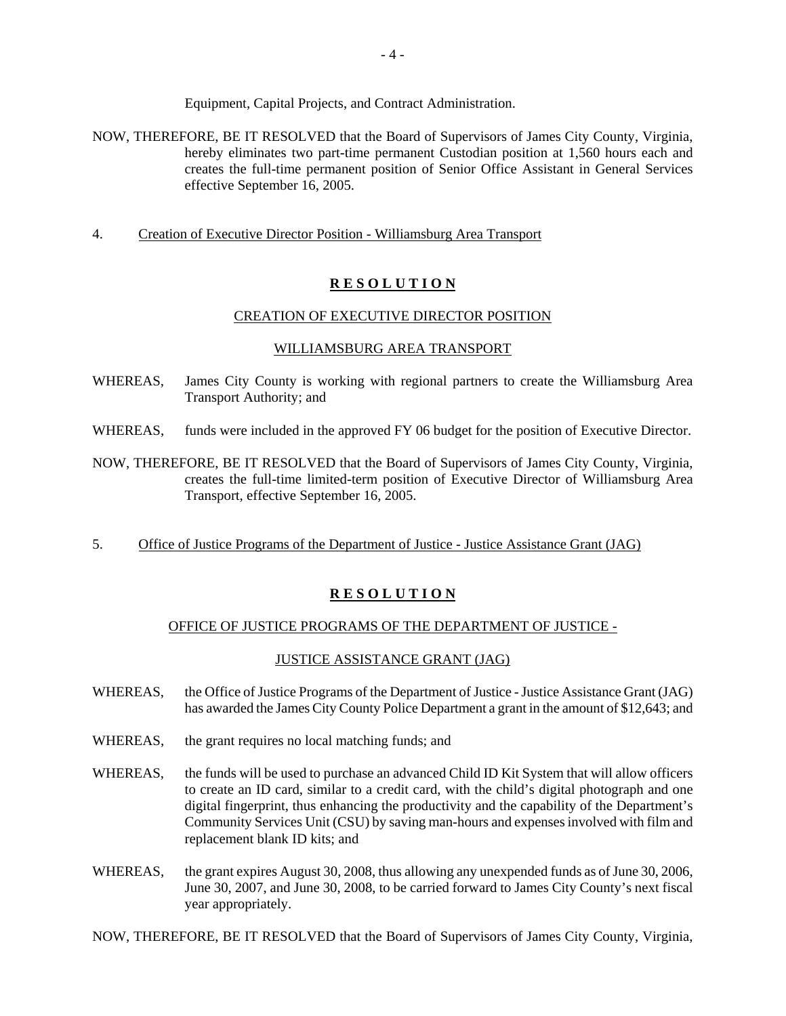Equipment, Capital Projects, and Contract Administration.

- NOW, THEREFORE, BE IT RESOLVED that the Board of Supervisors of James City County, Virginia, hereby eliminates two part-time permanent Custodian position at 1,560 hours each and creates the full-time permanent position of Senior Office Assistant in General Services effective September 16, 2005.
- 4. Creation of Executive Director Position Williamsburg Area Transport

# **R E S O L U T I O N**

## CREATION OF EXECUTIVE DIRECTOR POSITION

## WILLIAMSBURG AREA TRANSPORT

- WHEREAS, James City County is working with regional partners to create the Williamsburg Area Transport Authority; and
- WHEREAS, funds were included in the approved FY 06 budget for the position of Executive Director.
- NOW, THEREFORE, BE IT RESOLVED that the Board of Supervisors of James City County, Virginia, creates the full-time limited-term position of Executive Director of Williamsburg Area Transport, effective September 16, 2005.
- 5. Office of Justice Programs of the Department of Justice Justice Assistance Grant (JAG)

# **R E S O L U T I O N**

## OFFICE OF JUSTICE PROGRAMS OF THE DEPARTMENT OF JUSTICE -

## JUSTICE ASSISTANCE GRANT (JAG)

- WHEREAS, the Office of Justice Programs of the Department of Justice Justice Assistance Grant (JAG) has awarded the James City County Police Department a grant in the amount of \$12,643; and
- WHEREAS, the grant requires no local matching funds; and
- WHEREAS, the funds will be used to purchase an advanced Child ID Kit System that will allow officers to create an ID card, similar to a credit card, with the child's digital photograph and one digital fingerprint, thus enhancing the productivity and the capability of the Department's Community Services Unit (CSU) by saving man-hours and expenses involved with film and replacement blank ID kits; and
- WHEREAS, the grant expires August 30, 2008, thus allowing any unexpended funds as of June 30, 2006, June 30, 2007, and June 30, 2008, to be carried forward to James City County's next fiscal year appropriately.

NOW, THEREFORE, BE IT RESOLVED that the Board of Supervisors of James City County, Virginia,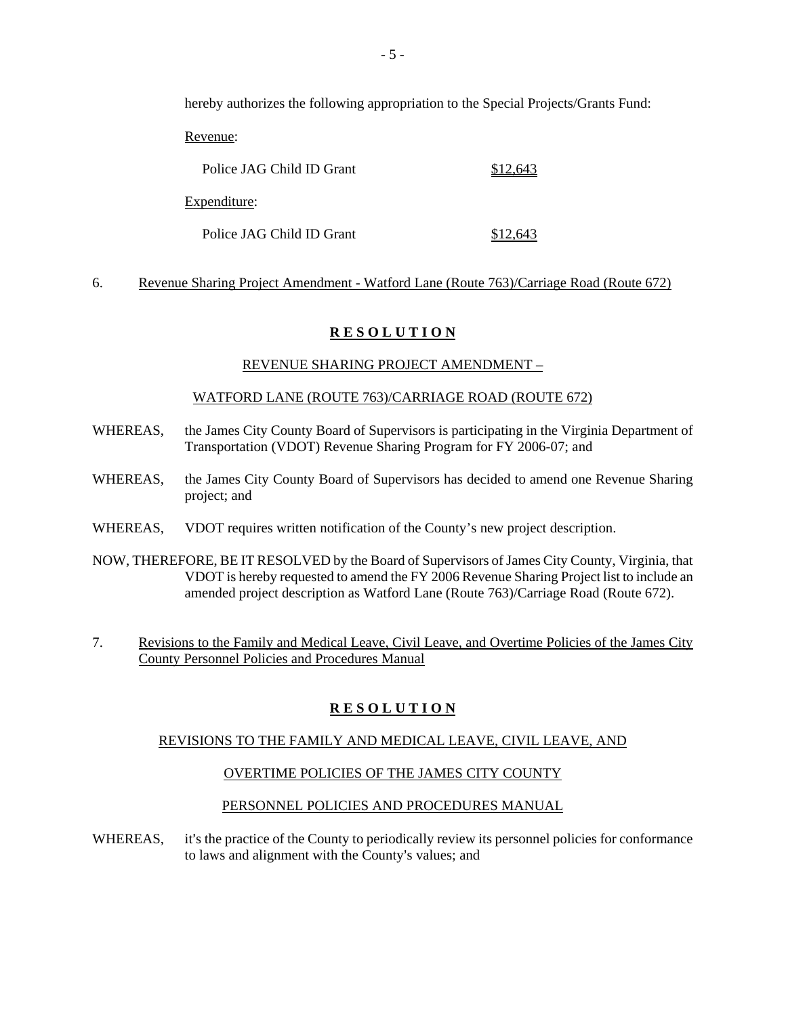hereby authorizes the following appropriation to the Special Projects/Grants Fund:

Revenue:

| Police JAG Child ID Grant | \$12.643 |
|---------------------------|----------|
| Expenditure:              |          |
| Police JAG Child ID Grant | \$12.643 |

# 6. Revenue Sharing Project Amendment - Watford Lane (Route 763)/Carriage Road (Route 672)

# **R E S O L U T I O N**

# REVENUE SHARING PROJECT AMENDMENT –

## WATFORD LANE (ROUTE 763)/CARRIAGE ROAD (ROUTE 672)

- WHEREAS, the James City County Board of Supervisors is participating in the Virginia Department of Transportation (VDOT) Revenue Sharing Program for FY 2006-07; and
- WHEREAS, the James City County Board of Supervisors has decided to amend one Revenue Sharing project; and
- WHEREAS, VDOT requires written notification of the County's new project description.
- NOW, THEREFORE, BE IT RESOLVED by the Board of Supervisors of James City County, Virginia, that VDOT is hereby requested to amend the FY 2006 Revenue Sharing Project list to include an amended project description as Watford Lane (Route 763)/Carriage Road (Route 672).
- 7. Revisions to the Family and Medical Leave, Civil Leave, and Overtime Policies of the James City County Personnel Policies and Procedures Manual

# **R E S O L U T I O N**

## REVISIONS TO THE FAMILY AND MEDICAL LEAVE, CIVIL LEAVE, AND

## OVERTIME POLICIES OF THE JAMES CITY COUNTY

## PERSONNEL POLICIES AND PROCEDURES MANUAL

WHEREAS, it's the practice of the County to periodically review its personnel policies for conformance to laws and alignment with the County's values; and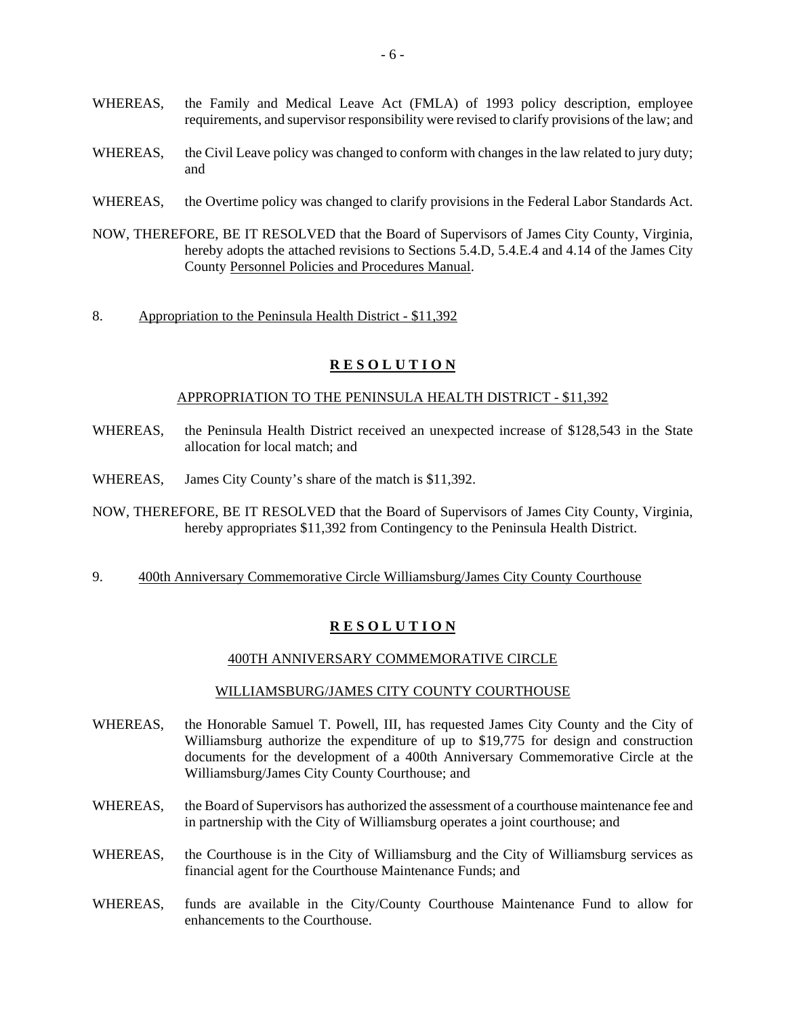- WHEREAS, the Family and Medical Leave Act (FMLA) of 1993 policy description, employee requirements, and supervisor responsibility were revised to clarify provisions of the law; and
- WHEREAS, the Civil Leave policy was changed to conform with changes in the law related to jury duty; and
- WHEREAS, the Overtime policy was changed to clarify provisions in the Federal Labor Standards Act.
- NOW, THEREFORE, BE IT RESOLVED that the Board of Supervisors of James City County, Virginia, hereby adopts the attached revisions to Sections 5.4.D, 5.4.E.4 and 4.14 of the James City County Personnel Policies and Procedures Manual.
- 8. Appropriation to the Peninsula Health District \$11,392

#### APPROPRIATION TO THE PENINSULA HEALTH DISTRICT - \$11,392

- WHEREAS, the Peninsula Health District received an unexpected increase of \$128,543 in the State allocation for local match; and
- WHEREAS, James City County's share of the match is \$11,392.
- NOW, THEREFORE, BE IT RESOLVED that the Board of Supervisors of James City County, Virginia, hereby appropriates \$11,392 from Contingency to the Peninsula Health District.
- 9. 400th Anniversary Commemorative Circle Williamsburg/James City County Courthouse

#### **R E S O L U T I O N**

#### 400TH ANNIVERSARY COMMEMORATIVE CIRCLE

#### WILLIAMSBURG/JAMES CITY COUNTY COURTHOUSE

- WHEREAS, the Honorable Samuel T. Powell, III, has requested James City County and the City of Williamsburg authorize the expenditure of up to \$19,775 for design and construction documents for the development of a 400th Anniversary Commemorative Circle at the Williamsburg/James City County Courthouse; and
- WHEREAS, the Board of Supervisors has authorized the assessment of a courthouse maintenance fee and in partnership with the City of Williamsburg operates a joint courthouse; and
- WHEREAS, the Courthouse is in the City of Williamsburg and the City of Williamsburg services as financial agent for the Courthouse Maintenance Funds; and
- WHEREAS, funds are available in the City/County Courthouse Maintenance Fund to allow for enhancements to the Courthouse.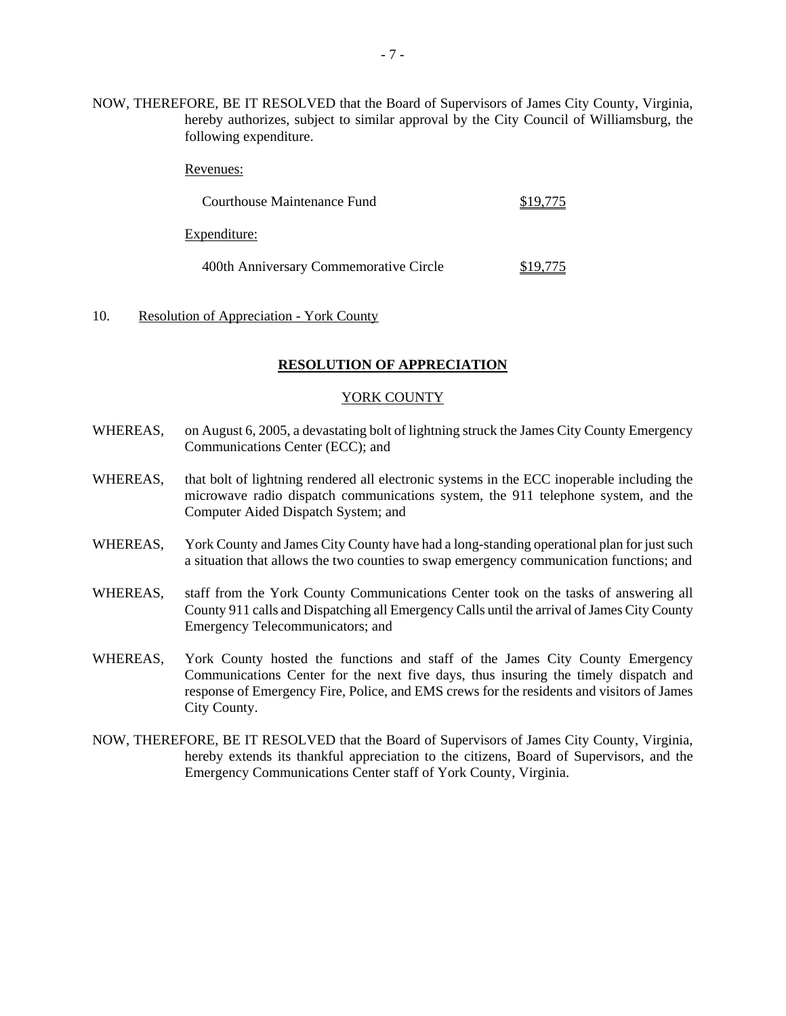NOW, THEREFORE, BE IT RESOLVED that the Board of Supervisors of James City County, Virginia, hereby authorizes, subject to similar approval by the City Council of Williamsburg, the following expenditure.

| Courthouse Maintenance Fund            | '75 |
|----------------------------------------|-----|
| Expenditure:                           |     |
| 400th Anniversary Commemorative Circle | 775 |

#### 10. Resolution of Appreciation - York County

Revenues:

#### **RESOLUTION OF APPRECIATION**

#### YORK COUNTY

- WHEREAS, on August 6, 2005, a devastating bolt of lightning struck the James City County Emergency Communications Center (ECC); and
- WHEREAS, that bolt of lightning rendered all electronic systems in the ECC inoperable including the microwave radio dispatch communications system, the 911 telephone system, and the Computer Aided Dispatch System; and
- WHEREAS, York County and James City County have had a long-standing operational plan for just such a situation that allows the two counties to swap emergency communication functions; and
- WHEREAS, staff from the York County Communications Center took on the tasks of answering all County 911 calls and Dispatching all Emergency Calls until the arrival of James City County Emergency Telecommunicators; and
- WHEREAS, York County hosted the functions and staff of the James City County Emergency Communications Center for the next five days, thus insuring the timely dispatch and response of Emergency Fire, Police, and EMS crews for the residents and visitors of James City County.
- NOW, THEREFORE, BE IT RESOLVED that the Board of Supervisors of James City County, Virginia, hereby extends its thankful appreciation to the citizens, Board of Supervisors, and the Emergency Communications Center staff of York County, Virginia.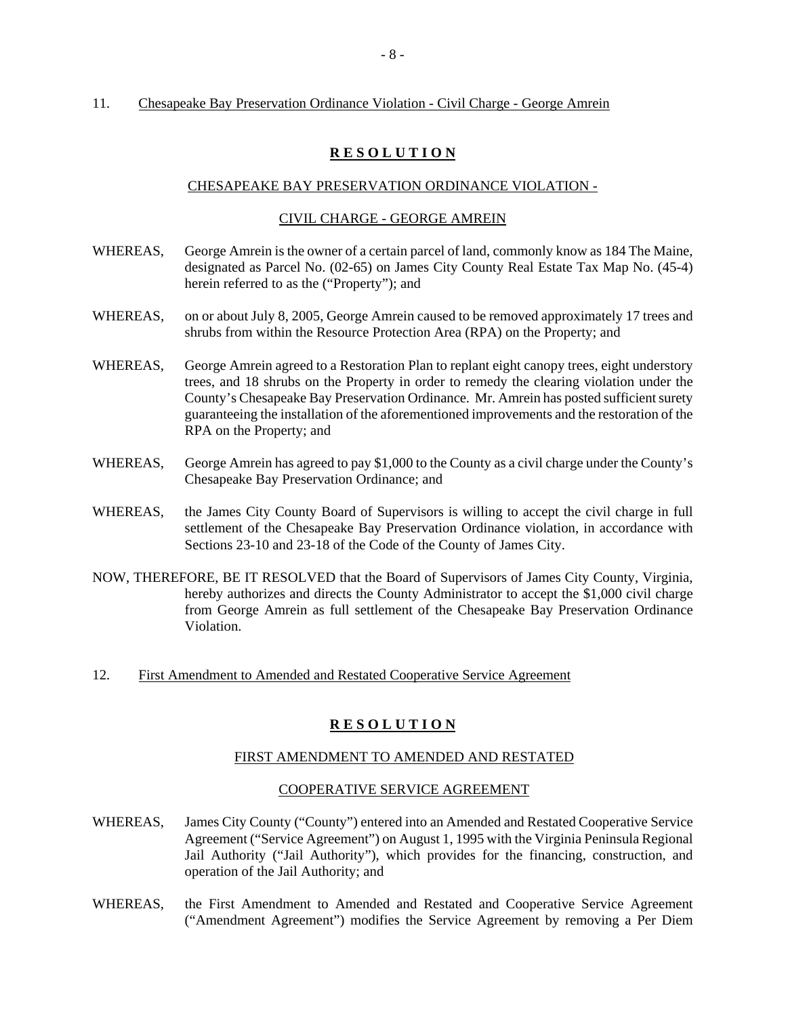## 11. Chesapeake Bay Preservation Ordinance Violation - Civil Charge - George Amrein

# **R E S O L U T I O N**

## CHESAPEAKE BAY PRESERVATION ORDINANCE VIOLATION -

## CIVIL CHARGE - GEORGE AMREIN

- WHEREAS, George Amrein is the owner of a certain parcel of land, commonly know as 184 The Maine, designated as Parcel No. (02-65) on James City County Real Estate Tax Map No. (45-4) herein referred to as the ("Property"); and
- WHEREAS, on or about July 8, 2005, George Amrein caused to be removed approximately 17 trees and shrubs from within the Resource Protection Area (RPA) on the Property; and
- WHEREAS, George Amrein agreed to a Restoration Plan to replant eight canopy trees, eight understory trees, and 18 shrubs on the Property in order to remedy the clearing violation under the County's Chesapeake Bay Preservation Ordinance. Mr. Amrein has posted sufficient surety guaranteeing the installation of the aforementioned improvements and the restoration of the RPA on the Property; and
- WHEREAS, George Amrein has agreed to pay \$1,000 to the County as a civil charge under the County's Chesapeake Bay Preservation Ordinance; and
- WHEREAS, the James City County Board of Supervisors is willing to accept the civil charge in full settlement of the Chesapeake Bay Preservation Ordinance violation, in accordance with Sections 23-10 and 23-18 of the Code of the County of James City.
- NOW, THEREFORE, BE IT RESOLVED that the Board of Supervisors of James City County, Virginia, hereby authorizes and directs the County Administrator to accept the \$1,000 civil charge from George Amrein as full settlement of the Chesapeake Bay Preservation Ordinance Violation.
- 12. First Amendment to Amended and Restated Cooperative Service Agreement

# **R E S O L U T I O N**

## FIRST AMENDMENT TO AMENDED AND RESTATED

## COOPERATIVE SERVICE AGREEMENT

- WHEREAS, James City County ("County") entered into an Amended and Restated Cooperative Service Agreement ("Service Agreement") on August 1, 1995 with the Virginia Peninsula Regional Jail Authority ("Jail Authority"), which provides for the financing, construction, and operation of the Jail Authority; and
- WHEREAS, the First Amendment to Amended and Restated and Cooperative Service Agreement ("Amendment Agreement") modifies the Service Agreement by removing a Per Diem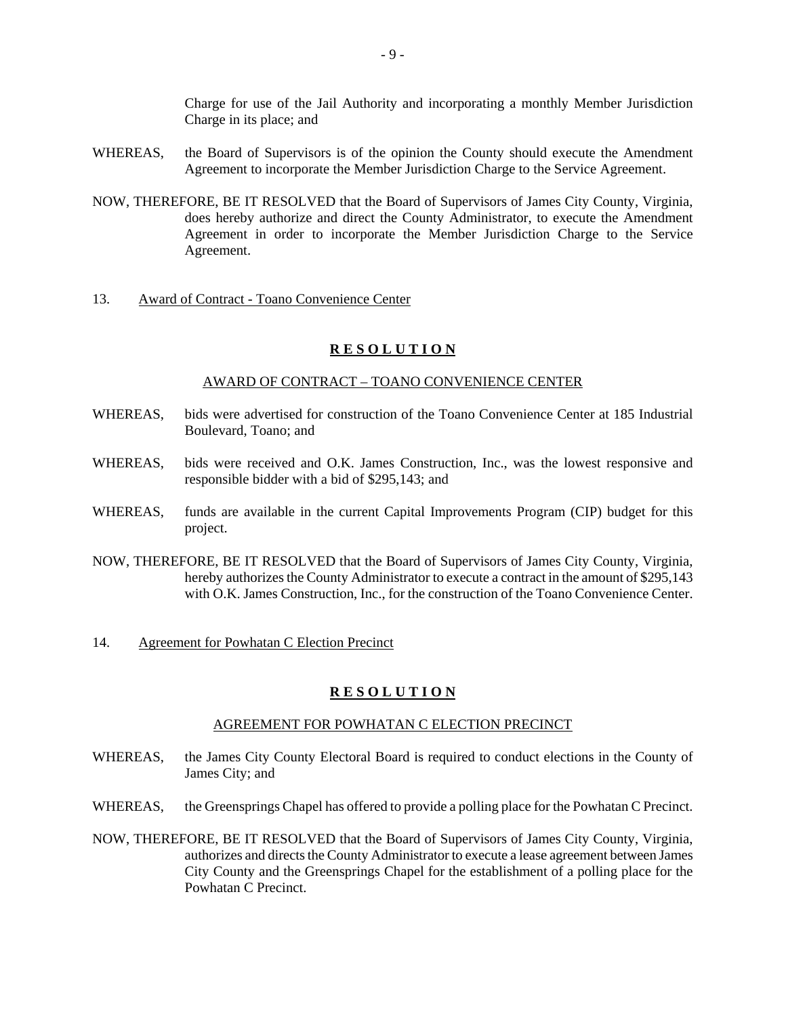Charge for use of the Jail Authority and incorporating a monthly Member Jurisdiction Charge in its place; and

- WHEREAS, the Board of Supervisors is of the opinion the County should execute the Amendment Agreement to incorporate the Member Jurisdiction Charge to the Service Agreement.
- NOW, THEREFORE, BE IT RESOLVED that the Board of Supervisors of James City County, Virginia, does hereby authorize and direct the County Administrator, to execute the Amendment Agreement in order to incorporate the Member Jurisdiction Charge to the Service Agreement.

#### 13. Award of Contract - Toano Convenience Center

#### **R E S O L U T I O N**

## AWARD OF CONTRACT – TOANO CONVENIENCE CENTER

- WHEREAS, bids were advertised for construction of the Toano Convenience Center at 185 Industrial Boulevard, Toano; and
- WHEREAS, bids were received and O.K. James Construction, Inc., was the lowest responsive and responsible bidder with a bid of \$295,143; and
- WHEREAS, funds are available in the current Capital Improvements Program (CIP) budget for this project.
- NOW, THEREFORE, BE IT RESOLVED that the Board of Supervisors of James City County, Virginia, hereby authorizes the County Administrator to execute a contract in the amount of \$295,143 with O.K. James Construction, Inc., for the construction of the Toano Convenience Center.
- 14. Agreement for Powhatan C Election Precinct

#### **R E S O L U T I O N**

#### AGREEMENT FOR POWHATAN C ELECTION PRECINCT

- WHEREAS, the James City County Electoral Board is required to conduct elections in the County of James City; and
- WHEREAS, the Greensprings Chapel has offered to provide a polling place for the Powhatan C Precinct.
- NOW, THEREFORE, BE IT RESOLVED that the Board of Supervisors of James City County, Virginia, authorizes and directs the County Administrator to execute a lease agreement between James City County and the Greensprings Chapel for the establishment of a polling place for the Powhatan C Precinct.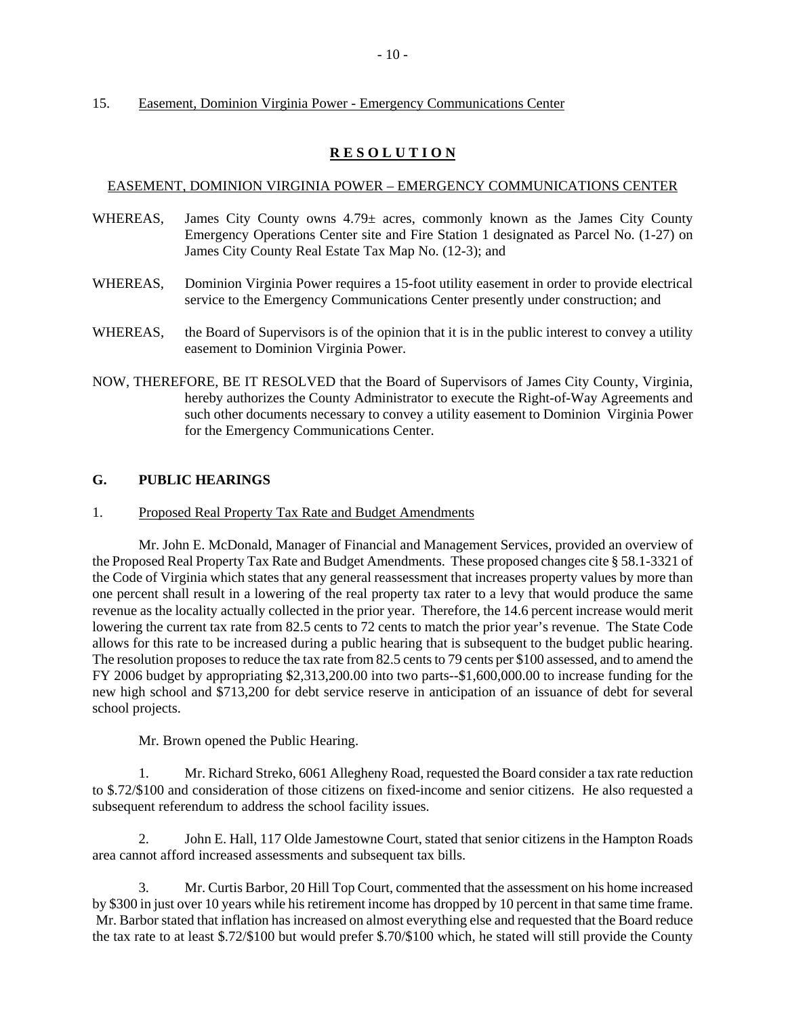## 15. Easement, Dominion Virginia Power - Emergency Communications Center

# **R E S O L U T I O N**

## EASEMENT, DOMINION VIRGINIA POWER – EMERGENCY COMMUNICATIONS CENTER

- WHEREAS, James City County owns 4.79± acres, commonly known as the James City County Emergency Operations Center site and Fire Station 1 designated as Parcel No. (1-27) on James City County Real Estate Tax Map No. (12-3); and
- WHEREAS, Dominion Virginia Power requires a 15-foot utility easement in order to provide electrical service to the Emergency Communications Center presently under construction; and
- WHEREAS, the Board of Supervisors is of the opinion that it is in the public interest to convey a utility easement to Dominion Virginia Power.
- NOW, THEREFORE, BE IT RESOLVED that the Board of Supervisors of James City County, Virginia, hereby authorizes the County Administrator to execute the Right-of-Way Agreements and such other documents necessary to convey a utility easement to Dominion Virginia Power for the Emergency Communications Center.

# **G. PUBLIC HEARINGS**

1. Proposed Real Property Tax Rate and Budget Amendments

Mr. John E. McDonald, Manager of Financial and Management Services, provided an overview of the Proposed Real Property Tax Rate and Budget Amendments. These proposed changes cite § 58.1-3321 of the Code of Virginia which states that any general reassessment that increases property values by more than one percent shall result in a lowering of the real property tax rater to a levy that would produce the same revenue as the locality actually collected in the prior year. Therefore, the 14.6 percent increase would merit lowering the current tax rate from 82.5 cents to 72 cents to match the prior year's revenue. The State Code allows for this rate to be increased during a public hearing that is subsequent to the budget public hearing. The resolution proposes to reduce the tax rate from 82.5 cents to 79 cents per \$100 assessed, and to amend the FY 2006 budget by appropriating \$2,313,200.00 into two parts--\$1,600,000.00 to increase funding for the new high school and \$713,200 for debt service reserve in anticipation of an issuance of debt for several school projects.

Mr. Brown opened the Public Hearing.

1. Mr. Richard Streko, 6061 Allegheny Road, requested the Board consider a tax rate reduction to \$.72/\$100 and consideration of those citizens on fixed-income and senior citizens. He also requested a subsequent referendum to address the school facility issues.

2. John E. Hall, 117 Olde Jamestowne Court, stated that senior citizens in the Hampton Roads area cannot afford increased assessments and subsequent tax bills.

3. Mr. Curtis Barbor, 20 Hill Top Court, commented that the assessment on his home increased by \$300 in just over 10 years while his retirement income has dropped by 10 percent in that same time frame. Mr. Barbor stated that inflation has increased on almost everything else and requested that the Board reduce the tax rate to at least \$.72/\$100 but would prefer \$.70/\$100 which, he stated will still provide the County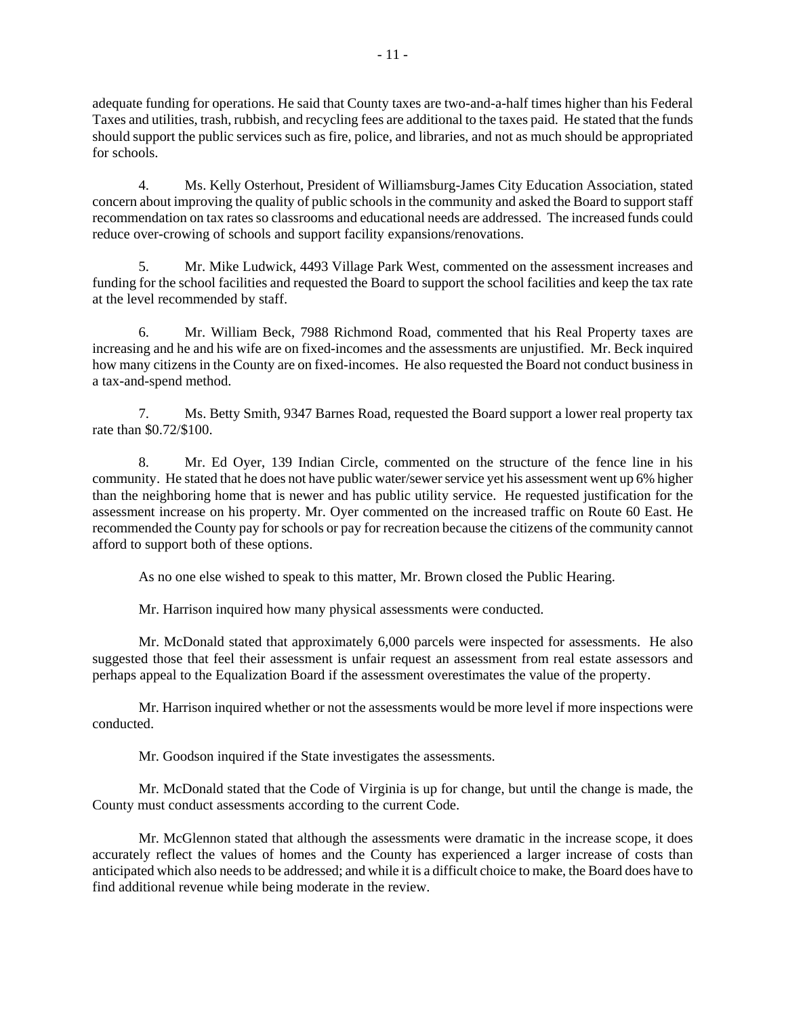adequate funding for operations. He said that County taxes are two-and-a-half times higher than his Federal Taxes and utilities, trash, rubbish, and recycling fees are additional to the taxes paid. He stated that the funds should support the public services such as fire, police, and libraries, and not as much should be appropriated for schools.

4. Ms. Kelly Osterhout, President of Williamsburg-James City Education Association, stated concern about improving the quality of public schools in the community and asked the Board to support staff recommendation on tax rates so classrooms and educational needs are addressed. The increased funds could reduce over-crowing of schools and support facility expansions/renovations.

5. Mr. Mike Ludwick, 4493 Village Park West, commented on the assessment increases and funding for the school facilities and requested the Board to support the school facilities and keep the tax rate at the level recommended by staff.

6. Mr. William Beck, 7988 Richmond Road, commented that his Real Property taxes are increasing and he and his wife are on fixed-incomes and the assessments are unjustified. Mr. Beck inquired how many citizens in the County are on fixed-incomes. He also requested the Board not conduct business in a tax-and-spend method.

7. Ms. Betty Smith, 9347 Barnes Road, requested the Board support a lower real property tax rate than \$0.72/\$100.

8. Mr. Ed Oyer, 139 Indian Circle, commented on the structure of the fence line in his community. He stated that he does not have public water/sewer service yet his assessment went up 6% higher than the neighboring home that is newer and has public utility service. He requested justification for the assessment increase on his property. Mr. Oyer commented on the increased traffic on Route 60 East. He recommended the County pay for schools or pay for recreation because the citizens of the community cannot afford to support both of these options.

As no one else wished to speak to this matter, Mr. Brown closed the Public Hearing.

Mr. Harrison inquired how many physical assessments were conducted.

Mr. McDonald stated that approximately 6,000 parcels were inspected for assessments. He also suggested those that feel their assessment is unfair request an assessment from real estate assessors and perhaps appeal to the Equalization Board if the assessment overestimates the value of the property.

Mr. Harrison inquired whether or not the assessments would be more level if more inspections were conducted.

Mr. Goodson inquired if the State investigates the assessments.

Mr. McDonald stated that the Code of Virginia is up for change, but until the change is made, the County must conduct assessments according to the current Code.

Mr. McGlennon stated that although the assessments were dramatic in the increase scope, it does accurately reflect the values of homes and the County has experienced a larger increase of costs than anticipated which also needs to be addressed; and while it is a difficult choice to make, the Board does have to find additional revenue while being moderate in the review.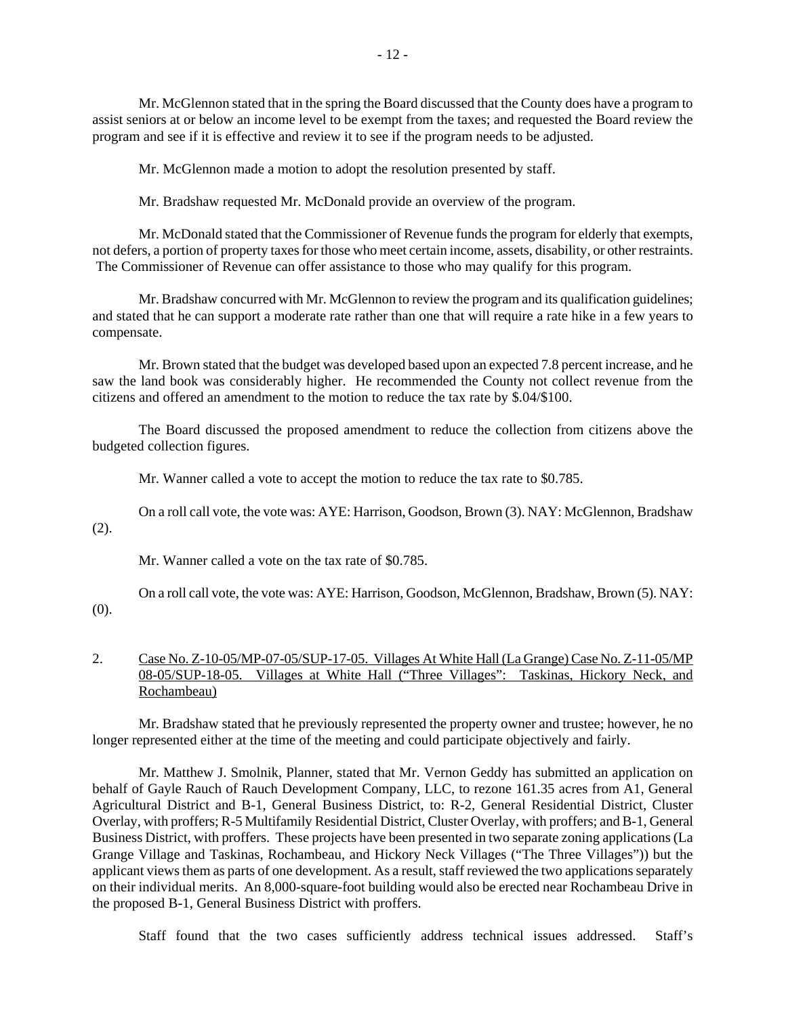Mr. McGlennon stated that in the spring the Board discussed that the County does have a program to assist seniors at or below an income level to be exempt from the taxes; and requested the Board review the program and see if it is effective and review it to see if the program needs to be adjusted.

Mr. McGlennon made a motion to adopt the resolution presented by staff.

Mr. Bradshaw requested Mr. McDonald provide an overview of the program.

Mr. McDonald stated that the Commissioner of Revenue funds the program for elderly that exempts, not defers, a portion of property taxes for those who meet certain income, assets, disability, or other restraints. The Commissioner of Revenue can offer assistance to those who may qualify for this program.

Mr. Bradshaw concurred with Mr. McGlennon to review the program and its qualification guidelines; and stated that he can support a moderate rate rather than one that will require a rate hike in a few years to compensate.

Mr. Brown stated that the budget was developed based upon an expected 7.8 percent increase, and he saw the land book was considerably higher. He recommended the County not collect revenue from the citizens and offered an amendment to the motion to reduce the tax rate by \$.04/\$100.

The Board discussed the proposed amendment to reduce the collection from citizens above the budgeted collection figures.

Mr. Wanner called a vote to accept the motion to reduce the tax rate to \$0.785.

On a roll call vote, the vote was: AYE: Harrison, Goodson, Brown (3). NAY: McGlennon, Bradshaw (2).

Mr. Wanner called a vote on the tax rate of \$0.785.

On a roll call vote, the vote was: AYE: Harrison, Goodson, McGlennon, Bradshaw, Brown (5). NAY: (0).

# 2. Case No. Z-10-05/MP-07-05/SUP-17-05. Villages At White Hall (La Grange) Case No. Z-11-05/MP 08-05/SUP-18-05. Villages at White Hall ("Three Villages": Taskinas, Hickory Neck, and Rochambeau)

Mr. Bradshaw stated that he previously represented the property owner and trustee; however, he no longer represented either at the time of the meeting and could participate objectively and fairly.

Mr. Matthew J. Smolnik, Planner, stated that Mr. Vernon Geddy has submitted an application on behalf of Gayle Rauch of Rauch Development Company, LLC, to rezone 161.35 acres from A1, General Agricultural District and B-1, General Business District, to: R-2, General Residential District, Cluster Overlay, with proffers; R-5 Multifamily Residential District, Cluster Overlay, with proffers; and B-1, General Business District, with proffers. These projects have been presented in two separate zoning applications (La Grange Village and Taskinas, Rochambeau, and Hickory Neck Villages ("The Three Villages")) but the applicant views them as parts of one development. As a result, staff reviewed the two applications separately on their individual merits. An 8,000-square-foot building would also be erected near Rochambeau Drive in the proposed B-1, General Business District with proffers.

Staff found that the two cases sufficiently address technical issues addressed. Staff's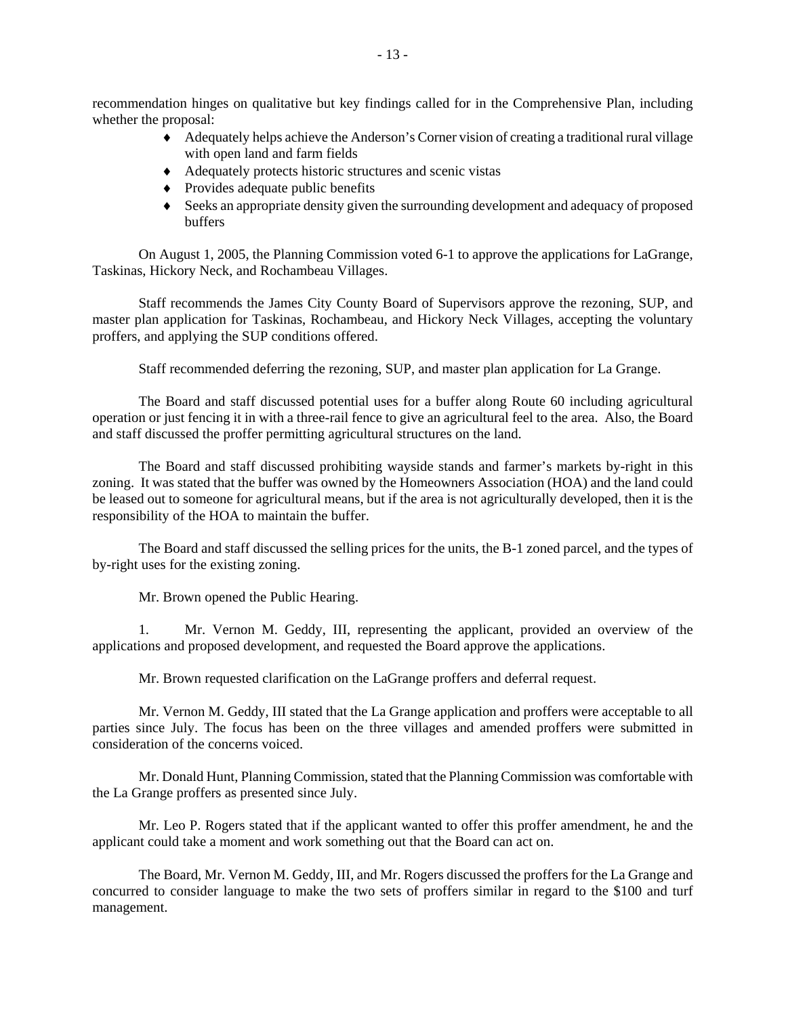recommendation hinges on qualitative but key findings called for in the Comprehensive Plan, including whether the proposal:

- ♦ Adequately helps achieve the Anderson's Corner vision of creating a traditional rural village with open land and farm fields
- ♦ Adequately protects historic structures and scenic vistas
- ♦ Provides adequate public benefits
- ♦ Seeks an appropriate density given the surrounding development and adequacy of proposed buffers

On August 1, 2005, the Planning Commission voted 6-1 to approve the applications for LaGrange, Taskinas, Hickory Neck, and Rochambeau Villages.

Staff recommends the James City County Board of Supervisors approve the rezoning, SUP, and master plan application for Taskinas, Rochambeau, and Hickory Neck Villages, accepting the voluntary proffers, and applying the SUP conditions offered.

Staff recommended deferring the rezoning, SUP, and master plan application for La Grange.

The Board and staff discussed potential uses for a buffer along Route 60 including agricultural operation or just fencing it in with a three-rail fence to give an agricultural feel to the area. Also, the Board and staff discussed the proffer permitting agricultural structures on the land.

The Board and staff discussed prohibiting wayside stands and farmer's markets by-right in this zoning. It was stated that the buffer was owned by the Homeowners Association (HOA) and the land could be leased out to someone for agricultural means, but if the area is not agriculturally developed, then it is the responsibility of the HOA to maintain the buffer.

The Board and staff discussed the selling prices for the units, the B-1 zoned parcel, and the types of by-right uses for the existing zoning.

Mr. Brown opened the Public Hearing.

1. Mr. Vernon M. Geddy, III, representing the applicant, provided an overview of the applications and proposed development, and requested the Board approve the applications.

Mr. Brown requested clarification on the LaGrange proffers and deferral request.

Mr. Vernon M. Geddy, III stated that the La Grange application and proffers were acceptable to all parties since July. The focus has been on the three villages and amended proffers were submitted in consideration of the concerns voiced.

Mr. Donald Hunt, Planning Commission, stated that the Planning Commission was comfortable with the La Grange proffers as presented since July.

Mr. Leo P. Rogers stated that if the applicant wanted to offer this proffer amendment, he and the applicant could take a moment and work something out that the Board can act on.

The Board, Mr. Vernon M. Geddy, III, and Mr. Rogers discussed the proffers for the La Grange and concurred to consider language to make the two sets of proffers similar in regard to the \$100 and turf management.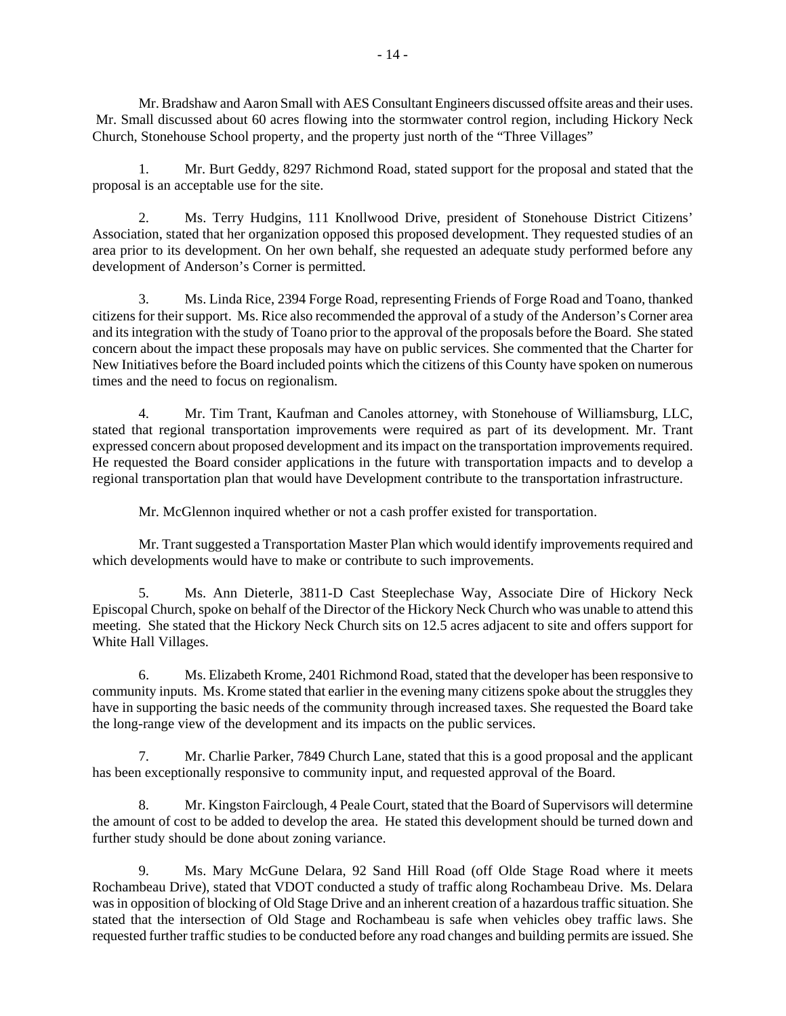Mr. Bradshaw and Aaron Small with AES Consultant Engineers discussed offsite areas and their uses. Mr. Small discussed about 60 acres flowing into the stormwater control region, including Hickory Neck Church, Stonehouse School property, and the property just north of the "Three Villages"

1. Mr. Burt Geddy, 8297 Richmond Road, stated support for the proposal and stated that the proposal is an acceptable use for the site.

2. Ms. Terry Hudgins, 111 Knollwood Drive, president of Stonehouse District Citizens' Association, stated that her organization opposed this proposed development. They requested studies of an area prior to its development. On her own behalf, she requested an adequate study performed before any development of Anderson's Corner is permitted.

3. Ms. Linda Rice, 2394 Forge Road, representing Friends of Forge Road and Toano, thanked citizens for their support. Ms. Rice also recommended the approval of a study of the Anderson's Corner area and its integration with the study of Toano prior to the approval of the proposals before the Board. She stated concern about the impact these proposals may have on public services. She commented that the Charter for New Initiatives before the Board included points which the citizens of this County have spoken on numerous times and the need to focus on regionalism.

4. Mr. Tim Trant, Kaufman and Canoles attorney, with Stonehouse of Williamsburg, LLC, stated that regional transportation improvements were required as part of its development. Mr. Trant expressed concern about proposed development and its impact on the transportation improvements required. He requested the Board consider applications in the future with transportation impacts and to develop a regional transportation plan that would have Development contribute to the transportation infrastructure.

Mr. McGlennon inquired whether or not a cash proffer existed for transportation.

Mr. Trant suggested a Transportation Master Plan which would identify improvements required and which developments would have to make or contribute to such improvements.

5. Ms. Ann Dieterle, 3811-D Cast Steeplechase Way, Associate Dire of Hickory Neck Episcopal Church, spoke on behalf of the Director of the Hickory Neck Church who was unable to attend this meeting. She stated that the Hickory Neck Church sits on 12.5 acres adjacent to site and offers support for White Hall Villages.

6. Ms. Elizabeth Krome, 2401 Richmond Road, stated that the developer has been responsive to community inputs. Ms. Krome stated that earlier in the evening many citizens spoke about the struggles they have in supporting the basic needs of the community through increased taxes. She requested the Board take the long-range view of the development and its impacts on the public services.

7. Mr. Charlie Parker, 7849 Church Lane, stated that this is a good proposal and the applicant has been exceptionally responsive to community input, and requested approval of the Board.

8. Mr. Kingston Fairclough, 4 Peale Court, stated that the Board of Supervisors will determine the amount of cost to be added to develop the area. He stated this development should be turned down and further study should be done about zoning variance.

9. Ms. Mary McGune Delara, 92 Sand Hill Road (off Olde Stage Road where it meets Rochambeau Drive), stated that VDOT conducted a study of traffic along Rochambeau Drive. Ms. Delara was in opposition of blocking of Old Stage Drive and an inherent creation of a hazardous traffic situation. She stated that the intersection of Old Stage and Rochambeau is safe when vehicles obey traffic laws. She requested further traffic studies to be conducted before any road changes and building permits are issued. She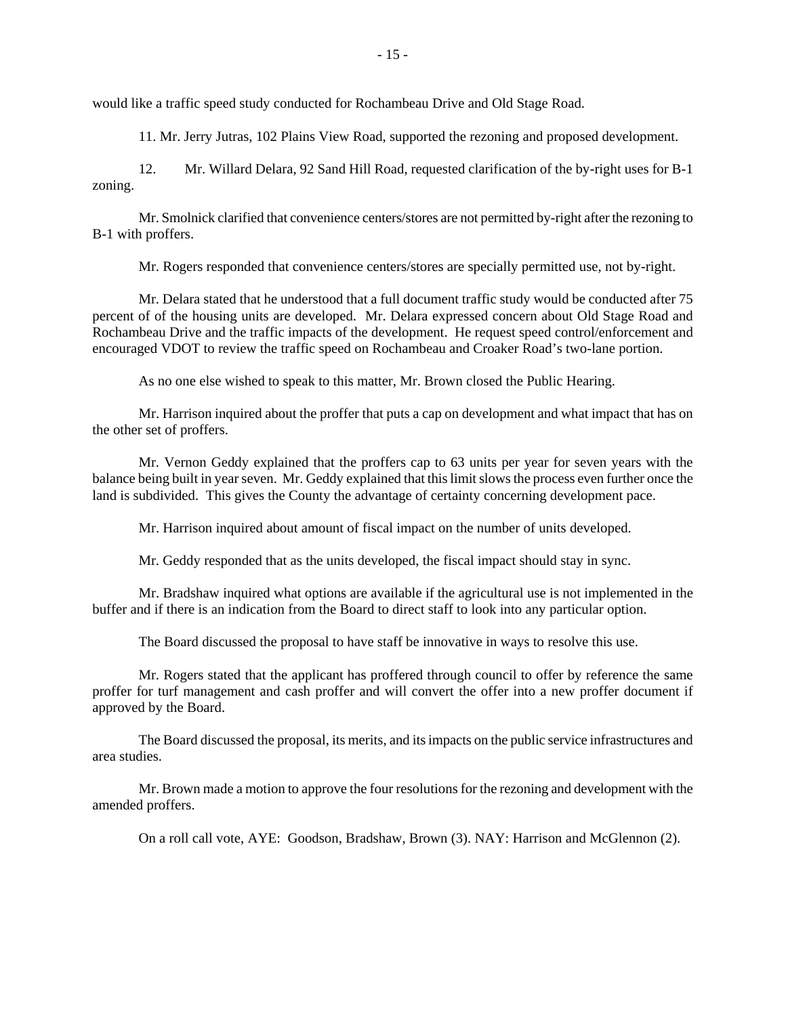would like a traffic speed study conducted for Rochambeau Drive and Old Stage Road.

11. Mr. Jerry Jutras, 102 Plains View Road, supported the rezoning and proposed development.

12. Mr. Willard Delara, 92 Sand Hill Road, requested clarification of the by-right uses for B-1 zoning.

Mr. Smolnick clarified that convenience centers/stores are not permitted by-right after the rezoning to B-1 with proffers.

Mr. Rogers responded that convenience centers/stores are specially permitted use, not by-right.

Mr. Delara stated that he understood that a full document traffic study would be conducted after 75 percent of of the housing units are developed. Mr. Delara expressed concern about Old Stage Road and Rochambeau Drive and the traffic impacts of the development. He request speed control/enforcement and encouraged VDOT to review the traffic speed on Rochambeau and Croaker Road's two-lane portion.

As no one else wished to speak to this matter, Mr. Brown closed the Public Hearing.

Mr. Harrison inquired about the proffer that puts a cap on development and what impact that has on the other set of proffers.

Mr. Vernon Geddy explained that the proffers cap to 63 units per year for seven years with the balance being built in year seven. Mr. Geddy explained that this limit slows the process even further once the land is subdivided. This gives the County the advantage of certainty concerning development pace.

Mr. Harrison inquired about amount of fiscal impact on the number of units developed.

Mr. Geddy responded that as the units developed, the fiscal impact should stay in sync.

Mr. Bradshaw inquired what options are available if the agricultural use is not implemented in the buffer and if there is an indication from the Board to direct staff to look into any particular option.

The Board discussed the proposal to have staff be innovative in ways to resolve this use.

Mr. Rogers stated that the applicant has proffered through council to offer by reference the same proffer for turf management and cash proffer and will convert the offer into a new proffer document if approved by the Board.

The Board discussed the proposal, its merits, and its impacts on the public service infrastructures and area studies.

Mr. Brown made a motion to approve the four resolutions for the rezoning and development with the amended proffers.

On a roll call vote, AYE: Goodson, Bradshaw, Brown (3). NAY: Harrison and McGlennon (2).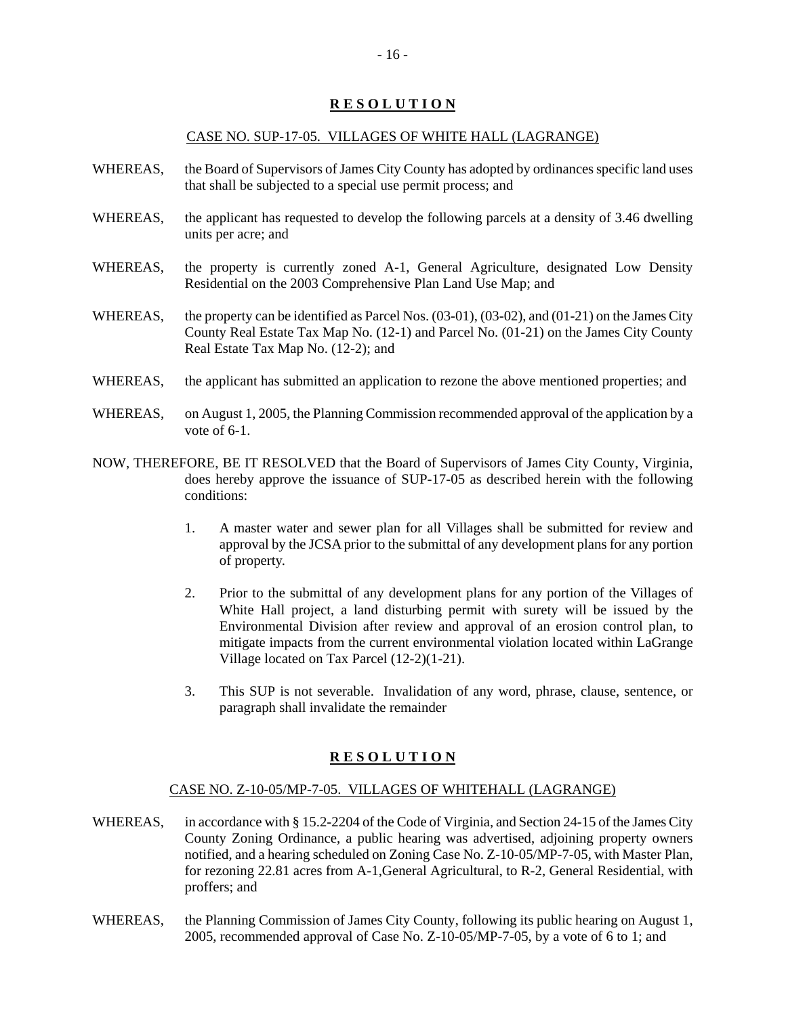## CASE NO. SUP-17-05. VILLAGES OF WHITE HALL (LAGRANGE)

- WHEREAS, the Board of Supervisors of James City County has adopted by ordinances specific land uses that shall be subjected to a special use permit process; and
- WHEREAS, the applicant has requested to develop the following parcels at a density of 3.46 dwelling units per acre; and
- WHEREAS, the property is currently zoned A-1, General Agriculture, designated Low Density Residential on the 2003 Comprehensive Plan Land Use Map; and
- WHEREAS, the property can be identified as Parcel Nos. (03-01), (03-02), and (01-21) on the James City County Real Estate Tax Map No. (12-1) and Parcel No. (01-21) on the James City County Real Estate Tax Map No. (12-2); and
- WHEREAS, the applicant has submitted an application to rezone the above mentioned properties; and
- WHEREAS, on August 1, 2005, the Planning Commission recommended approval of the application by a vote of 6-1.
- NOW, THEREFORE, BE IT RESOLVED that the Board of Supervisors of James City County, Virginia, does hereby approve the issuance of SUP-17-05 as described herein with the following conditions:
	- 1. A master water and sewer plan for all Villages shall be submitted for review and approval by the JCSA prior to the submittal of any development plans for any portion of property.
	- 2. Prior to the submittal of any development plans for any portion of the Villages of White Hall project, a land disturbing permit with surety will be issued by the Environmental Division after review and approval of an erosion control plan, to mitigate impacts from the current environmental violation located within LaGrange Village located on Tax Parcel (12-2)(1-21).
	- 3. This SUP is not severable. Invalidation of any word, phrase, clause, sentence, or paragraph shall invalidate the remainder

## **R E S O L U T I O N**

#### CASE NO. Z-10-05/MP-7-05. VILLAGES OF WHITEHALL (LAGRANGE)

- WHEREAS, in accordance with § 15.2-2204 of the Code of Virginia, and Section 24-15 of the James City County Zoning Ordinance, a public hearing was advertised, adjoining property owners notified, and a hearing scheduled on Zoning Case No. Z-10-05/MP-7-05, with Master Plan, for rezoning 22.81 acres from A-1,General Agricultural, to R-2, General Residential, with proffers; and
- WHEREAS, the Planning Commission of James City County, following its public hearing on August 1, 2005, recommended approval of Case No. Z-10-05/MP-7-05, by a vote of 6 to 1; and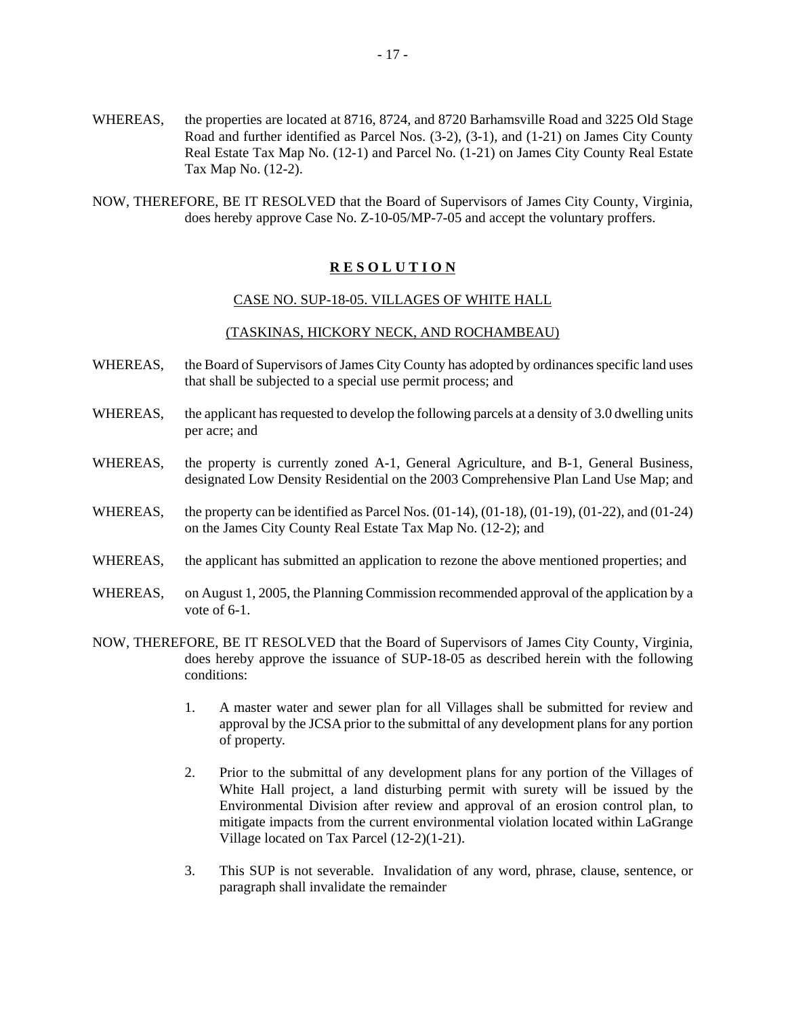- WHEREAS, the properties are located at 8716, 8724, and 8720 Barhamsville Road and 3225 Old Stage Road and further identified as Parcel Nos. (3-2), (3-1), and (1-21) on James City County Real Estate Tax Map No. (12-1) and Parcel No. (1-21) on James City County Real Estate Tax Map No. (12-2).
- NOW, THEREFORE, BE IT RESOLVED that the Board of Supervisors of James City County, Virginia, does hereby approve Case No. Z-10-05/MP-7-05 and accept the voluntary proffers.

## CASE NO. SUP-18-05. VILLAGES OF WHITE HALL

## (TASKINAS, HICKORY NECK, AND ROCHAMBEAU)

- WHEREAS, the Board of Supervisors of James City County has adopted by ordinances specific land uses that shall be subjected to a special use permit process; and
- WHEREAS, the applicant has requested to develop the following parcels at a density of 3.0 dwelling units per acre; and
- WHEREAS, the property is currently zoned A-1, General Agriculture, and B-1, General Business, designated Low Density Residential on the 2003 Comprehensive Plan Land Use Map; and
- WHEREAS, the property can be identified as Parcel Nos.  $(01-14)$ ,  $(01-18)$ ,  $(01-19)$ ,  $(01-22)$ , and  $(01-24)$ on the James City County Real Estate Tax Map No. (12-2); and
- WHEREAS, the applicant has submitted an application to rezone the above mentioned properties; and
- WHEREAS, on August 1, 2005, the Planning Commission recommended approval of the application by a vote of 6-1.
- NOW, THEREFORE, BE IT RESOLVED that the Board of Supervisors of James City County, Virginia, does hereby approve the issuance of SUP-18-05 as described herein with the following conditions:
	- 1. A master water and sewer plan for all Villages shall be submitted for review and approval by the JCSA prior to the submittal of any development plans for any portion of property.
	- 2. Prior to the submittal of any development plans for any portion of the Villages of White Hall project, a land disturbing permit with surety will be issued by the Environmental Division after review and approval of an erosion control plan, to mitigate impacts from the current environmental violation located within LaGrange Village located on Tax Parcel (12-2)(1-21).
	- 3. This SUP is not severable. Invalidation of any word, phrase, clause, sentence, or paragraph shall invalidate the remainder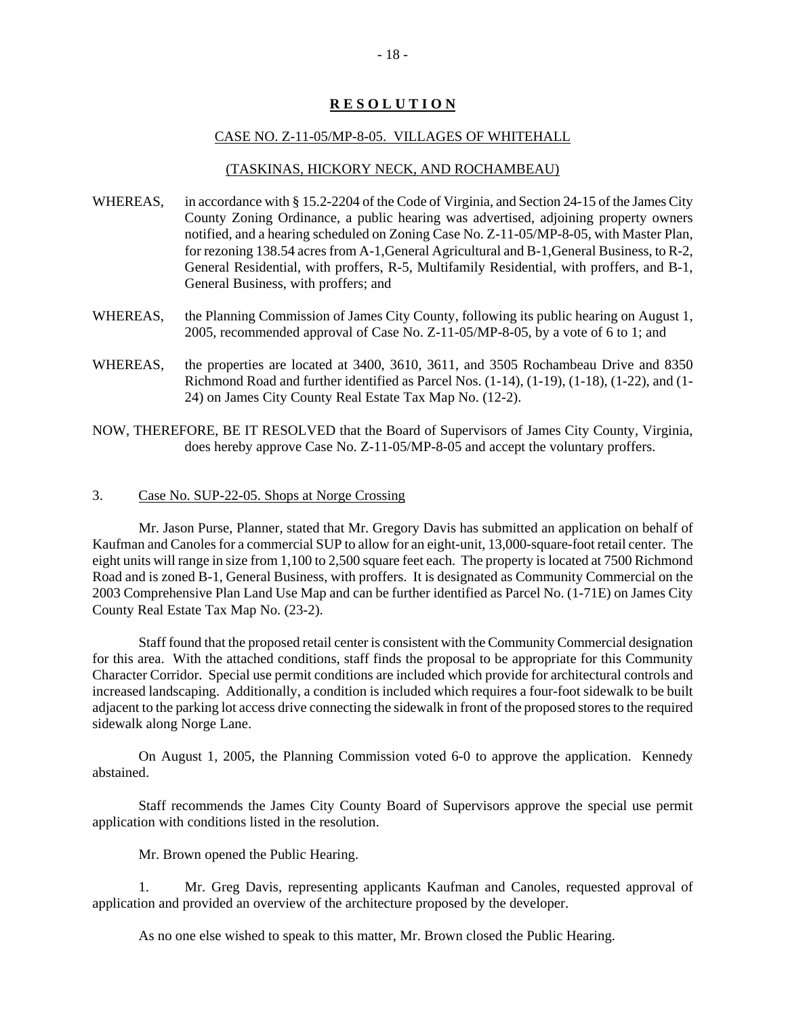#### CASE NO. Z-11-05/MP-8-05. VILLAGES OF WHITEHALL

## (TASKINAS, HICKORY NECK, AND ROCHAMBEAU)

- WHEREAS, in accordance with § 15.2-2204 of the Code of Virginia, and Section 24-15 of the James City County Zoning Ordinance, a public hearing was advertised, adjoining property owners notified, and a hearing scheduled on Zoning Case No. Z-11-05/MP-8-05, with Master Plan, for rezoning 138.54 acres from A-1,General Agricultural and B-1,General Business, to R-2, General Residential, with proffers, R-5, Multifamily Residential, with proffers, and B-1, General Business, with proffers; and
- WHEREAS, the Planning Commission of James City County, following its public hearing on August 1, 2005, recommended approval of Case No. Z-11-05/MP-8-05, by a vote of 6 to 1; and
- WHEREAS, the properties are located at 3400, 3610, 3611, and 3505 Rochambeau Drive and 8350 Richmond Road and further identified as Parcel Nos. (1-14), (1-19), (1-18), (1-22), and (1- 24) on James City County Real Estate Tax Map No. (12-2).

NOW, THEREFORE, BE IT RESOLVED that the Board of Supervisors of James City County, Virginia, does hereby approve Case No. Z-11-05/MP-8-05 and accept the voluntary proffers.

## 3. Case No. SUP-22-05. Shops at Norge Crossing

Mr. Jason Purse, Planner, stated that Mr. Gregory Davis has submitted an application on behalf of Kaufman and Canoles for a commercial SUP to allow for an eight-unit, 13,000-square-foot retail center. The eight units will range in size from 1,100 to 2,500 square feet each. The property is located at 7500 Richmond Road and is zoned B-1, General Business, with proffers. It is designated as Community Commercial on the 2003 Comprehensive Plan Land Use Map and can be further identified as Parcel No. (1-71E) on James City County Real Estate Tax Map No. (23-2).

Staff found that the proposed retail center is consistent with the Community Commercial designation for this area. With the attached conditions, staff finds the proposal to be appropriate for this Community Character Corridor. Special use permit conditions are included which provide for architectural controls and increased landscaping. Additionally, a condition is included which requires a four-foot sidewalk to be built adjacent to the parking lot access drive connecting the sidewalk in front of the proposed stores to the required sidewalk along Norge Lane.

On August 1, 2005, the Planning Commission voted 6-0 to approve the application. Kennedy abstained.

Staff recommends the James City County Board of Supervisors approve the special use permit application with conditions listed in the resolution.

Mr. Brown opened the Public Hearing.

1. Mr. Greg Davis, representing applicants Kaufman and Canoles, requested approval of application and provided an overview of the architecture proposed by the developer.

As no one else wished to speak to this matter, Mr. Brown closed the Public Hearing.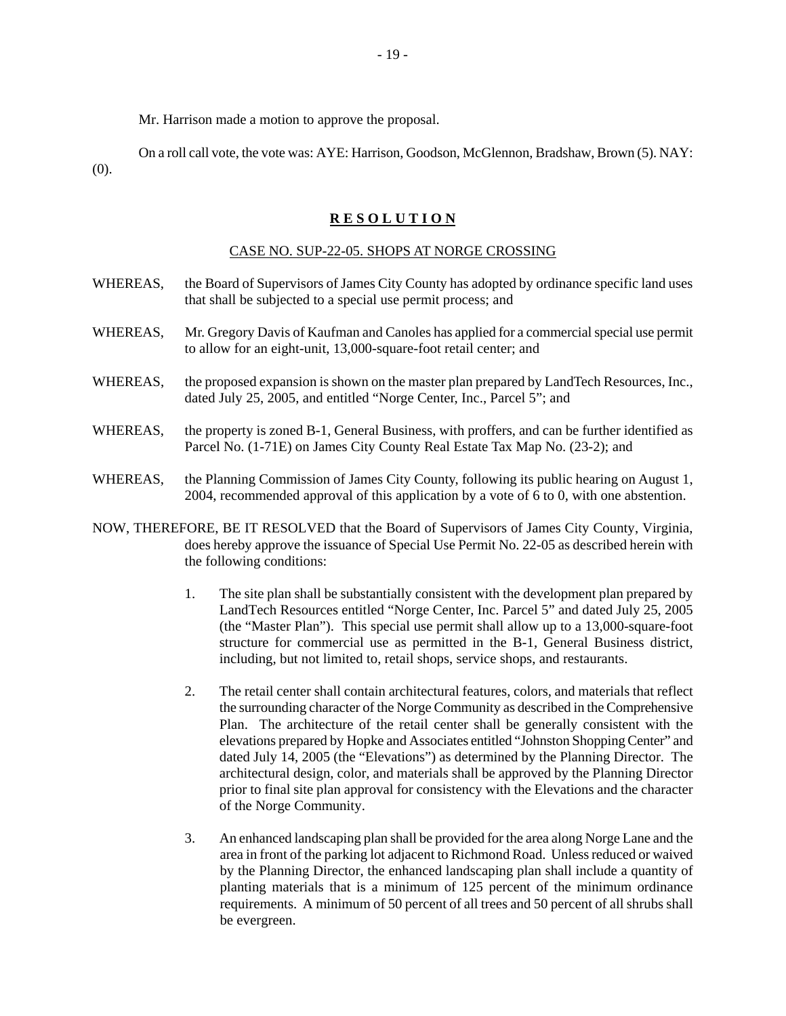Mr. Harrison made a motion to approve the proposal.

On a roll call vote, the vote was: AYE: Harrison, Goodson, McGlennon, Bradshaw, Brown (5). NAY: (0).

## **R E S O L U T I O N**

#### CASE NO. SUP-22-05. SHOPS AT NORGE CROSSING

- WHEREAS, the Board of Supervisors of James City County has adopted by ordinance specific land uses that shall be subjected to a special use permit process; and
- WHEREAS, Mr. Gregory Davis of Kaufman and Canoles has applied for a commercial special use permit to allow for an eight-unit, 13,000-square-foot retail center; and
- WHEREAS, the proposed expansion is shown on the master plan prepared by LandTech Resources, Inc., dated July 25, 2005, and entitled "Norge Center, Inc., Parcel 5"; and
- WHEREAS, the property is zoned B-1, General Business, with proffers, and can be further identified as Parcel No. (1-71E) on James City County Real Estate Tax Map No. (23-2); and
- WHEREAS, the Planning Commission of James City County, following its public hearing on August 1, 2004, recommended approval of this application by a vote of 6 to 0, with one abstention.
- NOW, THEREFORE, BE IT RESOLVED that the Board of Supervisors of James City County, Virginia, does hereby approve the issuance of Special Use Permit No. 22-05 as described herein with the following conditions:
	- 1. The site plan shall be substantially consistent with the development plan prepared by LandTech Resources entitled "Norge Center, Inc. Parcel 5" and dated July 25, 2005 (the "Master Plan"). This special use permit shall allow up to a 13,000-square-foot structure for commercial use as permitted in the B-1, General Business district, including, but not limited to, retail shops, service shops, and restaurants.
	- 2. The retail center shall contain architectural features, colors, and materials that reflect the surrounding character of the Norge Community as described in the Comprehensive Plan. The architecture of the retail center shall be generally consistent with the elevations prepared by Hopke and Associates entitled "Johnston Shopping Center" and dated July 14, 2005 (the "Elevations") as determined by the Planning Director. The architectural design, color, and materials shall be approved by the Planning Director prior to final site plan approval for consistency with the Elevations and the character of the Norge Community.
	- 3. An enhanced landscaping plan shall be provided for the area along Norge Lane and the area in front of the parking lot adjacent to Richmond Road. Unless reduced or waived by the Planning Director, the enhanced landscaping plan shall include a quantity of planting materials that is a minimum of 125 percent of the minimum ordinance requirements. A minimum of 50 percent of all trees and 50 percent of all shrubs shall be evergreen.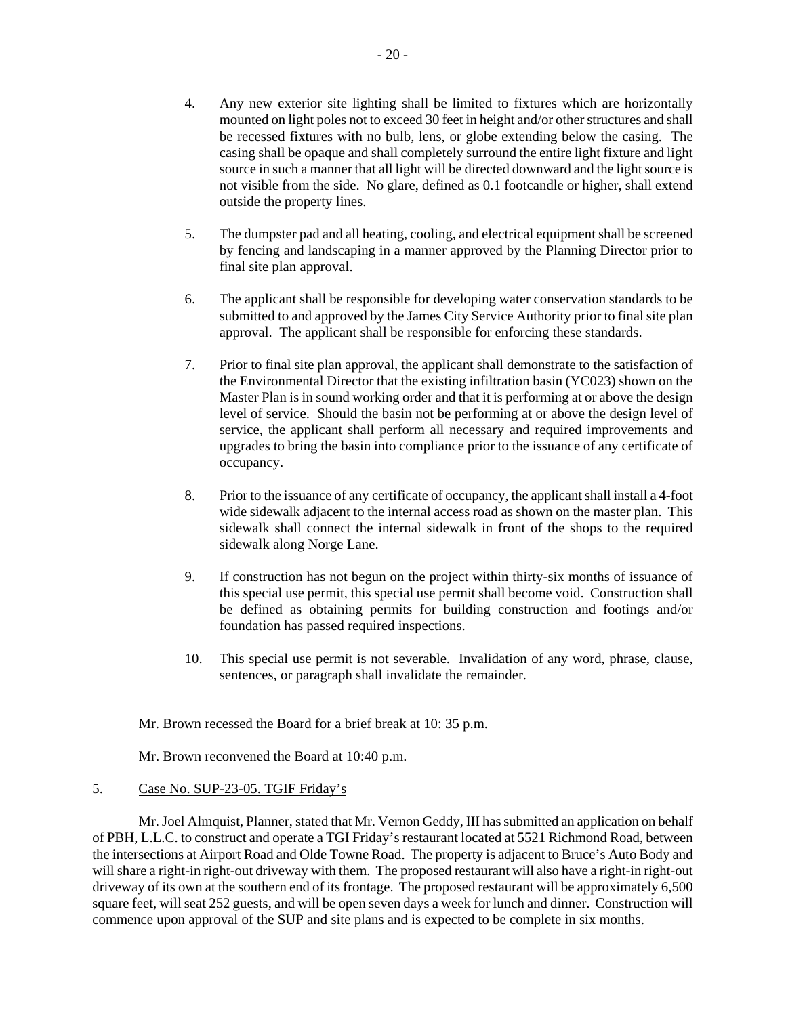- 4. Any new exterior site lighting shall be limited to fixtures which are horizontally mounted on light poles not to exceed 30 feet in height and/or other structures and shall be recessed fixtures with no bulb, lens, or globe extending below the casing. The casing shall be opaque and shall completely surround the entire light fixture and light source in such a manner that all light will be directed downward and the light source is not visible from the side. No glare, defined as 0.1 footcandle or higher, shall extend outside the property lines.
- 5. The dumpster pad and all heating, cooling, and electrical equipment shall be screened by fencing and landscaping in a manner approved by the Planning Director prior to final site plan approval.
- 6. The applicant shall be responsible for developing water conservation standards to be submitted to and approved by the James City Service Authority prior to final site plan approval. The applicant shall be responsible for enforcing these standards.
- 7. Prior to final site plan approval, the applicant shall demonstrate to the satisfaction of the Environmental Director that the existing infiltration basin (YC023) shown on the Master Plan is in sound working order and that it is performing at or above the design level of service. Should the basin not be performing at or above the design level of service, the applicant shall perform all necessary and required improvements and upgrades to bring the basin into compliance prior to the issuance of any certificate of occupancy.
- 8. Prior to the issuance of any certificate of occupancy, the applicant shall install a 4-foot wide sidewalk adjacent to the internal access road as shown on the master plan. This sidewalk shall connect the internal sidewalk in front of the shops to the required sidewalk along Norge Lane.
- 9. If construction has not begun on the project within thirty-six months of issuance of this special use permit, this special use permit shall become void. Construction shall be defined as obtaining permits for building construction and footings and/or foundation has passed required inspections.
- 10. This special use permit is not severable. Invalidation of any word, phrase, clause, sentences, or paragraph shall invalidate the remainder.

Mr. Brown recessed the Board for a brief break at 10: 35 p.m.

Mr. Brown reconvened the Board at 10:40 p.m.

## 5. Case No. SUP-23-05. TGIF Friday's

Mr. Joel Almquist, Planner, stated that Mr. Vernon Geddy, III has submitted an application on behalf of PBH, L.L.C. to construct and operate a TGI Friday's restaurant located at 5521 Richmond Road, between the intersections at Airport Road and Olde Towne Road. The property is adjacent to Bruce's Auto Body and will share a right-in right-out driveway with them. The proposed restaurant will also have a right-in right-out driveway of its own at the southern end of its frontage. The proposed restaurant will be approximately 6,500 square feet, will seat 252 guests, and will be open seven days a week for lunch and dinner. Construction will commence upon approval of the SUP and site plans and is expected to be complete in six months.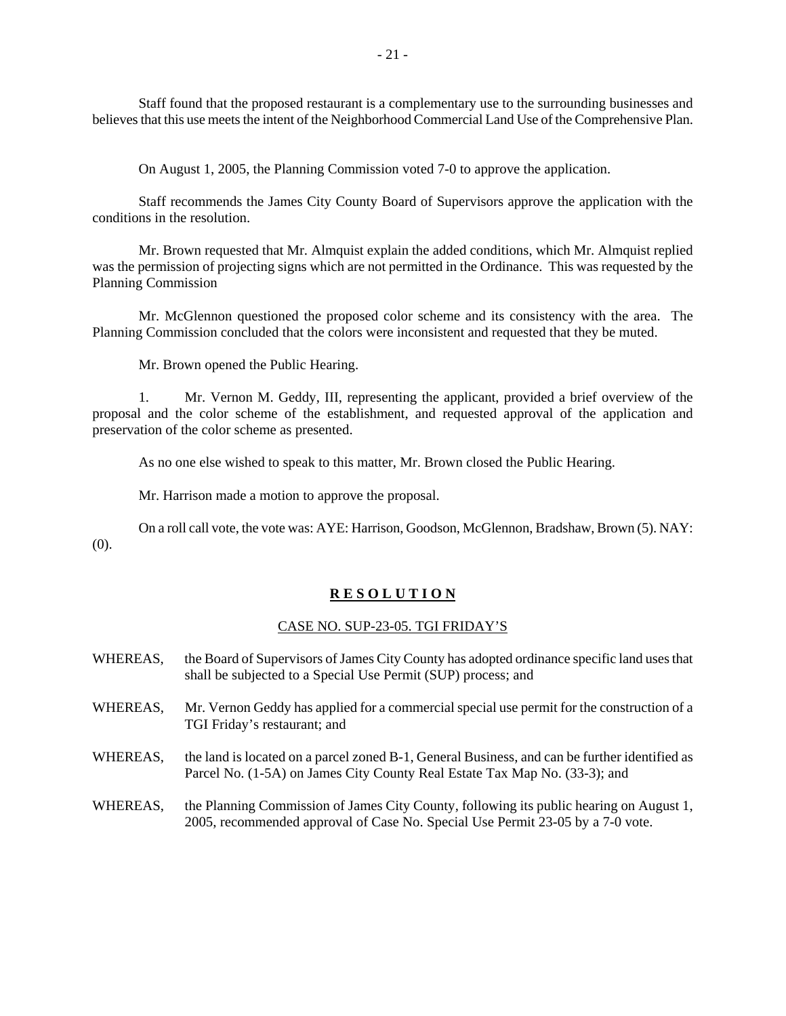Staff found that the proposed restaurant is a complementary use to the surrounding businesses and believes that this use meets the intent of the Neighborhood Commercial Land Use of the Comprehensive Plan.

On August 1, 2005, the Planning Commission voted 7-0 to approve the application.

Staff recommends the James City County Board of Supervisors approve the application with the conditions in the resolution.

Mr. Brown requested that Mr. Almquist explain the added conditions, which Mr. Almquist replied was the permission of projecting signs which are not permitted in the Ordinance. This was requested by the Planning Commission

Mr. McGlennon questioned the proposed color scheme and its consistency with the area. The Planning Commission concluded that the colors were inconsistent and requested that they be muted.

Mr. Brown opened the Public Hearing.

1. Mr. Vernon M. Geddy, III, representing the applicant, provided a brief overview of the proposal and the color scheme of the establishment, and requested approval of the application and preservation of the color scheme as presented.

As no one else wished to speak to this matter, Mr. Brown closed the Public Hearing.

Mr. Harrison made a motion to approve the proposal.

On a roll call vote, the vote was: AYE: Harrison, Goodson, McGlennon, Bradshaw, Brown (5). NAY: (0).

#### **R E S O L U T I O N**

#### CASE NO. SUP-23-05. TGI FRIDAY'S

- WHEREAS, the Board of Supervisors of James City County has adopted ordinance specific land uses that shall be subjected to a Special Use Permit (SUP) process; and
- WHEREAS, Mr. Vernon Geddy has applied for a commercial special use permit for the construction of a TGI Friday's restaurant; and
- WHEREAS, the land is located on a parcel zoned B-1, General Business, and can be further identified as Parcel No. (1-5A) on James City County Real Estate Tax Map No. (33-3); and
- WHEREAS, the Planning Commission of James City County, following its public hearing on August 1, 2005, recommended approval of Case No. Special Use Permit 23-05 by a 7-0 vote.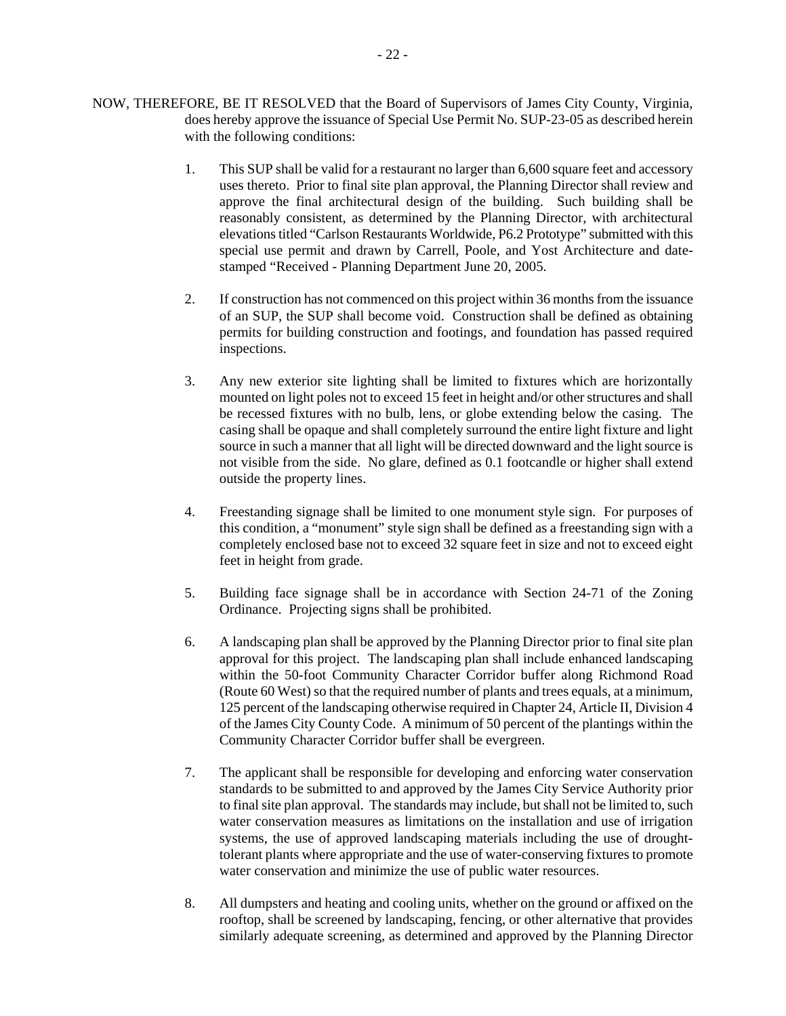- NOW, THEREFORE, BE IT RESOLVED that the Board of Supervisors of James City County, Virginia, does hereby approve the issuance of Special Use Permit No. SUP-23-05 as described herein with the following conditions:
	- 1. This SUP shall be valid for a restaurant no larger than 6,600 square feet and accessory uses thereto. Prior to final site plan approval, the Planning Director shall review and approve the final architectural design of the building. Such building shall be reasonably consistent, as determined by the Planning Director, with architectural elevations titled "Carlson Restaurants Worldwide, P6.2 Prototype" submitted with this special use permit and drawn by Carrell, Poole, and Yost Architecture and datestamped "Received - Planning Department June 20, 2005.
	- 2. If construction has not commenced on this project within 36 months from the issuance of an SUP, the SUP shall become void. Construction shall be defined as obtaining permits for building construction and footings, and foundation has passed required inspections.
	- 3. Any new exterior site lighting shall be limited to fixtures which are horizontally mounted on light poles not to exceed 15 feet in height and/or other structures and shall be recessed fixtures with no bulb, lens, or globe extending below the casing. The casing shall be opaque and shall completely surround the entire light fixture and light source in such a manner that all light will be directed downward and the light source is not visible from the side. No glare, defined as 0.1 footcandle or higher shall extend outside the property lines.
	- 4. Freestanding signage shall be limited to one monument style sign. For purposes of this condition, a "monument" style sign shall be defined as a freestanding sign with a completely enclosed base not to exceed 32 square feet in size and not to exceed eight feet in height from grade.
	- 5. Building face signage shall be in accordance with Section 24-71 of the Zoning Ordinance. Projecting signs shall be prohibited.
	- 6. A landscaping plan shall be approved by the Planning Director prior to final site plan approval for this project. The landscaping plan shall include enhanced landscaping within the 50-foot Community Character Corridor buffer along Richmond Road (Route 60 West) so that the required number of plants and trees equals, at a minimum, 125 percent of the landscaping otherwise required in Chapter 24, Article II, Division 4 of the James City County Code. A minimum of 50 percent of the plantings within the Community Character Corridor buffer shall be evergreen.
	- 7. The applicant shall be responsible for developing and enforcing water conservation standards to be submitted to and approved by the James City Service Authority prior to final site plan approval. The standards may include, but shall not be limited to, such water conservation measures as limitations on the installation and use of irrigation systems, the use of approved landscaping materials including the use of droughttolerant plants where appropriate and the use of water-conserving fixtures to promote water conservation and minimize the use of public water resources.
	- 8. All dumpsters and heating and cooling units, whether on the ground or affixed on the rooftop, shall be screened by landscaping, fencing, or other alternative that provides similarly adequate screening, as determined and approved by the Planning Director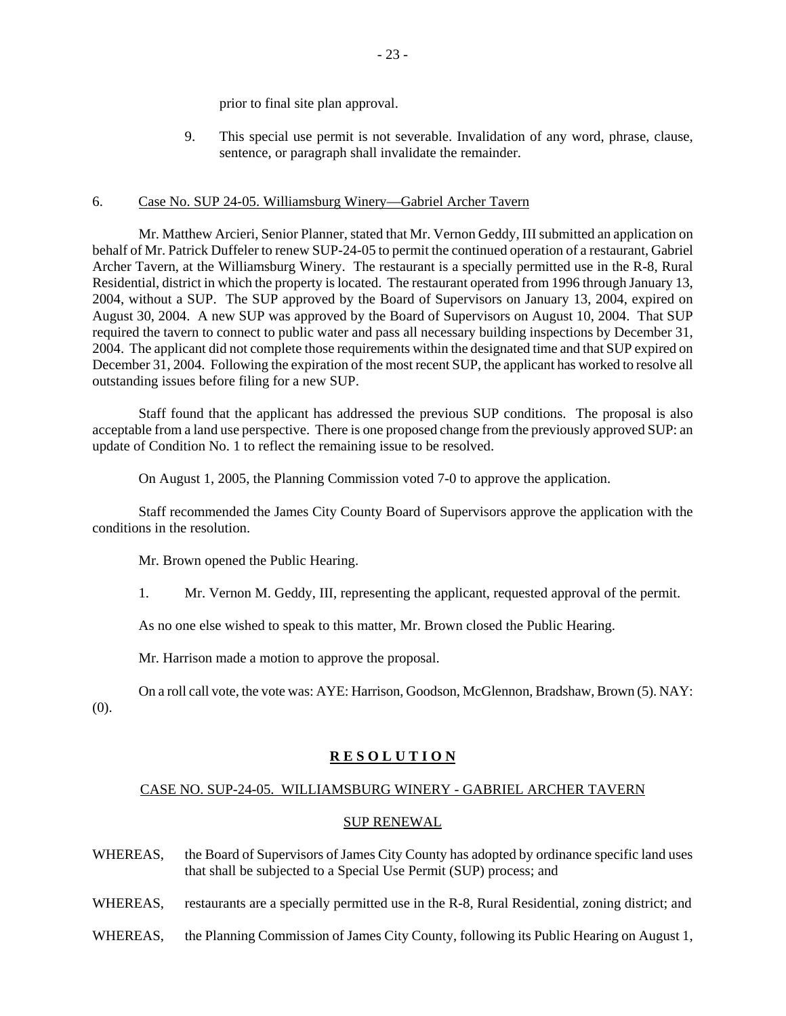prior to final site plan approval.

 9. This special use permit is not severable. Invalidation of any word, phrase, clause, sentence, or paragraph shall invalidate the remainder.

## 6. Case No. SUP 24-05. Williamsburg Winery—Gabriel Archer Tavern

Mr. Matthew Arcieri, Senior Planner, stated that Mr. Vernon Geddy, III submitted an application on behalf of Mr. Patrick Duffeler to renew SUP-24-05 to permit the continued operation of a restaurant, Gabriel Archer Tavern, at the Williamsburg Winery. The restaurant is a specially permitted use in the R-8, Rural Residential, district in which the property is located. The restaurant operated from 1996 through January 13, 2004, without a SUP. The SUP approved by the Board of Supervisors on January 13, 2004, expired on August 30, 2004. A new SUP was approved by the Board of Supervisors on August 10, 2004. That SUP required the tavern to connect to public water and pass all necessary building inspections by December 31, 2004. The applicant did not complete those requirements within the designated time and that SUP expired on December 31, 2004. Following the expiration of the most recent SUP, the applicant has worked to resolve all outstanding issues before filing for a new SUP.

Staff found that the applicant has addressed the previous SUP conditions. The proposal is also acceptable from a land use perspective. There is one proposed change from the previously approved SUP: an update of Condition No. 1 to reflect the remaining issue to be resolved.

On August 1, 2005, the Planning Commission voted 7-0 to approve the application.

Staff recommended the James City County Board of Supervisors approve the application with the conditions in the resolution.

Mr. Brown opened the Public Hearing.

1. Mr. Vernon M. Geddy, III, representing the applicant, requested approval of the permit.

As no one else wished to speak to this matter, Mr. Brown closed the Public Hearing.

Mr. Harrison made a motion to approve the proposal.

On a roll call vote, the vote was: AYE: Harrison, Goodson, McGlennon, Bradshaw, Brown (5). NAY: (0).

## **R E S O L U T I O N**

## CASE NO. SUP-24-05. WILLIAMSBURG WINERY - GABRIEL ARCHER TAVERN

#### SUP RENEWAL

- WHEREAS, the Board of Supervisors of James City County has adopted by ordinance specific land uses that shall be subjected to a Special Use Permit (SUP) process; and
- WHEREAS, restaurants are a specially permitted use in the R-8, Rural Residential, zoning district; and
- WHEREAS, the Planning Commission of James City County, following its Public Hearing on August 1,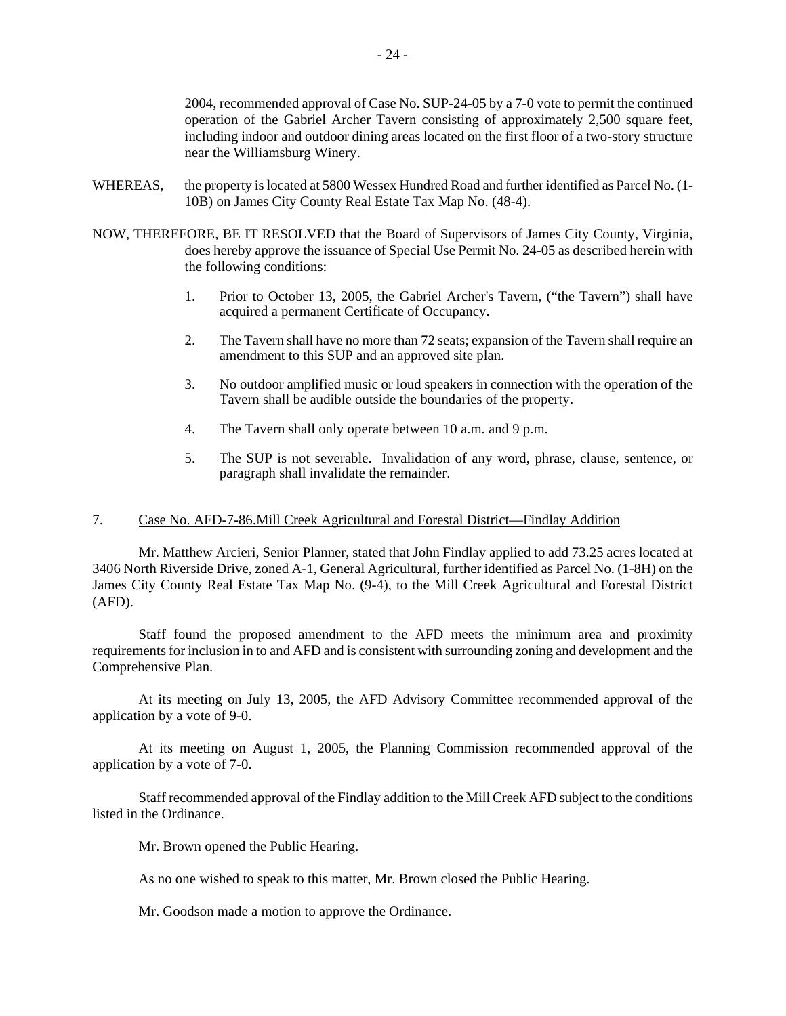2004, recommended approval of Case No. SUP-24-05 by a 7-0 vote to permit the continued operation of the Gabriel Archer Tavern consisting of approximately 2,500 square feet, including indoor and outdoor dining areas located on the first floor of a two-story structure near the Williamsburg Winery.

- WHEREAS, the property is located at 5800 Wessex Hundred Road and further identified as Parcel No. (1-10B) on James City County Real Estate Tax Map No. (48-4).
- NOW, THEREFORE, BE IT RESOLVED that the Board of Supervisors of James City County, Virginia, does hereby approve the issuance of Special Use Permit No. 24-05 as described herein with the following conditions:
	- 1. Prior to October 13, 2005, the Gabriel Archer's Tavern, ("the Tavern") shall have acquired a permanent Certificate of Occupancy.
	- 2. The Tavern shall have no more than 72 seats; expansion of the Tavern shall require an amendment to this SUP and an approved site plan.
	- 3. No outdoor amplified music or loud speakers in connection with the operation of the Tavern shall be audible outside the boundaries of the property.
	- 4. The Tavern shall only operate between 10 a.m. and 9 p.m.
	- 5. The SUP is not severable. Invalidation of any word, phrase, clause, sentence, or paragraph shall invalidate the remainder.

## 7. Case No. AFD-7-86.Mill Creek Agricultural and Forestal District—Findlay Addition

Mr. Matthew Arcieri, Senior Planner, stated that John Findlay applied to add 73.25 acres located at 3406 North Riverside Drive, zoned A-1, General Agricultural, further identified as Parcel No. (1-8H) on the James City County Real Estate Tax Map No. (9-4), to the Mill Creek Agricultural and Forestal District (AFD).

Staff found the proposed amendment to the AFD meets the minimum area and proximity requirements for inclusion in to and AFD and is consistent with surrounding zoning and development and the Comprehensive Plan.

At its meeting on July 13, 2005, the AFD Advisory Committee recommended approval of the application by a vote of 9-0.

At its meeting on August 1, 2005, the Planning Commission recommended approval of the application by a vote of 7-0.

Staff recommended approval of the Findlay addition to the Mill Creek AFD subject to the conditions listed in the Ordinance.

Mr. Brown opened the Public Hearing.

As no one wished to speak to this matter, Mr. Brown closed the Public Hearing.

Mr. Goodson made a motion to approve the Ordinance.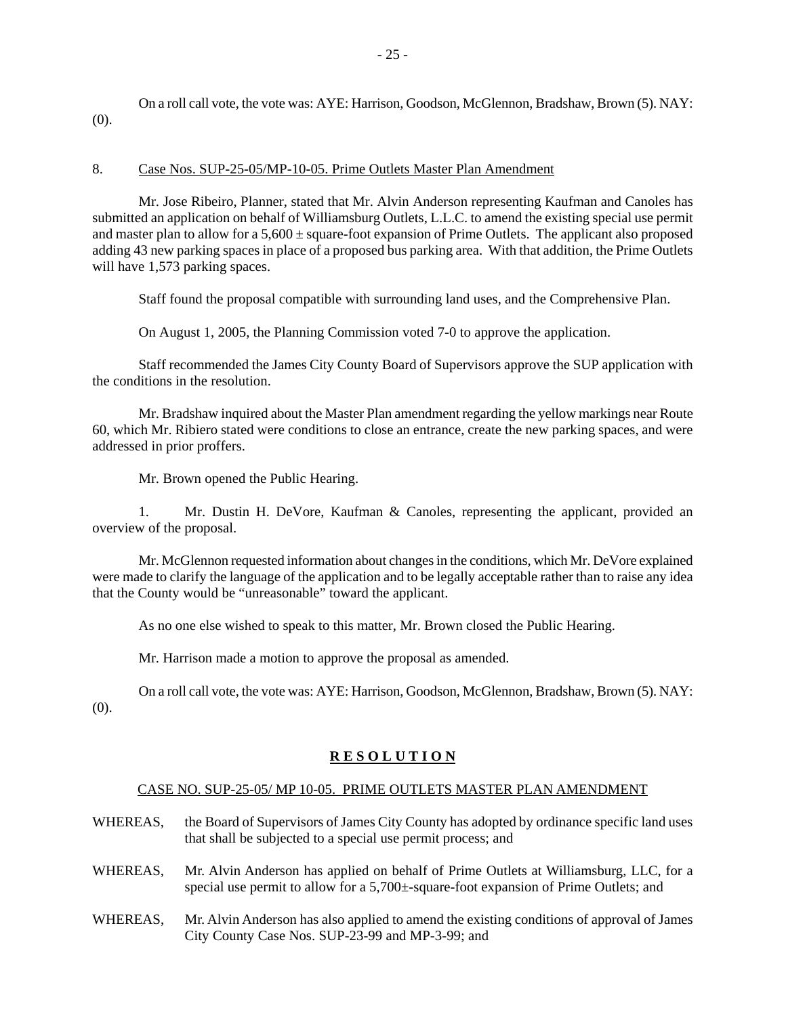On a roll call vote, the vote was: AYE: Harrison, Goodson, McGlennon, Bradshaw, Brown (5). NAY: (0).

## 8. Case Nos. SUP-25-05/MP-10-05. Prime Outlets Master Plan Amendment

Mr. Jose Ribeiro, Planner, stated that Mr. Alvin Anderson representing Kaufman and Canoles has submitted an application on behalf of Williamsburg Outlets, L.L.C. to amend the existing special use permit and master plan to allow for a  $5{,}600 \pm$  square-foot expansion of Prime Outlets. The applicant also proposed adding 43 new parking spaces in place of a proposed bus parking area. With that addition, the Prime Outlets will have 1,573 parking spaces.

Staff found the proposal compatible with surrounding land uses, and the Comprehensive Plan.

On August 1, 2005, the Planning Commission voted 7-0 to approve the application.

Staff recommended the James City County Board of Supervisors approve the SUP application with the conditions in the resolution.

Mr. Bradshaw inquired about the Master Plan amendment regarding the yellow markings near Route 60, which Mr. Ribiero stated were conditions to close an entrance, create the new parking spaces, and were addressed in prior proffers.

Mr. Brown opened the Public Hearing.

1. Mr. Dustin H. DeVore, Kaufman & Canoles, representing the applicant, provided an overview of the proposal.

Mr. McGlennon requested information about changes in the conditions, which Mr. DeVore explained were made to clarify the language of the application and to be legally acceptable rather than to raise any idea that the County would be "unreasonable" toward the applicant.

As no one else wished to speak to this matter, Mr. Brown closed the Public Hearing.

Mr. Harrison made a motion to approve the proposal as amended.

On a roll call vote, the vote was: AYE: Harrison, Goodson, McGlennon, Bradshaw, Brown (5). NAY: (0).

# **R E S O L U T I O N**

## CASE NO. SUP-25-05/ MP 10-05. PRIME OUTLETS MASTER PLAN AMENDMENT

- WHEREAS, the Board of Supervisors of James City County has adopted by ordinance specific land uses that shall be subjected to a special use permit process; and
- WHEREAS, Mr. Alvin Anderson has applied on behalf of Prime Outlets at Williamsburg, LLC, for a special use permit to allow for a 5,700 $\pm$ -square-foot expansion of Prime Outlets; and
- WHEREAS, Mr. Alvin Anderson has also applied to amend the existing conditions of approval of James City County Case Nos. SUP-23-99 and MP-3-99; and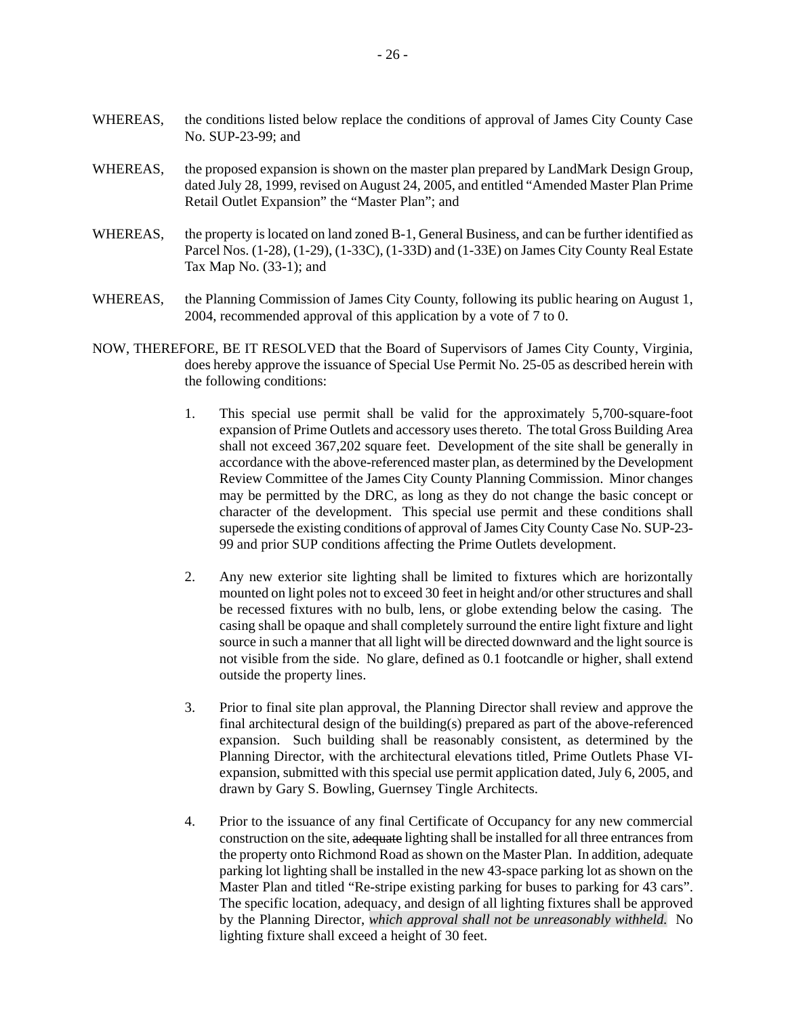- WHEREAS, the conditions listed below replace the conditions of approval of James City County Case No. SUP-23-99; and
- WHEREAS, the proposed expansion is shown on the master plan prepared by LandMark Design Group, dated July 28, 1999, revised on August 24, 2005, and entitled "Amended Master Plan Prime Retail Outlet Expansion" the "Master Plan"; and
- WHEREAS, the property is located on land zoned B-1, General Business, and can be further identified as Parcel Nos. (1-28), (1-29), (1-33C), (1-33D) and (1-33E) on James City County Real Estate Tax Map No. (33-1); and
- WHEREAS, the Planning Commission of James City County, following its public hearing on August 1, 2004, recommended approval of this application by a vote of 7 to 0.
- NOW, THEREFORE, BE IT RESOLVED that the Board of Supervisors of James City County, Virginia, does hereby approve the issuance of Special Use Permit No. 25-05 as described herein with the following conditions:
	- 1. This special use permit shall be valid for the approximately 5,700-square-foot expansion of Prime Outlets and accessory uses thereto. The total Gross Building Area shall not exceed 367,202 square feet. Development of the site shall be generally in accordance with the above-referenced master plan, as determined by the Development Review Committee of the James City County Planning Commission. Minor changes may be permitted by the DRC, as long as they do not change the basic concept or character of the development. This special use permit and these conditions shall supersede the existing conditions of approval of James City County Case No. SUP-23- 99 and prior SUP conditions affecting the Prime Outlets development.
	- 2. Any new exterior site lighting shall be limited to fixtures which are horizontally mounted on light poles not to exceed 30 feet in height and/or other structures and shall be recessed fixtures with no bulb, lens, or globe extending below the casing. The casing shall be opaque and shall completely surround the entire light fixture and light source in such a manner that all light will be directed downward and the light source is not visible from the side. No glare, defined as 0.1 footcandle or higher, shall extend outside the property lines.
	- 3. Prior to final site plan approval, the Planning Director shall review and approve the final architectural design of the building(s) prepared as part of the above-referenced expansion. Such building shall be reasonably consistent, as determined by the Planning Director, with the architectural elevations titled, Prime Outlets Phase VIexpansion, submitted with this special use permit application dated, July 6, 2005, and drawn by Gary S. Bowling, Guernsey Tingle Architects.
	- 4. Prior to the issuance of any final Certificate of Occupancy for any new commercial construction on the site, adequate lighting shall be installed for all three entrances from the property onto Richmond Road as shown on the Master Plan. In addition, adequate parking lot lighting shall be installed in the new 43-space parking lot as shown on the Master Plan and titled "Re-stripe existing parking for buses to parking for 43 cars". The specific location, adequacy, and design of all lighting fixtures shall be approved by the Planning Director, *which approval shall not be unreasonably withheld.* No lighting fixture shall exceed a height of 30 feet.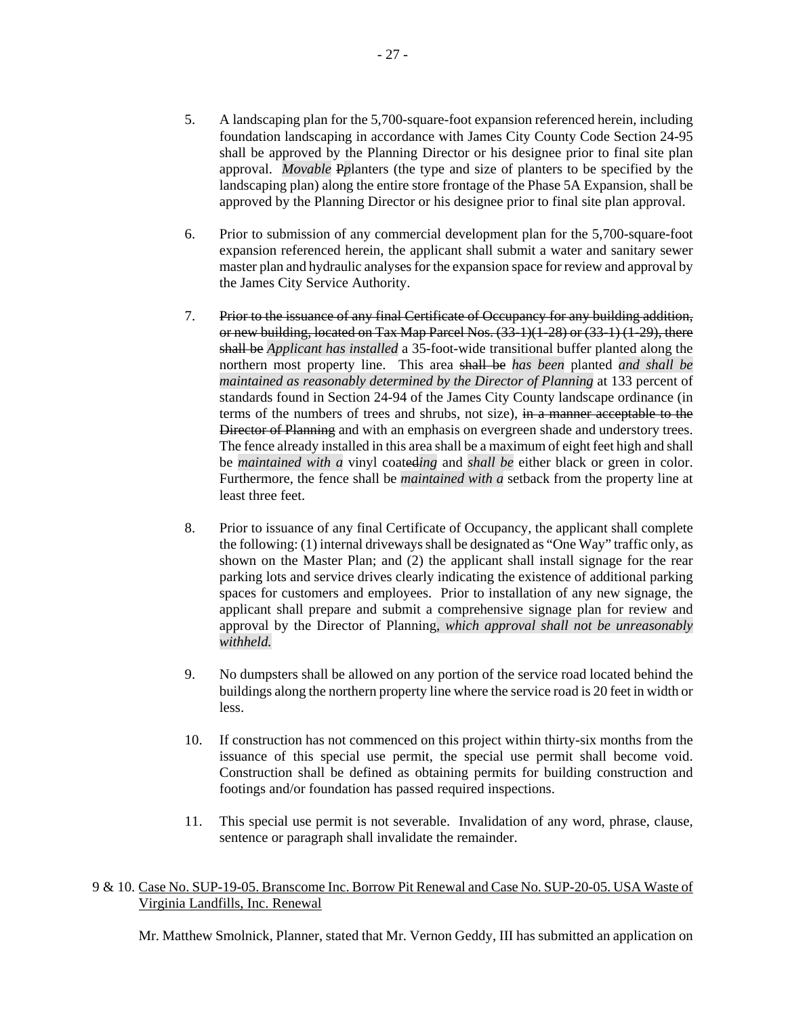- 5. A landscaping plan for the 5,700-square-foot expansion referenced herein, including foundation landscaping in accordance with James City County Code Section 24-95 shall be approved by the Planning Director or his designee prior to final site plan approval. *Movable* P*p*lanters (the type and size of planters to be specified by the landscaping plan) along the entire store frontage of the Phase 5A Expansion, shall be approved by the Planning Director or his designee prior to final site plan approval.
- 6. Prior to submission of any commercial development plan for the 5,700-square-foot expansion referenced herein, the applicant shall submit a water and sanitary sewer master plan and hydraulic analyses for the expansion space for review and approval by the James City Service Authority.
- 7. Prior to the issuance of any final Certificate of Occupancy for any building addition, or new building, located on Tax Map Parcel Nos. (33-1)(1-28) or (33-1) (1-29), there shall be *Applicant has installed* a 35-foot-wide transitional buffer planted along the northern most property line. This area shall be *has been* planted *and shall be maintained as reasonably determined by the Director of Planning* at 133 percent of standards found in Section 24-94 of the James City County landscape ordinance (in terms of the numbers of trees and shrubs, not size), in a manner acceptable to the Director of Planning and with an emphasis on evergreen shade and understory trees. The fence already installed in this area shall be a maximum of eight feet high and shall be *maintained with a* vinyl coated*ing* and *shall be* either black or green in color. Furthermore, the fence shall be *maintained with a* setback from the property line at least three feet.
- 8. Prior to issuance of any final Certificate of Occupancy, the applicant shall complete the following: (1) internal driveways shall be designated as "One Way" traffic only, as shown on the Master Plan; and (2) the applicant shall install signage for the rear parking lots and service drives clearly indicating the existence of additional parking spaces for customers and employees. Prior to installation of any new signage, the applicant shall prepare and submit a comprehensive signage plan for review and approval by the Director of Planning*, which approval shall not be unreasonably withheld.*
- 9. No dumpsters shall be allowed on any portion of the service road located behind the buildings along the northern property line where the service road is 20 feet in width or less.
- 10. If construction has not commenced on this project within thirty-six months from the issuance of this special use permit, the special use permit shall become void. Construction shall be defined as obtaining permits for building construction and footings and/or foundation has passed required inspections.
- 11. This special use permit is not severable. Invalidation of any word, phrase, clause, sentence or paragraph shall invalidate the remainder.

## 9 & 10. Case No. SUP-19-05. Branscome Inc. Borrow Pit Renewal and Case No. SUP-20-05. USA Waste of Virginia Landfills, Inc. Renewal

Mr. Matthew Smolnick, Planner, stated that Mr. Vernon Geddy, III has submitted an application on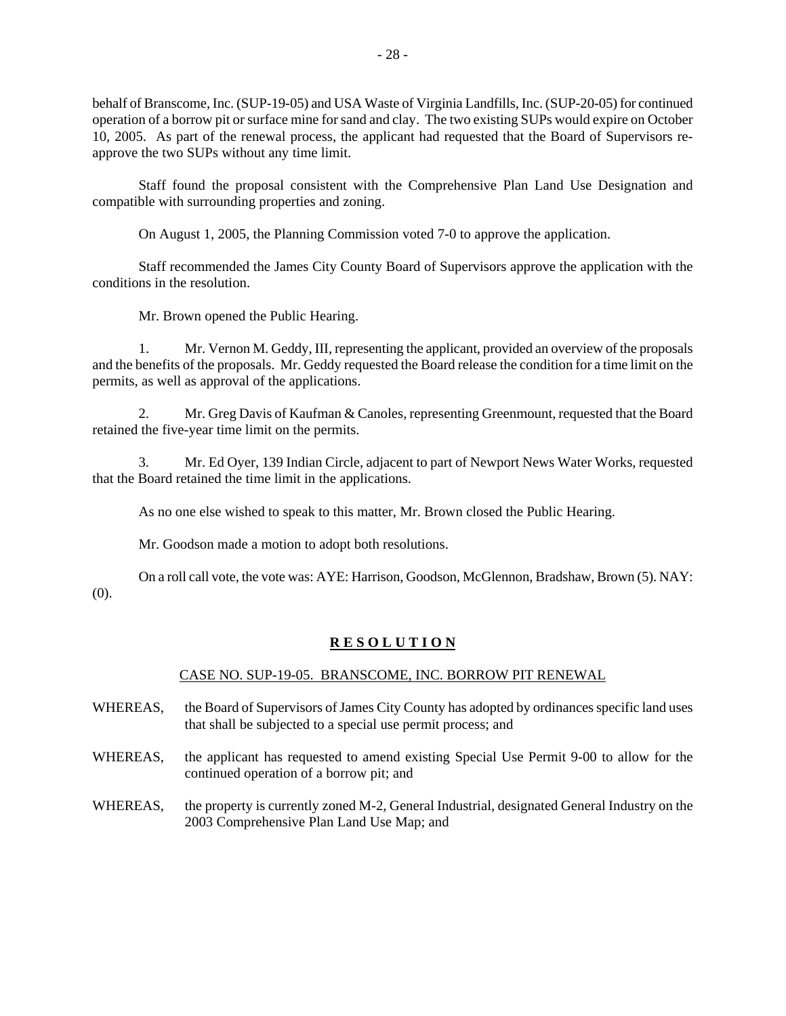behalf of Branscome, Inc. (SUP-19-05) and USA Waste of Virginia Landfills, Inc. (SUP-20-05) for continued operation of a borrow pit or surface mine for sand and clay. The two existing SUPs would expire on October 10, 2005. As part of the renewal process, the applicant had requested that the Board of Supervisors reapprove the two SUPs without any time limit.

Staff found the proposal consistent with the Comprehensive Plan Land Use Designation and compatible with surrounding properties and zoning.

On August 1, 2005, the Planning Commission voted 7-0 to approve the application.

Staff recommended the James City County Board of Supervisors approve the application with the conditions in the resolution.

Mr. Brown opened the Public Hearing.

1. Mr. Vernon M. Geddy, III, representing the applicant, provided an overview of the proposals and the benefits of the proposals. Mr. Geddy requested the Board release the condition for a time limit on the permits, as well as approval of the applications.

2. Mr. Greg Davis of Kaufman & Canoles, representing Greenmount, requested that the Board retained the five-year time limit on the permits.

3. Mr. Ed Oyer, 139 Indian Circle, adjacent to part of Newport News Water Works, requested that the Board retained the time limit in the applications.

As no one else wished to speak to this matter, Mr. Brown closed the Public Hearing.

Mr. Goodson made a motion to adopt both resolutions.

On a roll call vote, the vote was: AYE: Harrison, Goodson, McGlennon, Bradshaw, Brown (5). NAY: (0).

## **R E S O L U T I O N**

#### CASE NO. SUP-19-05. BRANSCOME, INC. BORROW PIT RENEWAL

- WHEREAS, the Board of Supervisors of James City County has adopted by ordinances specific land uses that shall be subjected to a special use permit process; and
- WHEREAS, the applicant has requested to amend existing Special Use Permit 9-00 to allow for the continued operation of a borrow pit; and
- WHEREAS, the property is currently zoned M-2, General Industrial, designated General Industry on the 2003 Comprehensive Plan Land Use Map; and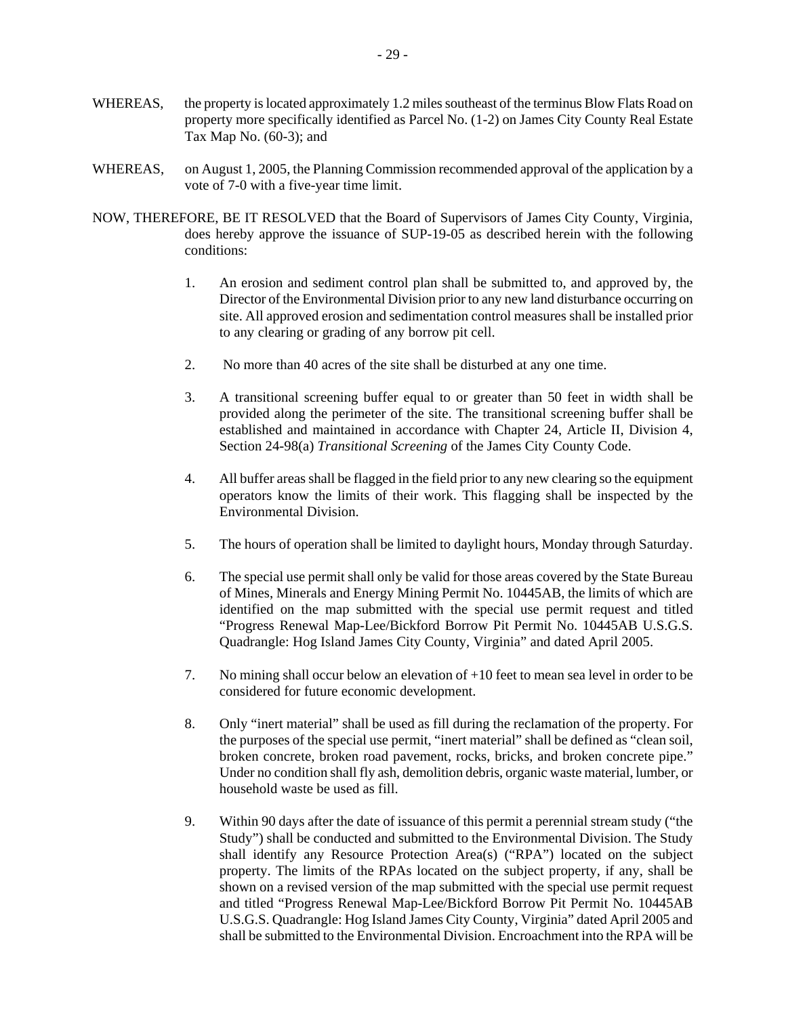- WHEREAS, the property is located approximately 1.2 miles southeast of the terminus Blow Flats Road on property more specifically identified as Parcel No. (1-2) on James City County Real Estate Tax Map No. (60-3); and
- WHEREAS, on August 1, 2005, the Planning Commission recommended approval of the application by a vote of 7-0 with a five-year time limit.
- NOW, THEREFORE, BE IT RESOLVED that the Board of Supervisors of James City County, Virginia, does hereby approve the issuance of SUP-19-05 as described herein with the following conditions:
	- 1. An erosion and sediment control plan shall be submitted to, and approved by, the Director of the Environmental Division prior to any new land disturbance occurring on site. All approved erosion and sedimentation control measures shall be installed prior to any clearing or grading of any borrow pit cell.
	- 2. No more than 40 acres of the site shall be disturbed at any one time.
	- 3. A transitional screening buffer equal to or greater than 50 feet in width shall be provided along the perimeter of the site. The transitional screening buffer shall be established and maintained in accordance with Chapter 24, Article II, Division 4, Section 24-98(a) *Transitional Screening* of the James City County Code.
	- 4. All buffer areas shall be flagged in the field prior to any new clearing so the equipment operators know the limits of their work. This flagging shall be inspected by the Environmental Division.
	- 5. The hours of operation shall be limited to daylight hours, Monday through Saturday.
	- 6. The special use permit shall only be valid for those areas covered by the State Bureau of Mines, Minerals and Energy Mining Permit No. 10445AB, the limits of which are identified on the map submitted with the special use permit request and titled "Progress Renewal Map-Lee/Bickford Borrow Pit Permit No. 10445AB U.S.G.S. Quadrangle: Hog Island James City County, Virginia" and dated April 2005.
	- 7. No mining shall occur below an elevation of +10 feet to mean sea level in order to be considered for future economic development.
	- 8. Only "inert material" shall be used as fill during the reclamation of the property. For the purposes of the special use permit, "inert material" shall be defined as "clean soil, broken concrete, broken road pavement, rocks, bricks, and broken concrete pipe." Under no condition shall fly ash, demolition debris, organic waste material, lumber, or household waste be used as fill.
	- 9. Within 90 days after the date of issuance of this permit a perennial stream study ("the Study") shall be conducted and submitted to the Environmental Division. The Study shall identify any Resource Protection Area(s) ("RPA") located on the subject property. The limits of the RPAs located on the subject property, if any, shall be shown on a revised version of the map submitted with the special use permit request and titled "Progress Renewal Map-Lee/Bickford Borrow Pit Permit No. 10445AB U.S.G.S. Quadrangle: Hog Island James City County, Virginia" dated April 2005 and shall be submitted to the Environmental Division. Encroachment into the RPA will be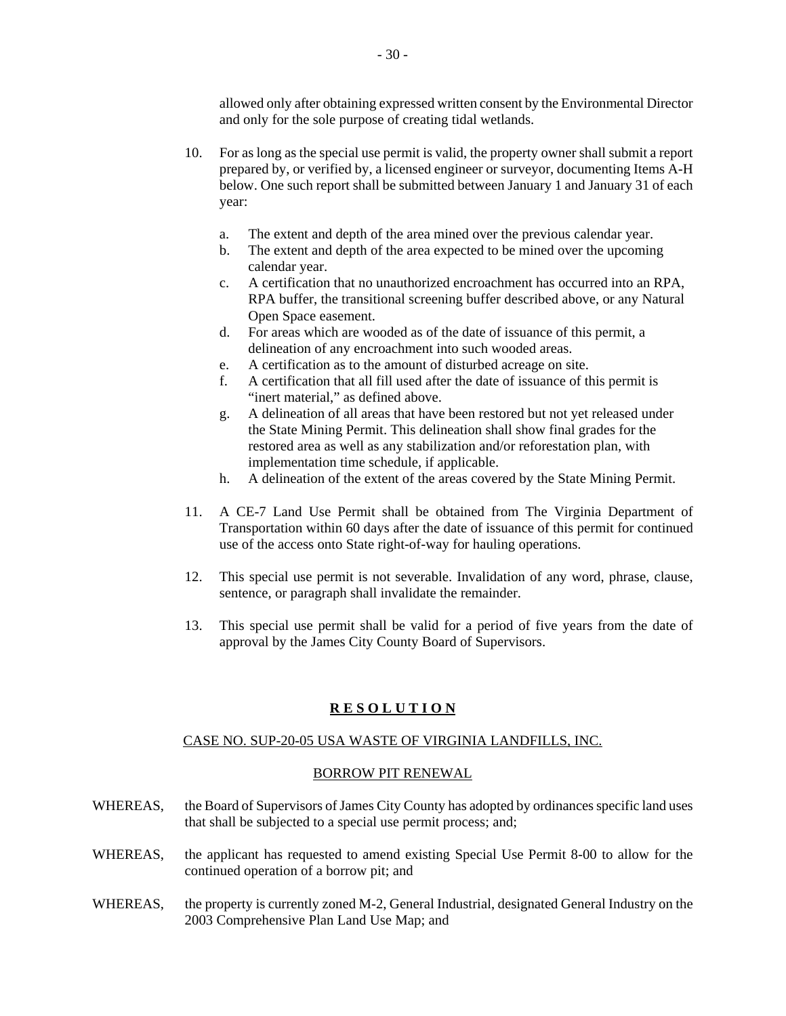allowed only after obtaining expressed written consent by the Environmental Director and only for the sole purpose of creating tidal wetlands.

- 10. For as long as the special use permit is valid, the property owner shall submit a report prepared by, or verified by, a licensed engineer or surveyor, documenting Items A-H below. One such report shall be submitted between January 1 and January 31 of each year:
	- a. The extent and depth of the area mined over the previous calendar year.
	- b. The extent and depth of the area expected to be mined over the upcoming calendar year.
	- c. A certification that no unauthorized encroachment has occurred into an RPA, RPA buffer, the transitional screening buffer described above, or any Natural Open Space easement.
	- d. For areas which are wooded as of the date of issuance of this permit, a delineation of any encroachment into such wooded areas.
	- e. A certification as to the amount of disturbed acreage on site.
	- f. A certification that all fill used after the date of issuance of this permit is "inert material," as defined above.
	- g. A delineation of all areas that have been restored but not yet released under the State Mining Permit. This delineation shall show final grades for the restored area as well as any stabilization and/or reforestation plan, with implementation time schedule, if applicable.
	- h. A delineation of the extent of the areas covered by the State Mining Permit.
- 11. A CE-7 Land Use Permit shall be obtained from The Virginia Department of Transportation within 60 days after the date of issuance of this permit for continued use of the access onto State right-of-way for hauling operations.
- 12. This special use permit is not severable. Invalidation of any word, phrase, clause, sentence, or paragraph shall invalidate the remainder.
- 13. This special use permit shall be valid for a period of five years from the date of approval by the James City County Board of Supervisors.

#### **R E S O L U T I O N**

#### CASE NO. SUP-20-05 USA WASTE OF VIRGINIA LANDFILLS, INC.

#### BORROW PIT RENEWAL

- WHEREAS, the Board of Supervisors of James City County has adopted by ordinances specific land uses that shall be subjected to a special use permit process; and;
- WHEREAS, the applicant has requested to amend existing Special Use Permit 8-00 to allow for the continued operation of a borrow pit; and
- WHEREAS, the property is currently zoned M-2, General Industrial, designated General Industry on the 2003 Comprehensive Plan Land Use Map; and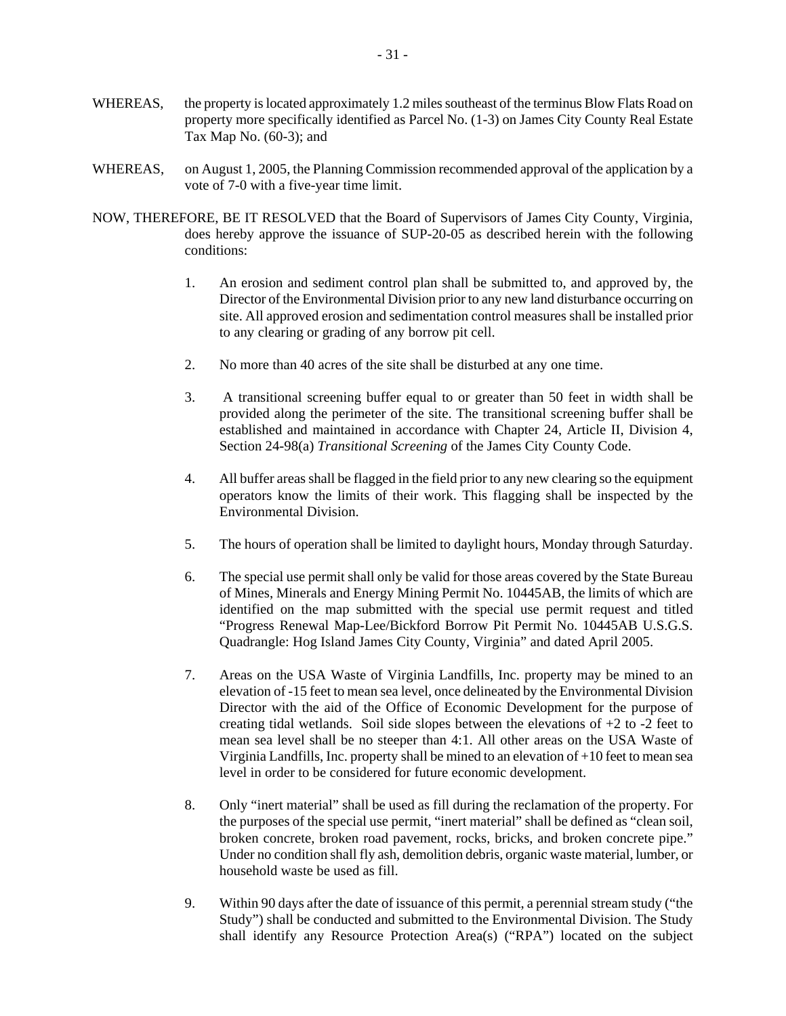- WHEREAS, the property is located approximately 1.2 miles southeast of the terminus Blow Flats Road on property more specifically identified as Parcel No. (1-3) on James City County Real Estate Tax Map No. (60-3); and
- WHEREAS, on August 1, 2005, the Planning Commission recommended approval of the application by a vote of 7-0 with a five-year time limit.
- NOW, THEREFORE, BE IT RESOLVED that the Board of Supervisors of James City County, Virginia, does hereby approve the issuance of SUP-20-05 as described herein with the following conditions:
	- 1. An erosion and sediment control plan shall be submitted to, and approved by, the Director of the Environmental Division prior to any new land disturbance occurring on site. All approved erosion and sedimentation control measures shall be installed prior to any clearing or grading of any borrow pit cell.
	- 2. No more than 40 acres of the site shall be disturbed at any one time.
	- 3. A transitional screening buffer equal to or greater than 50 feet in width shall be provided along the perimeter of the site. The transitional screening buffer shall be established and maintained in accordance with Chapter 24, Article II, Division 4, Section 24-98(a) *Transitional Screening* of the James City County Code.
	- 4. All buffer areas shall be flagged in the field prior to any new clearing so the equipment operators know the limits of their work. This flagging shall be inspected by the Environmental Division.
	- 5. The hours of operation shall be limited to daylight hours, Monday through Saturday.
	- 6. The special use permit shall only be valid for those areas covered by the State Bureau of Mines, Minerals and Energy Mining Permit No. 10445AB, the limits of which are identified on the map submitted with the special use permit request and titled "Progress Renewal Map-Lee/Bickford Borrow Pit Permit No. 10445AB U.S.G.S. Quadrangle: Hog Island James City County, Virginia" and dated April 2005.
	- 7. Areas on the USA Waste of Virginia Landfills, Inc. property may be mined to an elevation of -15 feet to mean sea level, once delineated by the Environmental Division Director with the aid of the Office of Economic Development for the purpose of creating tidal wetlands. Soil side slopes between the elevations of  $+2$  to  $-2$  feet to mean sea level shall be no steeper than 4:1. All other areas on the USA Waste of Virginia Landfills, Inc. property shall be mined to an elevation of +10 feet to mean sea level in order to be considered for future economic development.
	- 8. Only "inert material" shall be used as fill during the reclamation of the property. For the purposes of the special use permit, "inert material" shall be defined as "clean soil, broken concrete, broken road pavement, rocks, bricks, and broken concrete pipe." Under no condition shall fly ash, demolition debris, organic waste material, lumber, or household waste be used as fill.
	- 9. Within 90 days after the date of issuance of this permit, a perennial stream study ("the Study") shall be conducted and submitted to the Environmental Division. The Study shall identify any Resource Protection Area(s) ("RPA") located on the subject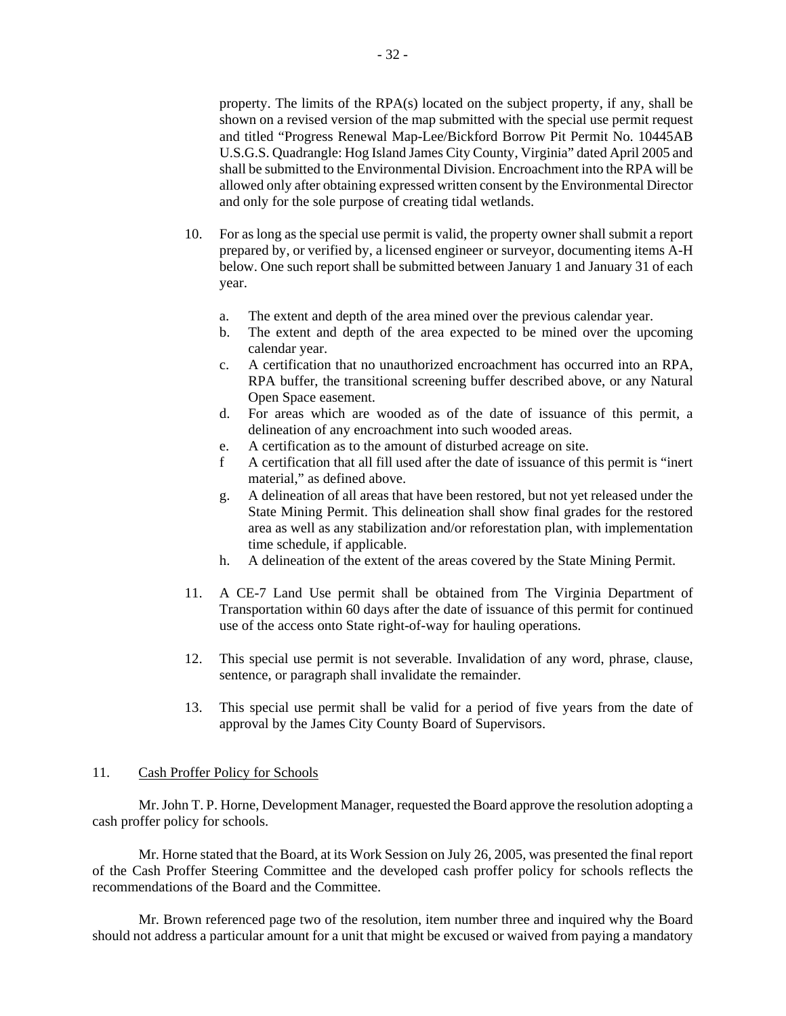property. The limits of the RPA(s) located on the subject property, if any, shall be shown on a revised version of the map submitted with the special use permit request and titled "Progress Renewal Map-Lee/Bickford Borrow Pit Permit No. 10445AB U.S.G.S. Quadrangle: Hog Island James City County, Virginia" dated April 2005 and shall be submitted to the Environmental Division. Encroachment into the RPA will be allowed only after obtaining expressed written consent by the Environmental Director and only for the sole purpose of creating tidal wetlands.

- 10. For as long as the special use permit is valid, the property owner shall submit a report prepared by, or verified by, a licensed engineer or surveyor, documenting items A-H below. One such report shall be submitted between January 1 and January 31 of each year.
	- a. The extent and depth of the area mined over the previous calendar year.
	- b. The extent and depth of the area expected to be mined over the upcoming calendar year.
	- c. A certification that no unauthorized encroachment has occurred into an RPA, RPA buffer, the transitional screening buffer described above, or any Natural Open Space easement.
	- d. For areas which are wooded as of the date of issuance of this permit, a delineation of any encroachment into such wooded areas.
	- e. A certification as to the amount of disturbed acreage on site.
	- f A certification that all fill used after the date of issuance of this permit is "inert material," as defined above.
	- g. A delineation of all areas that have been restored, but not yet released under the State Mining Permit. This delineation shall show final grades for the restored area as well as any stabilization and/or reforestation plan, with implementation time schedule, if applicable.
	- h. A delineation of the extent of the areas covered by the State Mining Permit.
- 11. A CE-7 Land Use permit shall be obtained from The Virginia Department of Transportation within 60 days after the date of issuance of this permit for continued use of the access onto State right-of-way for hauling operations.
- 12. This special use permit is not severable. Invalidation of any word, phrase, clause, sentence, or paragraph shall invalidate the remainder.
- 13. This special use permit shall be valid for a period of five years from the date of approval by the James City County Board of Supervisors.

#### 11. Cash Proffer Policy for Schools

Mr. John T. P. Horne, Development Manager, requested the Board approve the resolution adopting a cash proffer policy for schools.

Mr. Horne stated that the Board, at its Work Session on July 26, 2005, was presented the final report of the Cash Proffer Steering Committee and the developed cash proffer policy for schools reflects the recommendations of the Board and the Committee.

Mr. Brown referenced page two of the resolution, item number three and inquired why the Board should not address a particular amount for a unit that might be excused or waived from paying a mandatory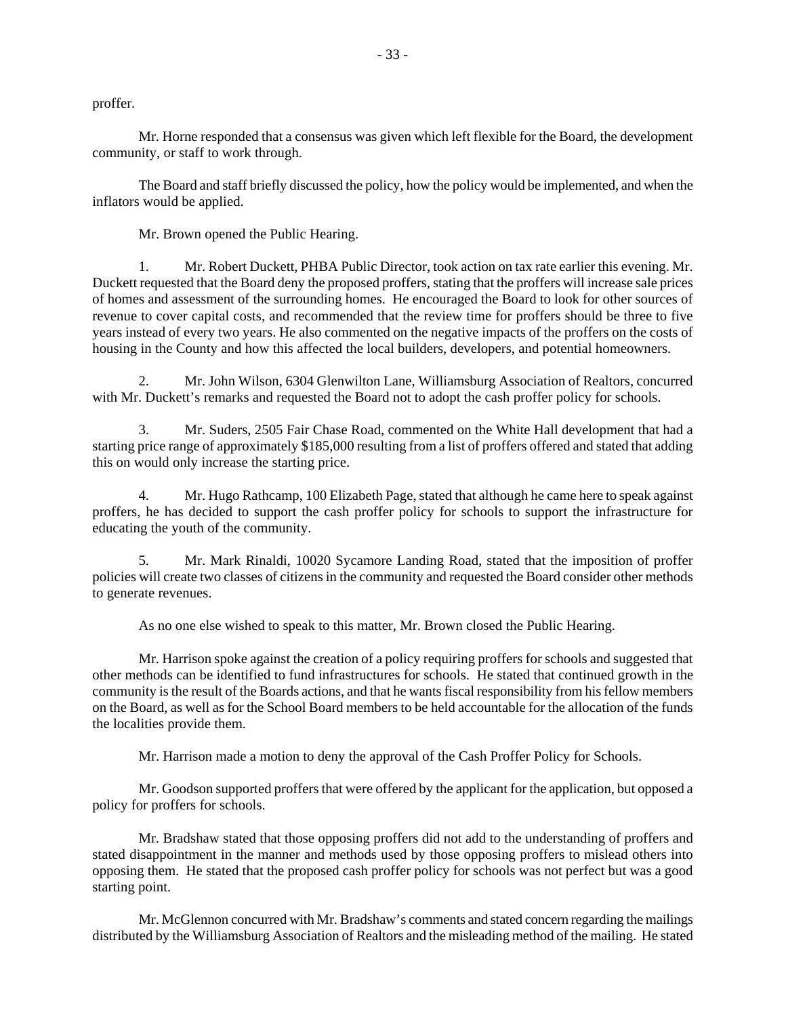proffer.

Mr. Horne responded that a consensus was given which left flexible for the Board, the development community, or staff to work through.

The Board and staff briefly discussed the policy, how the policy would be implemented, and when the inflators would be applied.

Mr. Brown opened the Public Hearing.

1. Mr. Robert Duckett, PHBA Public Director, took action on tax rate earlier this evening. Mr. Duckett requested that the Board deny the proposed proffers, stating that the proffers will increase sale prices of homes and assessment of the surrounding homes. He encouraged the Board to look for other sources of revenue to cover capital costs, and recommended that the review time for proffers should be three to five years instead of every two years. He also commented on the negative impacts of the proffers on the costs of housing in the County and how this affected the local builders, developers, and potential homeowners.

2. Mr. John Wilson, 6304 Glenwilton Lane, Williamsburg Association of Realtors, concurred with Mr. Duckett's remarks and requested the Board not to adopt the cash proffer policy for schools.

Mr. Suders, 2505 Fair Chase Road, commented on the White Hall development that had a starting price range of approximately \$185,000 resulting from a list of proffers offered and stated that adding this on would only increase the starting price.

4. Mr. Hugo Rathcamp, 100 Elizabeth Page, stated that although he came here to speak against proffers, he has decided to support the cash proffer policy for schools to support the infrastructure for educating the youth of the community.

5. Mr. Mark Rinaldi, 10020 Sycamore Landing Road, stated that the imposition of proffer policies will create two classes of citizens in the community and requested the Board consider other methods to generate revenues.

As no one else wished to speak to this matter, Mr. Brown closed the Public Hearing.

Mr. Harrison spoke against the creation of a policy requiring proffers for schools and suggested that other methods can be identified to fund infrastructures for schools. He stated that continued growth in the community is the result of the Boards actions, and that he wants fiscal responsibility from his fellow members on the Board, as well as for the School Board members to be held accountable for the allocation of the funds the localities provide them.

Mr. Harrison made a motion to deny the approval of the Cash Proffer Policy for Schools.

Mr. Goodson supported proffers that were offered by the applicant for the application, but opposed a policy for proffers for schools.

Mr. Bradshaw stated that those opposing proffers did not add to the understanding of proffers and stated disappointment in the manner and methods used by those opposing proffers to mislead others into opposing them. He stated that the proposed cash proffer policy for schools was not perfect but was a good starting point.

Mr. McGlennon concurred with Mr. Bradshaw's comments and stated concern regarding the mailings distributed by the Williamsburg Association of Realtors and the misleading method of the mailing. He stated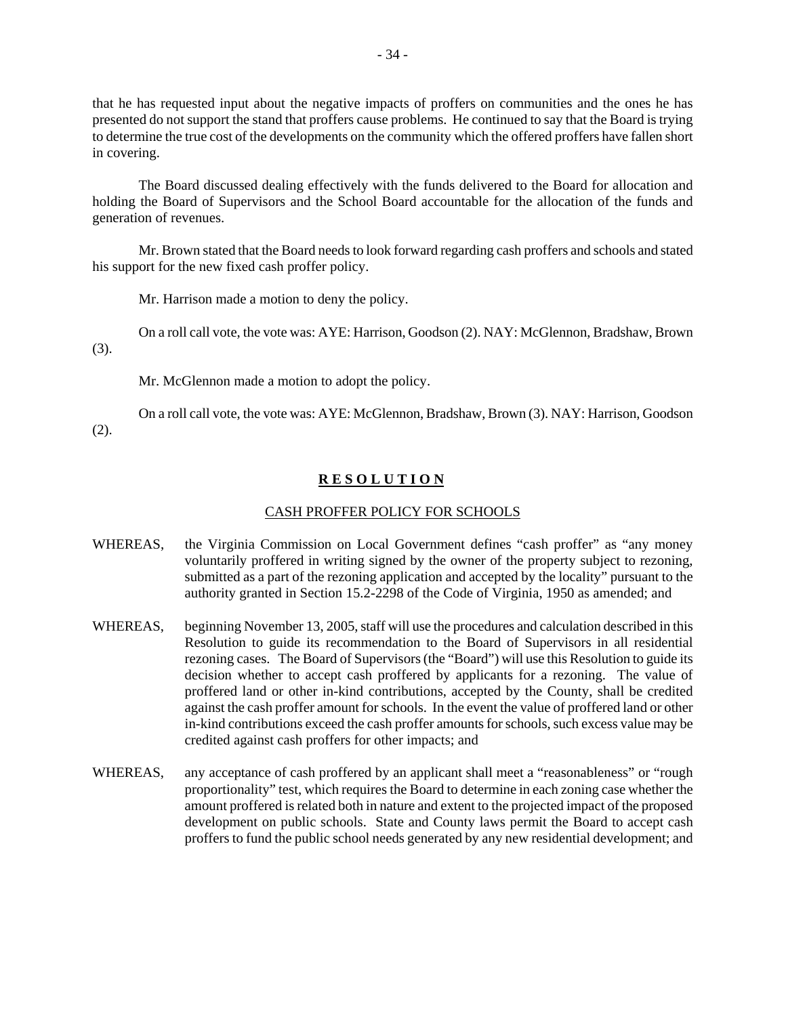that he has requested input about the negative impacts of proffers on communities and the ones he has presented do not support the stand that proffers cause problems. He continued to say that the Board is trying to determine the true cost of the developments on the community which the offered proffers have fallen short in covering.

The Board discussed dealing effectively with the funds delivered to the Board for allocation and holding the Board of Supervisors and the School Board accountable for the allocation of the funds and generation of revenues.

Mr. Brown stated that the Board needs to look forward regarding cash proffers and schools and stated his support for the new fixed cash proffer policy.

Mr. Harrison made a motion to deny the policy.

On a roll call vote, the vote was: AYE: Harrison, Goodson (2). NAY: McGlennon, Bradshaw, Brown

(3).

Mr. McGlennon made a motion to adopt the policy.

On a roll call vote, the vote was: AYE: McGlennon, Bradshaw, Brown (3). NAY: Harrison, Goodson

(2).

# **R E S O L U T I O N**

## CASH PROFFER POLICY FOR SCHOOLS

- WHEREAS, the Virginia Commission on Local Government defines "cash proffer" as "any money voluntarily proffered in writing signed by the owner of the property subject to rezoning, submitted as a part of the rezoning application and accepted by the locality" pursuant to the authority granted in Section 15.2-2298 of the Code of Virginia, 1950 as amended; and
- WHEREAS, beginning November 13, 2005, staff will use the procedures and calculation described in this Resolution to guide its recommendation to the Board of Supervisors in all residential rezoning cases. The Board of Supervisors (the "Board") will use this Resolution to guide its decision whether to accept cash proffered by applicants for a rezoning. The value of proffered land or other in-kind contributions, accepted by the County, shall be credited against the cash proffer amount for schools. In the event the value of proffered land or other in-kind contributions exceed the cash proffer amounts for schools, such excess value may be credited against cash proffers for other impacts; and
- WHEREAS, any acceptance of cash proffered by an applicant shall meet a "reasonableness" or "rough proportionality" test, which requires the Board to determine in each zoning case whether the amount proffered is related both in nature and extent to the projected impact of the proposed development on public schools. State and County laws permit the Board to accept cash proffers to fund the public school needs generated by any new residential development; and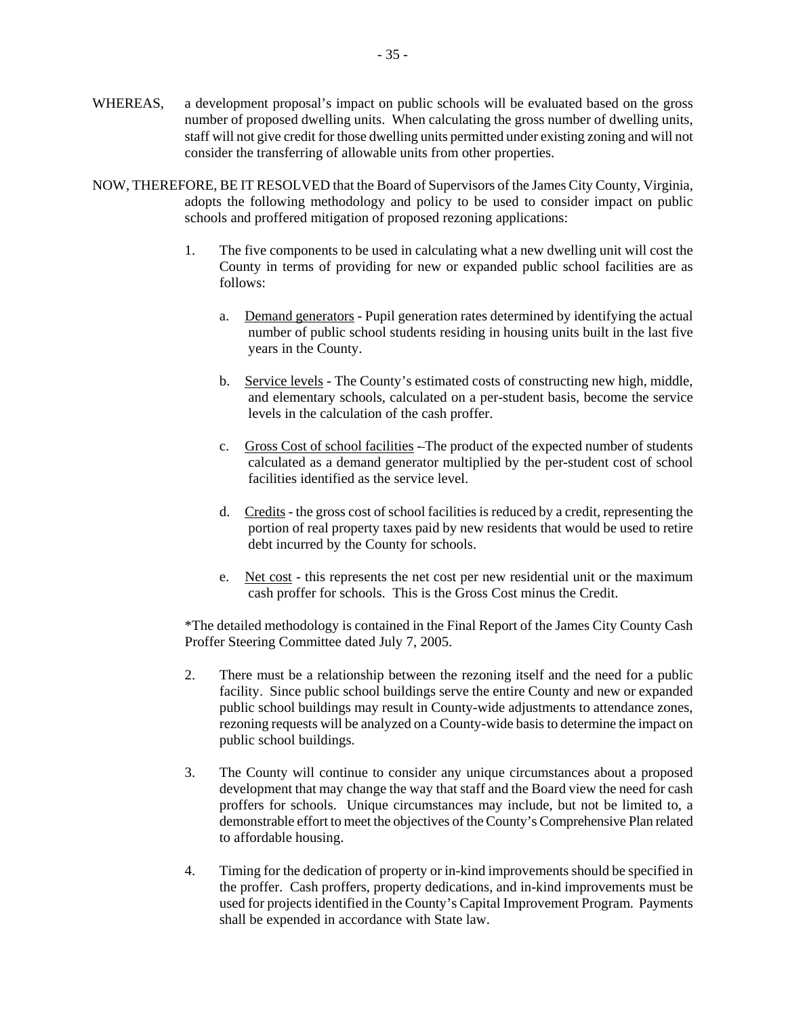- WHEREAS, a development proposal's impact on public schools will be evaluated based on the gross number of proposed dwelling units. When calculating the gross number of dwelling units, staff will not give credit for those dwelling units permitted under existing zoning and will not consider the transferring of allowable units from other properties.
- NOW, THEREFORE, BE IT RESOLVED that the Board of Supervisors of the James City County, Virginia, adopts the following methodology and policy to be used to consider impact on public schools and proffered mitigation of proposed rezoning applications:
	- 1. The five components to be used in calculating what a new dwelling unit will cost the County in terms of providing for new or expanded public school facilities are as follows:
		- a. Demand generators Pupil generation rates determined by identifying the actual number of public school students residing in housing units built in the last five years in the County.
		- b. Service levels The County's estimated costs of constructing new high, middle, and elementary schools, calculated on a per-student basis, become the service levels in the calculation of the cash proffer.
		- c. Gross Cost of school facilities The product of the expected number of students calculated as a demand generator multiplied by the per-student cost of school facilities identified as the service level.
		- d. Credits the gross cost of school facilities is reduced by a credit, representing the portion of real property taxes paid by new residents that would be used to retire debt incurred by the County for schools.
		- e. Net cost this represents the net cost per new residential unit or the maximum cash proffer for schools. This is the Gross Cost minus the Credit.

 \*The detailed methodology is contained in the Final Report of the James City County Cash Proffer Steering Committee dated July 7, 2005.

- 2. There must be a relationship between the rezoning itself and the need for a public facility. Since public school buildings serve the entire County and new or expanded public school buildings may result in County-wide adjustments to attendance zones, rezoning requests will be analyzed on a County-wide basis to determine the impact on public school buildings.
- 3. The County will continue to consider any unique circumstances about a proposed development that may change the way that staff and the Board view the need for cash proffers for schools. Unique circumstances may include, but not be limited to, a demonstrable effort to meet the objectives of the County's Comprehensive Plan related to affordable housing.
- 4. Timing for the dedication of property or in-kind improvements should be specified in the proffer. Cash proffers, property dedications, and in-kind improvements must be used for projects identified in the County's Capital Improvement Program. Payments shall be expended in accordance with State law.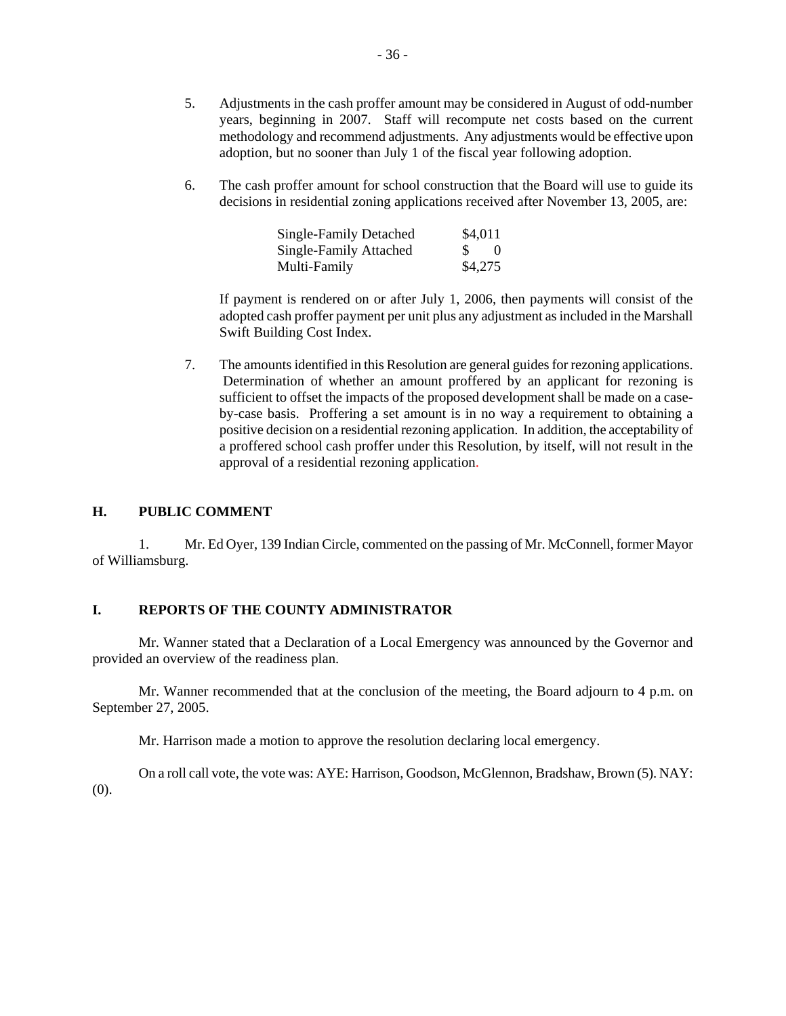- 5. Adjustments in the cash proffer amount may be considered in August of odd-number years, beginning in 2007. Staff will recompute net costs based on the current methodology and recommend adjustments. Any adjustments would be effective upon adoption, but no sooner than July 1 of the fiscal year following adoption.
- 6. The cash proffer amount for school construction that the Board will use to guide its decisions in residential zoning applications received after November 13, 2005, are:

| <b>Single-Family Detached</b> | \$4,011 |
|-------------------------------|---------|
| <b>Single-Family Attached</b> |         |
| Multi-Family                  | \$4,275 |

 If payment is rendered on or after July 1, 2006, then payments will consist of the adopted cash proffer payment per unit plus any adjustment as included in the Marshall Swift Building Cost Index.

 7. The amounts identified in this Resolution are general guides for rezoning applications. Determination of whether an amount proffered by an applicant for rezoning is sufficient to offset the impacts of the proposed development shall be made on a caseby-case basis. Proffering a set amount is in no way a requirement to obtaining a positive decision on a residential rezoning application. In addition, the acceptability of a proffered school cash proffer under this Resolution, by itself, will not result in the approval of a residential rezoning application.

## **H. PUBLIC COMMENT**

1. Mr. Ed Oyer, 139 Indian Circle, commented on the passing of Mr. McConnell, former Mayor of Williamsburg.

### **I. REPORTS OF THE COUNTY ADMINISTRATOR**

Mr. Wanner stated that a Declaration of a Local Emergency was announced by the Governor and provided an overview of the readiness plan.

Mr. Wanner recommended that at the conclusion of the meeting, the Board adjourn to 4 p.m. on September 27, 2005.

Mr. Harrison made a motion to approve the resolution declaring local emergency.

On a roll call vote, the vote was: AYE: Harrison, Goodson, McGlennon, Bradshaw, Brown (5). NAY: (0).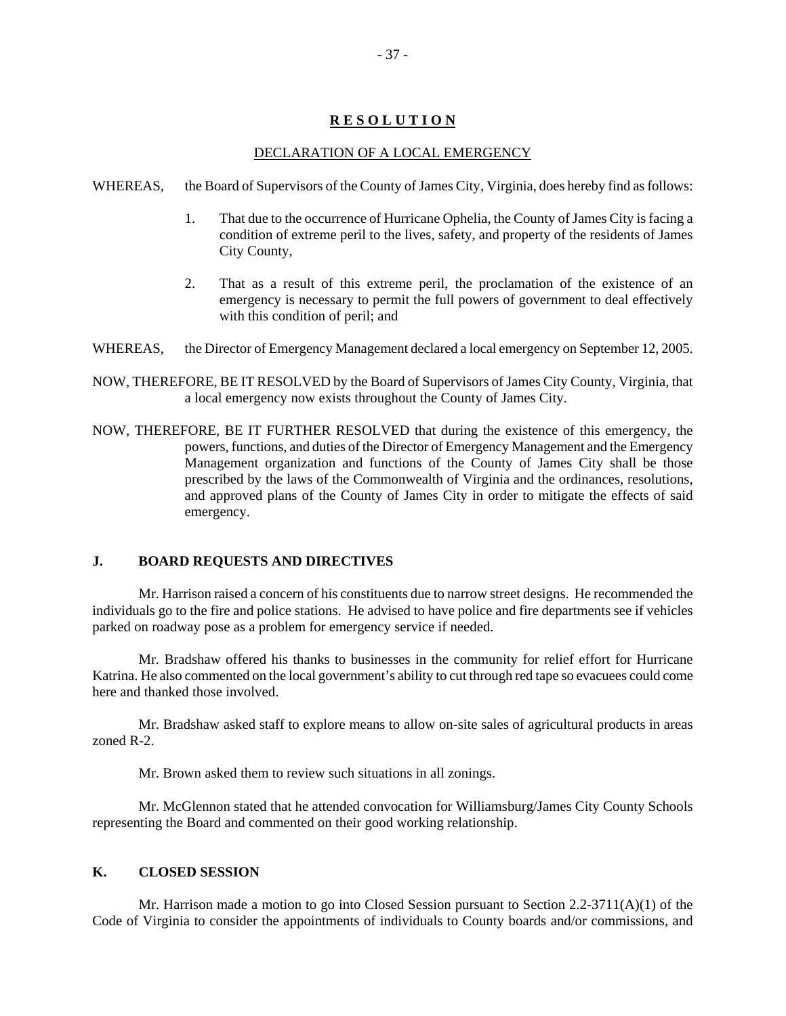# **R E S O L U T I O N**

# DECLARATION OF A LOCAL EMERGENCY

- WHEREAS, the Board of Supervisors of the County of James City, Virginia, does hereby find as follows:
	- 1. That due to the occurrence of Hurricane Ophelia, the County of James City is facing a condition of extreme peril to the lives, safety, and property of the residents of James City County,
	- 2. That as a result of this extreme peril, the proclamation of the existence of an emergency is necessary to permit the full powers of government to deal effectively with this condition of peril; and
- WHEREAS, the Director of Emergency Management declared a local emergency on September 12, 2005.
- NOW, THEREFORE, BE IT RESOLVED by the Board of Supervisors of James City County, Virginia, that a local emergency now exists throughout the County of James City.
- NOW, THEREFORE, BE IT FURTHER RESOLVED that during the existence of this emergency, the powers, functions, and duties of the Director of Emergency Management and the Emergency Management organization and functions of the County of James City shall be those prescribed by the laws of the Commonwealth of Virginia and the ordinances, resolutions, and approved plans of the County of James City in order to mitigate the effects of said emergency.

## **J. BOARD REQUESTS AND DIRECTIVES**

Mr. Harrison raised a concern of his constituents due to narrow street designs. He recommended the individuals go to the fire and police stations. He advised to have police and fire departments see if vehicles parked on roadway pose as a problem for emergency service if needed.

Mr. Bradshaw offered his thanks to businesses in the community for relief effort for Hurricane Katrina. He also commented on the local government's ability to cut through red tape so evacuees could come here and thanked those involved.

Mr. Bradshaw asked staff to explore means to allow on-site sales of agricultural products in areas zoned R-2.

Mr. Brown asked them to review such situations in all zonings.

Mr. McGlennon stated that he attended convocation for Williamsburg/James City County Schools representing the Board and commented on their good working relationship.

## **K. CLOSED SESSION**

Mr. Harrison made a motion to go into Closed Session pursuant to Section  $2.2\n-3711(A)(1)$  of the Code of Virginia to consider the appointments of individuals to County boards and/or commissions, and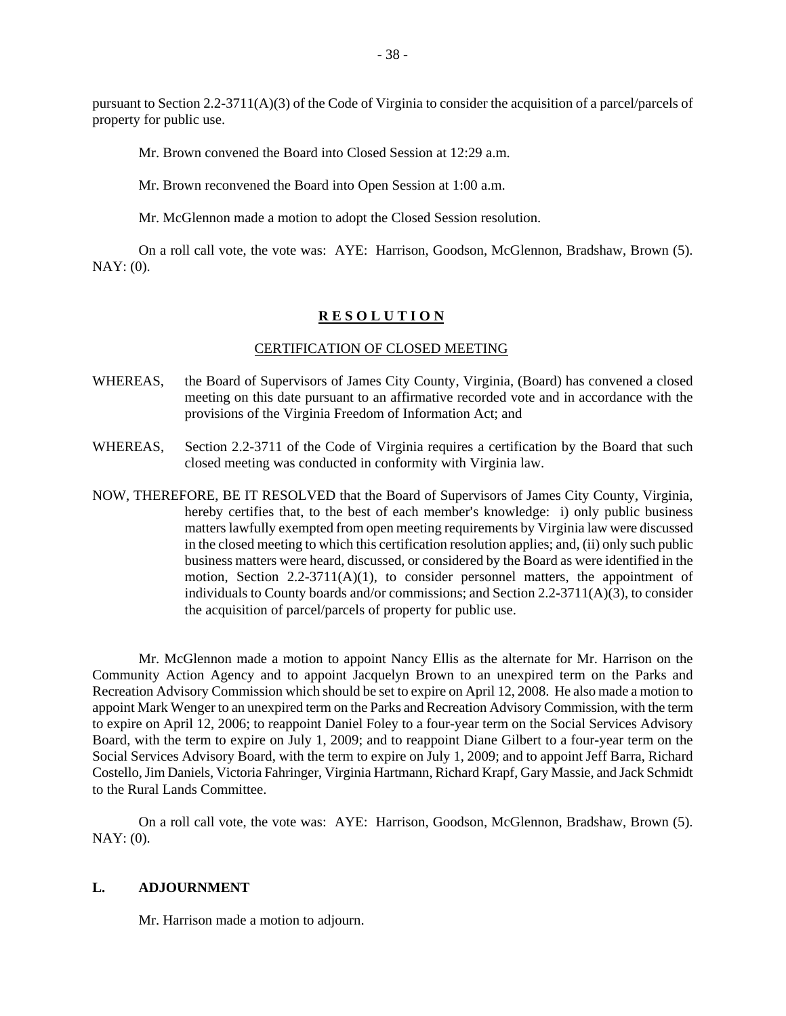pursuant to Section 2.2-3711(A)(3) of the Code of Virginia to consider the acquisition of a parcel/parcels of property for public use.

Mr. Brown convened the Board into Closed Session at 12:29 a.m.

Mr. Brown reconvened the Board into Open Session at 1:00 a.m.

Mr. McGlennon made a motion to adopt the Closed Session resolution.

On a roll call vote, the vote was: AYE: Harrison, Goodson, McGlennon, Bradshaw, Brown (5). NAY: (0).

### **R E S O L U T I O N**

#### CERTIFICATION OF CLOSED MEETING

- WHEREAS, the Board of Supervisors of James City County, Virginia, (Board) has convened a closed meeting on this date pursuant to an affirmative recorded vote and in accordance with the provisions of the Virginia Freedom of Information Act; and
- WHEREAS, Section 2.2-3711 of the Code of Virginia requires a certification by the Board that such closed meeting was conducted in conformity with Virginia law.
- NOW, THEREFORE, BE IT RESOLVED that the Board of Supervisors of James City County, Virginia, hereby certifies that, to the best of each member's knowledge: i) only public business matters lawfully exempted from open meeting requirements by Virginia law were discussed in the closed meeting to which this certification resolution applies; and, (ii) only such public business matters were heard, discussed, or considered by the Board as were identified in the motion, Section 2.2-3711(A)(1), to consider personnel matters, the appointment of individuals to County boards and/or commissions; and Section 2.2-3711( $A$ )(3), to consider the acquisition of parcel/parcels of property for public use.

Mr. McGlennon made a motion to appoint Nancy Ellis as the alternate for Mr. Harrison on the Community Action Agency and to appoint Jacquelyn Brown to an unexpired term on the Parks and Recreation Advisory Commission which should be set to expire on April 12, 2008. He also made a motion to appoint Mark Wenger to an unexpired term on the Parks and Recreation Advisory Commission, with the term to expire on April 12, 2006; to reappoint Daniel Foley to a four-year term on the Social Services Advisory Board, with the term to expire on July 1, 2009; and to reappoint Diane Gilbert to a four-year term on the Social Services Advisory Board, with the term to expire on July 1, 2009; and to appoint Jeff Barra, Richard Costello, Jim Daniels, Victoria Fahringer, Virginia Hartmann, Richard Krapf, Gary Massie, and Jack Schmidt to the Rural Lands Committee.

On a roll call vote, the vote was: AYE: Harrison, Goodson, McGlennon, Bradshaw, Brown (5). NAY: (0).

#### **L. ADJOURNMENT**

Mr. Harrison made a motion to adjourn.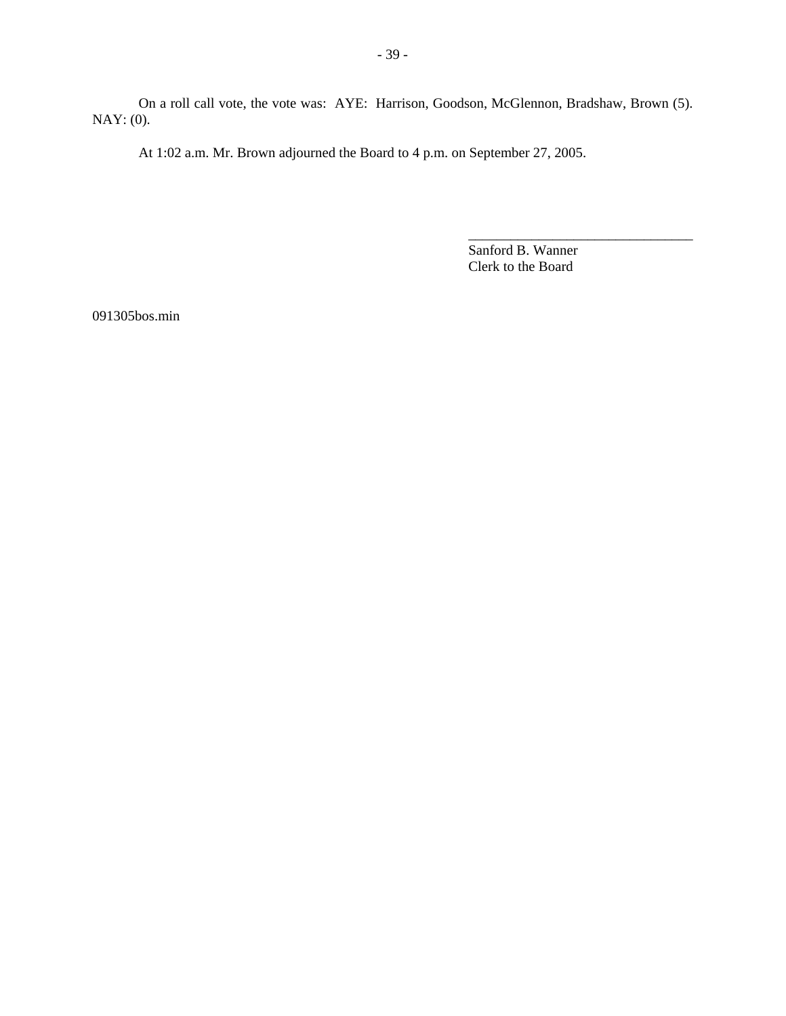On a roll call vote, the vote was: AYE: Harrison, Goodson, McGlennon, Bradshaw, Brown (5). NAY: (0).

At 1:02 a.m. Mr. Brown adjourned the Board to 4 p.m. on September 27, 2005.

Sanford B. Wanner Clerk to the Board

\_\_\_\_\_\_\_\_\_\_\_\_\_\_\_\_\_\_\_\_\_\_\_\_\_\_\_\_\_\_\_\_

091305bos.min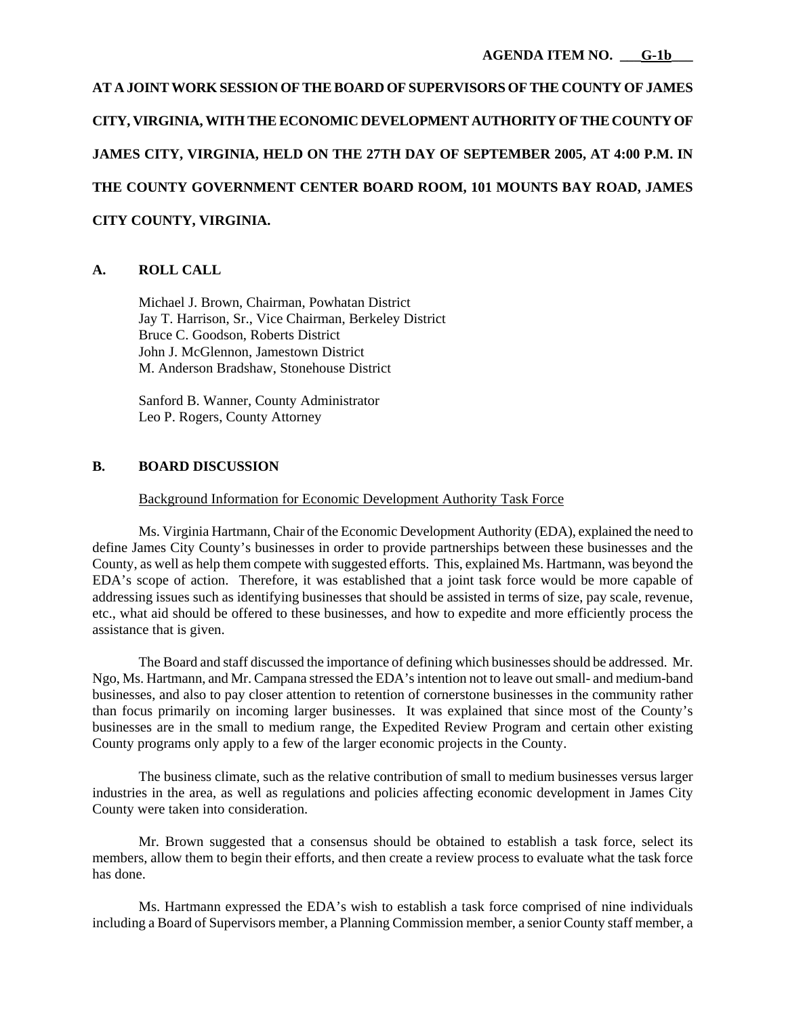**AT A JOINT WORK SESSION OF THE BOARD OF SUPERVISORS OF THE COUNTY OF JAMES CITY, VIRGINIA, WITH THE ECONOMIC DEVELOPMENT AUTHORITY OF THE COUNTY OF JAMES CITY, VIRGINIA, HELD ON THE 27TH DAY OF SEPTEMBER 2005, AT 4:00 P.M. IN THE COUNTY GOVERNMENT CENTER BOARD ROOM, 101 MOUNTS BAY ROAD, JAMES CITY COUNTY, VIRGINIA.**

# **A. ROLL CALL**

 Michael J. Brown, Chairman, Powhatan District Jay T. Harrison, Sr., Vice Chairman, Berkeley District Bruce C. Goodson, Roberts District John J. McGlennon, Jamestown District M. Anderson Bradshaw, Stonehouse District

 Sanford B. Wanner, County Administrator Leo P. Rogers, County Attorney

# **B. BOARD DISCUSSION**

### Background Information for Economic Development Authority Task Force

Ms. Virginia Hartmann, Chair of the Economic Development Authority (EDA), explained the need to define James City County's businesses in order to provide partnerships between these businesses and the County, as well as help them compete with suggested efforts. This, explained Ms. Hartmann, was beyond the EDA's scope of action. Therefore, it was established that a joint task force would be more capable of addressing issues such as identifying businesses that should be assisted in terms of size, pay scale, revenue, etc., what aid should be offered to these businesses, and how to expedite and more efficiently process the assistance that is given.

 The Board and staff discussed the importance of defining which businesses should be addressed. Mr. Ngo, Ms. Hartmann, and Mr. Campana stressed the EDA's intention not to leave out small- and medium-band businesses, and also to pay closer attention to retention of cornerstone businesses in the community rather than focus primarily on incoming larger businesses. It was explained that since most of the County's businesses are in the small to medium range, the Expedited Review Program and certain other existing County programs only apply to a few of the larger economic projects in the County.

The business climate, such as the relative contribution of small to medium businesses versus larger industries in the area, as well as regulations and policies affecting economic development in James City County were taken into consideration.

Mr. Brown suggested that a consensus should be obtained to establish a task force, select its members, allow them to begin their efforts, and then create a review process to evaluate what the task force has done.

 Ms. Hartmann expressed the EDA's wish to establish a task force comprised of nine individuals including a Board of Supervisors member, a Planning Commission member, a senior County staff member, a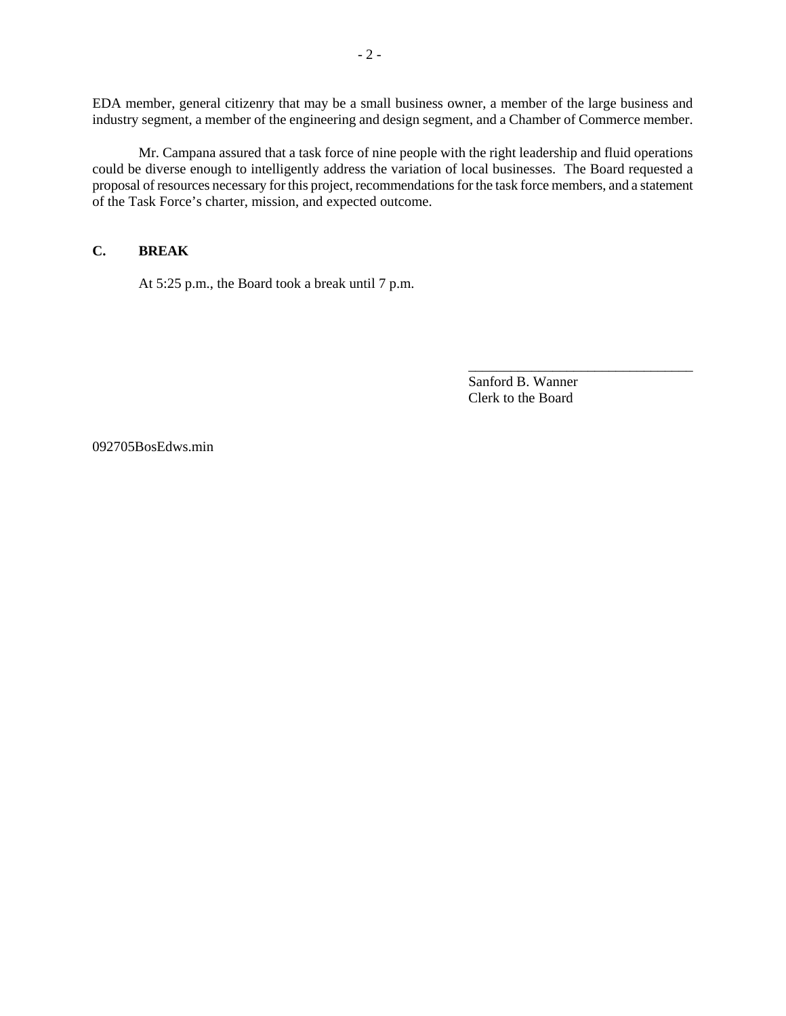EDA member, general citizenry that may be a small business owner, a member of the large business and industry segment, a member of the engineering and design segment, and a Chamber of Commerce member.

 Mr. Campana assured that a task force of nine people with the right leadership and fluid operations could be diverse enough to intelligently address the variation of local businesses. The Board requested a proposal of resources necessary for this project, recommendations for the task force members, and a statement of the Task Force's charter, mission, and expected outcome.

# **C. BREAK**

At 5:25 p.m., the Board took a break until 7 p.m.

Sanford B. Wanner Clerk to the Board

\_\_\_\_\_\_\_\_\_\_\_\_\_\_\_\_\_\_\_\_\_\_\_\_\_\_\_\_\_\_\_\_

092705BosEdws.min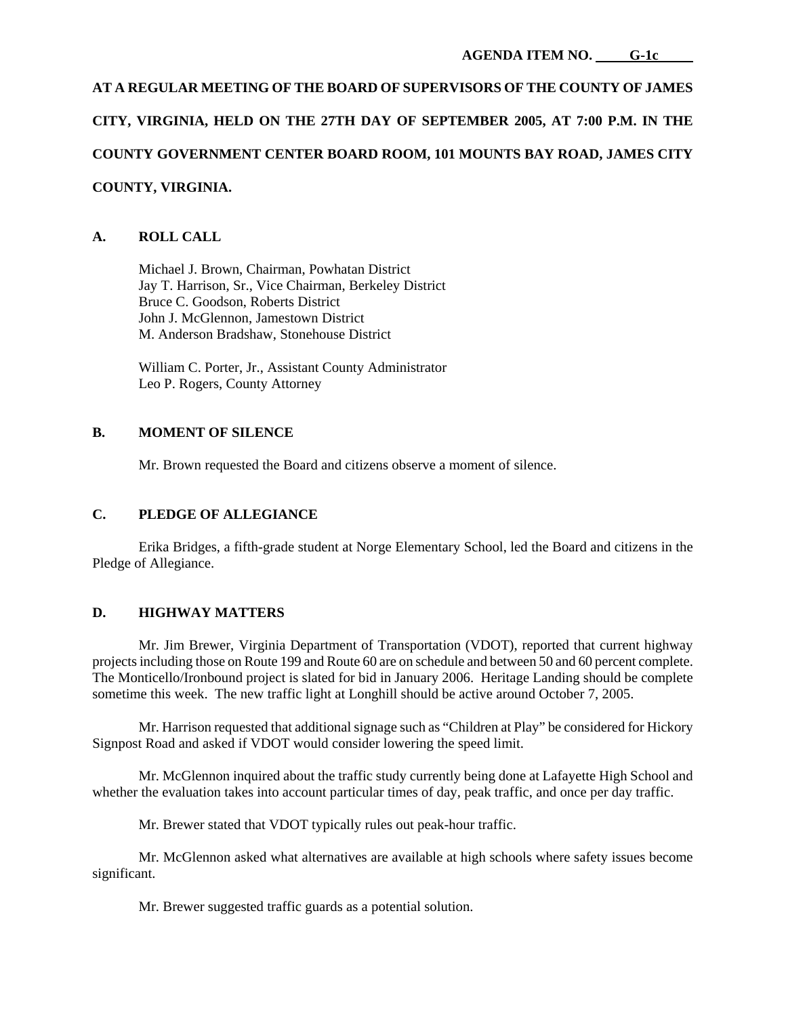# **AT A REGULAR MEETING OF THE BOARD OF SUPERVISORS OF THE COUNTY OF JAMES CITY, VIRGINIA, HELD ON THE 27TH DAY OF SEPTEMBER 2005, AT 7:00 P.M. IN THE COUNTY GOVERNMENT CENTER BOARD ROOM, 101 MOUNTS BAY ROAD, JAMES CITY COUNTY, VIRGINIA.**

# **A. ROLL CALL**

 Michael J. Brown, Chairman, Powhatan District Jay T. Harrison, Sr., Vice Chairman, Berkeley District Bruce C. Goodson, Roberts District John J. McGlennon, Jamestown District M. Anderson Bradshaw, Stonehouse District

 William C. Porter, Jr., Assistant County Administrator Leo P. Rogers, County Attorney

# **B. MOMENT OF SILENCE**

Mr. Brown requested the Board and citizens observe a moment of silence.

# **C. PLEDGE OF ALLEGIANCE**

 Erika Bridges, a fifth-grade student at Norge Elementary School, led the Board and citizens in the Pledge of Allegiance.

## **D. HIGHWAY MATTERS**

 Mr. Jim Brewer, Virginia Department of Transportation (VDOT), reported that current highway projects including those on Route 199 and Route 60 are on schedule and between 50 and 60 percent complete. The Monticello/Ironbound project is slated for bid in January 2006. Heritage Landing should be complete sometime this week. The new traffic light at Longhill should be active around October 7, 2005.

 Mr. Harrison requested that additional signage such as "Children at Play" be considered for Hickory Signpost Road and asked if VDOT would consider lowering the speed limit.

 Mr. McGlennon inquired about the traffic study currently being done at Lafayette High School and whether the evaluation takes into account particular times of day, peak traffic, and once per day traffic.

Mr. Brewer stated that VDOT typically rules out peak-hour traffic.

 Mr. McGlennon asked what alternatives are available at high schools where safety issues become significant.

Mr. Brewer suggested traffic guards as a potential solution.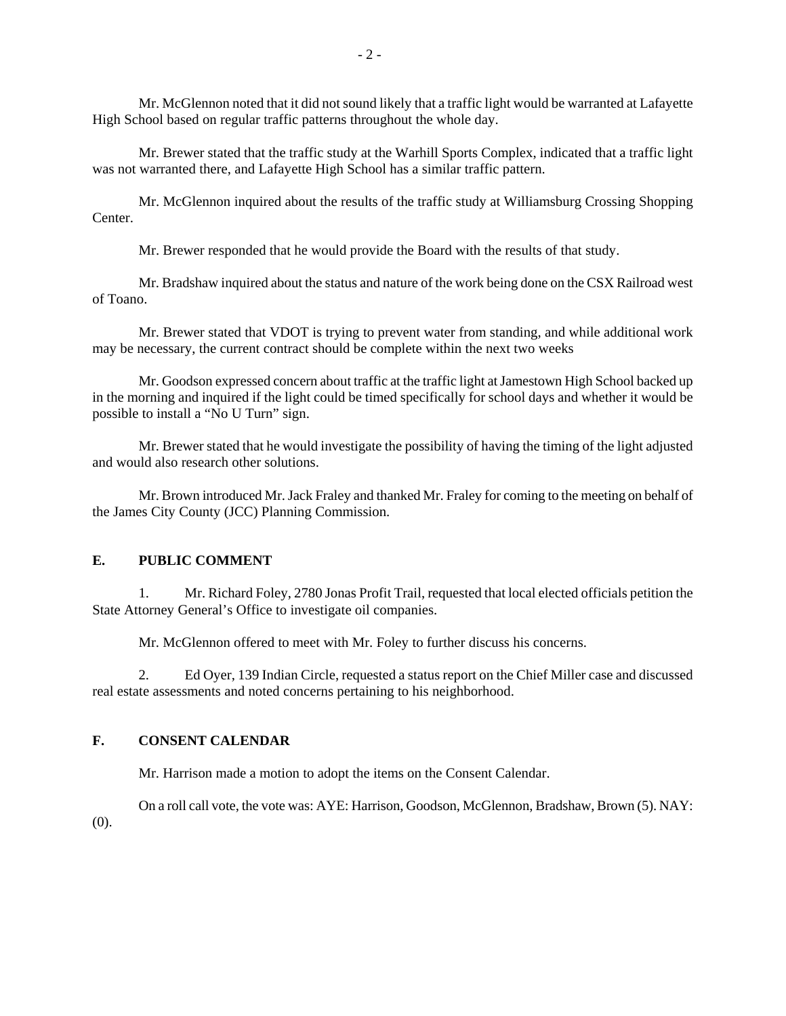Mr. McGlennon noted that it did not sound likely that a traffic light would be warranted at Lafayette High School based on regular traffic patterns throughout the whole day.

 Mr. Brewer stated that the traffic study at the Warhill Sports Complex, indicated that a traffic light was not warranted there, and Lafayette High School has a similar traffic pattern.

 Mr. McGlennon inquired about the results of the traffic study at Williamsburg Crossing Shopping **Center** 

Mr. Brewer responded that he would provide the Board with the results of that study.

 Mr. Bradshaw inquired about the status and nature of the work being done on the CSX Railroad west of Toano.

 Mr. Brewer stated that VDOT is trying to prevent water from standing, and while additional work may be necessary, the current contract should be complete within the next two weeks

 Mr. Goodson expressed concern about traffic at the traffic light at Jamestown High School backed up in the morning and inquired if the light could be timed specifically for school days and whether it would be possible to install a "No U Turn" sign.

 Mr. Brewer stated that he would investigate the possibility of having the timing of the light adjusted and would also research other solutions.

 Mr. Brown introduced Mr. Jack Fraley and thanked Mr. Fraley for coming to the meeting on behalf of the James City County (JCC) Planning Commission.

#### **E. PUBLIC COMMENT**

 1. Mr. Richard Foley, 2780 Jonas Profit Trail, requested that local elected officials petition the State Attorney General's Office to investigate oil companies.

Mr. McGlennon offered to meet with Mr. Foley to further discuss his concerns.

 2. Ed Oyer, 139 Indian Circle, requested a status report on the Chief Miller case and discussed real estate assessments and noted concerns pertaining to his neighborhood.

# **F. CONSENT CALENDAR**

Mr. Harrison made a motion to adopt the items on the Consent Calendar.

 On a roll call vote, the vote was: AYE: Harrison, Goodson, McGlennon, Bradshaw, Brown (5). NAY: (0).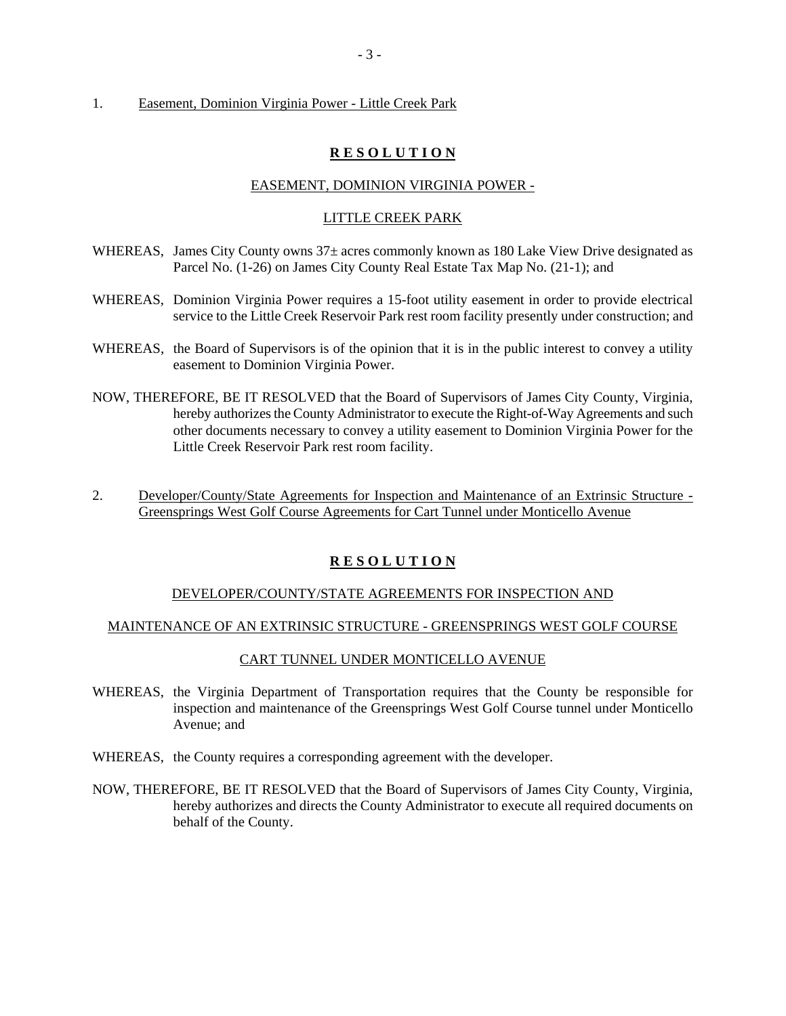#### 1. Easement, Dominion Virginia Power - Little Creek Park

## **R E S O L U T I O N**

#### EASEMENT, DOMINION VIRGINIA POWER -

## LITTLE CREEK PARK

- WHEREAS, James City County owns  $37\pm$  acres commonly known as 180 Lake View Drive designated as Parcel No. (1-26) on James City County Real Estate Tax Map No. (21-1); and
- WHEREAS, Dominion Virginia Power requires a 15-foot utility easement in order to provide electrical service to the Little Creek Reservoir Park rest room facility presently under construction; and
- WHEREAS, the Board of Supervisors is of the opinion that it is in the public interest to convey a utility easement to Dominion Virginia Power.
- NOW, THEREFORE, BE IT RESOLVED that the Board of Supervisors of James City County, Virginia, hereby authorizes the County Administrator to execute the Right-of-Way Agreements and such other documents necessary to convey a utility easement to Dominion Virginia Power for the Little Creek Reservoir Park rest room facility.
- 2. Developer/County/State Agreements for Inspection and Maintenance of an Extrinsic Structure Greensprings West Golf Course Agreements for Cart Tunnel under Monticello Avenue

## **R E S O L U T I O N**

#### DEVELOPER/COUNTY/STATE AGREEMENTS FOR INSPECTION AND

#### MAINTENANCE OF AN EXTRINSIC STRUCTURE - GREENSPRINGS WEST GOLF COURSE

#### CART TUNNEL UNDER MONTICELLO AVENUE

- WHEREAS, the Virginia Department of Transportation requires that the County be responsible for inspection and maintenance of the Greensprings West Golf Course tunnel under Monticello Avenue; and
- WHEREAS, the County requires a corresponding agreement with the developer.
- NOW, THEREFORE, BE IT RESOLVED that the Board of Supervisors of James City County, Virginia, hereby authorizes and directs the County Administrator to execute all required documents on behalf of the County.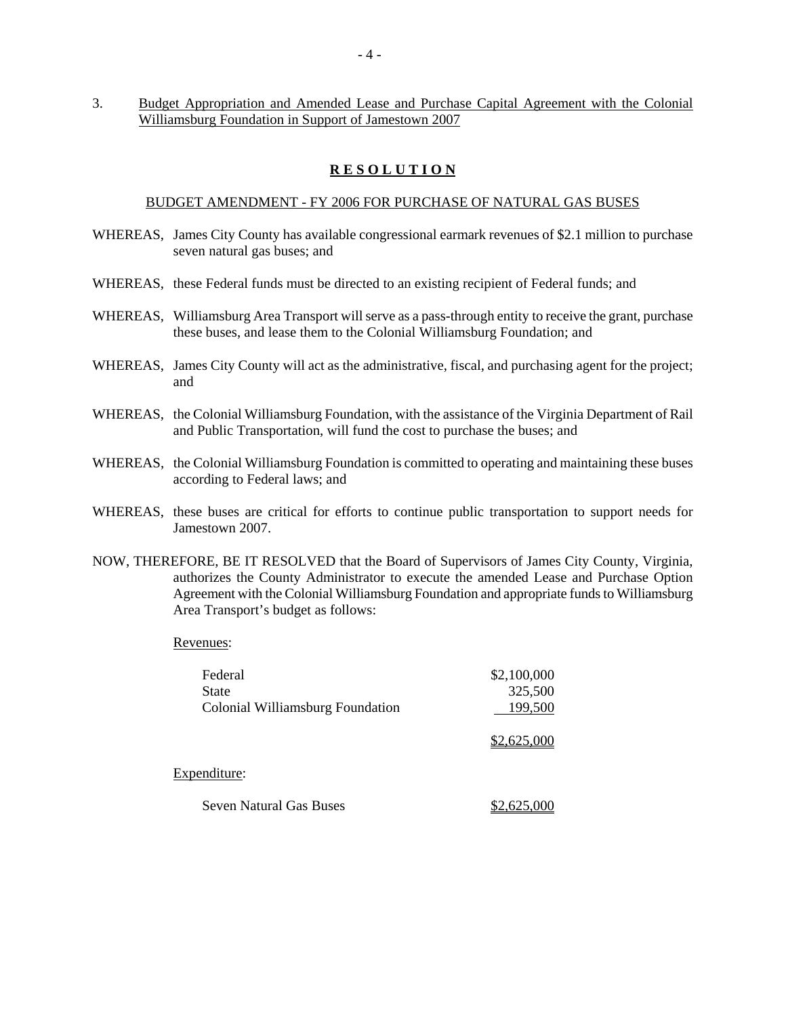3. Budget Appropriation and Amended Lease and Purchase Capital Agreement with the Colonial Williamsburg Foundation in Support of Jamestown 2007

# **R E S O L U T I O N**

#### BUDGET AMENDMENT - FY 2006 FOR PURCHASE OF NATURAL GAS BUSES

- WHEREAS, James City County has available congressional earmark revenues of \$2.1 million to purchase seven natural gas buses; and
- WHEREAS, these Federal funds must be directed to an existing recipient of Federal funds; and
- WHEREAS, Williamsburg Area Transport will serve as a pass-through entity to receive the grant, purchase these buses, and lease them to the Colonial Williamsburg Foundation; and
- WHEREAS, James City County will act as the administrative, fiscal, and purchasing agent for the project; and
- WHEREAS, the Colonial Williamsburg Foundation, with the assistance of the Virginia Department of Rail and Public Transportation, will fund the cost to purchase the buses; and
- WHEREAS, the Colonial Williamsburg Foundation is committed to operating and maintaining these buses according to Federal laws; and
- WHEREAS, these buses are critical for efforts to continue public transportation to support needs for Jamestown 2007.
- NOW, THEREFORE, BE IT RESOLVED that the Board of Supervisors of James City County, Virginia, authorizes the County Administrator to execute the amended Lease and Purchase Option Agreement with the Colonial Williamsburg Foundation and appropriate funds to Williamsburg Area Transport's budget as follows:

#### Revenues:

| Federal                                 | \$2,100,000 |
|-----------------------------------------|-------------|
| <b>State</b>                            | 325,500     |
| <b>Colonial Williamsburg Foundation</b> | 199,500     |
|                                         | \$2,625,000 |
| Expenditure:                            |             |
| <b>Seven Natural Gas Buses</b>          | 2,625,000   |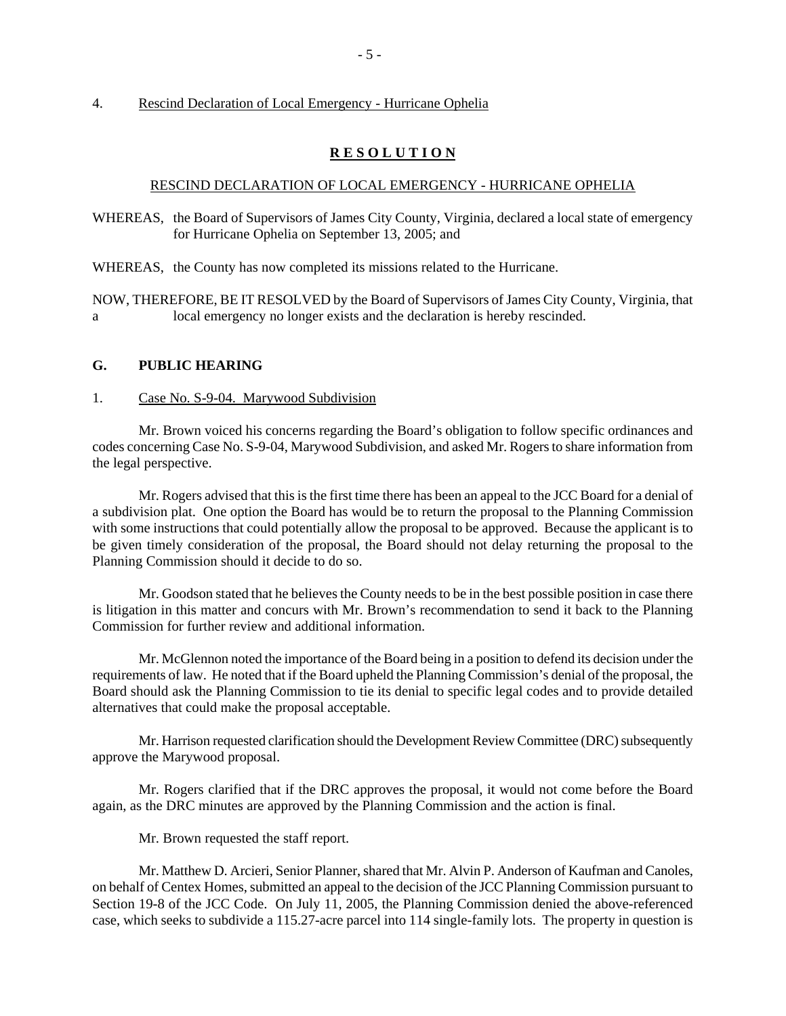## 4. Rescind Declaration of Local Emergency - Hurricane Ophelia

## **R E S O L U T I O N**

#### RESCIND DECLARATION OF LOCAL EMERGENCY - HURRICANE OPHELIA

- WHEREAS, the Board of Supervisors of James City County, Virginia, declared a local state of emergency for Hurricane Ophelia on September 13, 2005; and
- WHEREAS, the County has now completed its missions related to the Hurricane.

NOW, THEREFORE, BE IT RESOLVED by the Board of Supervisors of James City County, Virginia, that a local emergency no longer exists and the declaration is hereby rescinded.

#### **G. PUBLIC HEARING**

#### 1. Case No. S-9-04. Marywood Subdivision

 Mr. Brown voiced his concerns regarding the Board's obligation to follow specific ordinances and codes concerning Case No. S-9-04, Marywood Subdivision, and asked Mr. Rogers to share information from the legal perspective.

 Mr. Rogers advised that this is the first time there has been an appeal to the JCC Board for a denial of a subdivision plat. One option the Board has would be to return the proposal to the Planning Commission with some instructions that could potentially allow the proposal to be approved. Because the applicant is to be given timely consideration of the proposal, the Board should not delay returning the proposal to the Planning Commission should it decide to do so.

 Mr. Goodson stated that he believes the County needs to be in the best possible position in case there is litigation in this matter and concurs with Mr. Brown's recommendation to send it back to the Planning Commission for further review and additional information.

 Mr. McGlennon noted the importance of the Board being in a position to defend its decision under the requirements of law. He noted that if the Board upheld the Planning Commission's denial of the proposal, the Board should ask the Planning Commission to tie its denial to specific legal codes and to provide detailed alternatives that could make the proposal acceptable.

 Mr. Harrison requested clarification should the Development Review Committee (DRC) subsequently approve the Marywood proposal.

 Mr. Rogers clarified that if the DRC approves the proposal, it would not come before the Board again, as the DRC minutes are approved by the Planning Commission and the action is final.

Mr. Brown requested the staff report.

 Mr. Matthew D. Arcieri, Senior Planner, shared that Mr. Alvin P. Anderson of Kaufman and Canoles, on behalf of Centex Homes, submitted an appeal to the decision of the JCC Planning Commission pursuant to Section 19-8 of the JCC Code. On July 11, 2005, the Planning Commission denied the above-referenced case, which seeks to subdivide a 115.27-acre parcel into 114 single-family lots. The property in question is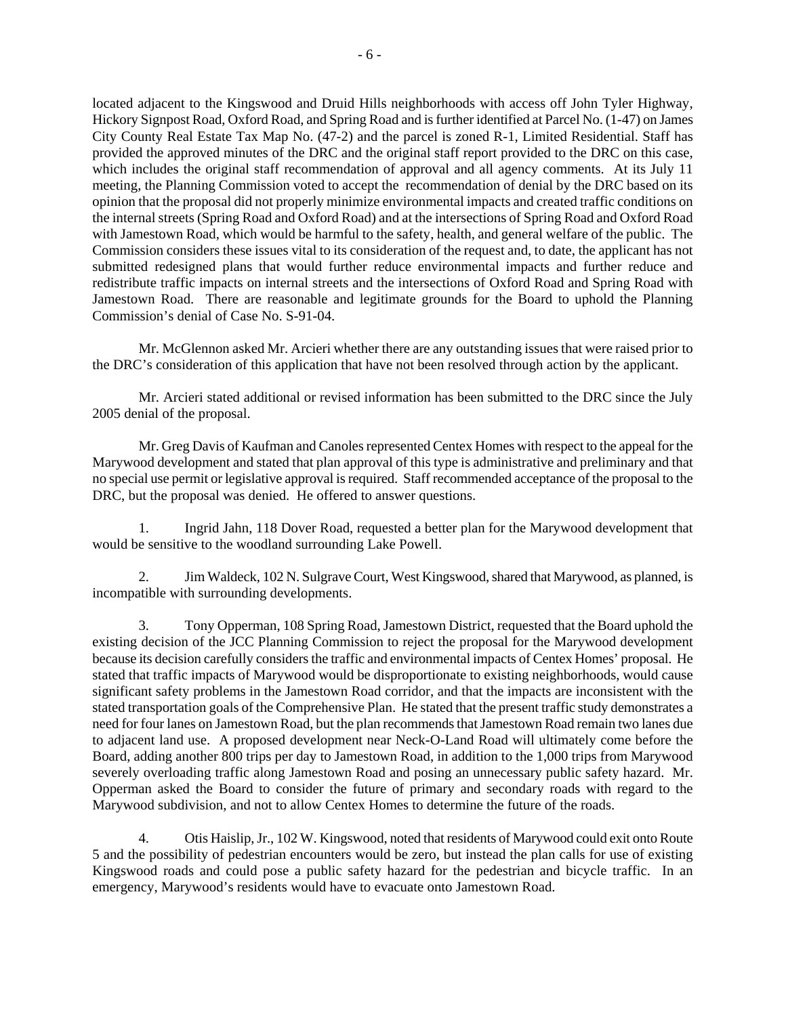located adjacent to the Kingswood and Druid Hills neighborhoods with access off John Tyler Highway, Hickory Signpost Road, Oxford Road, and Spring Road and is further identified at Parcel No. (1-47) on James City County Real Estate Tax Map No. (47-2) and the parcel is zoned R-1, Limited Residential. Staff has provided the approved minutes of the DRC and the original staff report provided to the DRC on this case, which includes the original staff recommendation of approval and all agency comments. At its July 11 meeting, the Planning Commission voted to accept the recommendation of denial by the DRC based on its opinion that the proposal did not properly minimize environmental impacts and created traffic conditions on the internal streets (Spring Road and Oxford Road) and at the intersections of Spring Road and Oxford Road with Jamestown Road, which would be harmful to the safety, health, and general welfare of the public. The Commission considers these issues vital to its consideration of the request and, to date, the applicant has not submitted redesigned plans that would further reduce environmental impacts and further reduce and redistribute traffic impacts on internal streets and the intersections of Oxford Road and Spring Road with Jamestown Road. There are reasonable and legitimate grounds for the Board to uphold the Planning Commission's denial of Case No. S-91-04.

 Mr. McGlennon asked Mr. Arcieri whether there are any outstanding issues that were raised prior to the DRC's consideration of this application that have not been resolved through action by the applicant.

 Mr. Arcieri stated additional or revised information has been submitted to the DRC since the July 2005 denial of the proposal.

 Mr. Greg Davis of Kaufman and Canoles represented Centex Homes with respect to the appeal for the Marywood development and stated that plan approval of this type is administrative and preliminary and that no special use permit or legislative approval is required. Staff recommended acceptance of the proposal to the DRC, but the proposal was denied. He offered to answer questions.

 1. Ingrid Jahn, 118 Dover Road, requested a better plan for the Marywood development that would be sensitive to the woodland surrounding Lake Powell.

 2. Jim Waldeck, 102 N. Sulgrave Court, West Kingswood, shared that Marywood, as planned, is incompatible with surrounding developments.

 3. Tony Opperman, 108 Spring Road, Jamestown District, requested that the Board uphold the existing decision of the JCC Planning Commission to reject the proposal for the Marywood development because its decision carefully considers the traffic and environmental impacts of Centex Homes' proposal. He stated that traffic impacts of Marywood would be disproportionate to existing neighborhoods, would cause significant safety problems in the Jamestown Road corridor, and that the impacts are inconsistent with the stated transportation goals of the Comprehensive Plan. He stated that the present traffic study demonstrates a need for four lanes on Jamestown Road, but the plan recommends that Jamestown Road remain two lanes due to adjacent land use. A proposed development near Neck-O-Land Road will ultimately come before the Board, adding another 800 trips per day to Jamestown Road, in addition to the 1,000 trips from Marywood severely overloading traffic along Jamestown Road and posing an unnecessary public safety hazard. Mr. Opperman asked the Board to consider the future of primary and secondary roads with regard to the Marywood subdivision, and not to allow Centex Homes to determine the future of the roads.

 4. Otis Haislip, Jr., 102 W. Kingswood, noted that residents of Marywood could exit onto Route 5 and the possibility of pedestrian encounters would be zero, but instead the plan calls for use of existing Kingswood roads and could pose a public safety hazard for the pedestrian and bicycle traffic. In an emergency, Marywood's residents would have to evacuate onto Jamestown Road.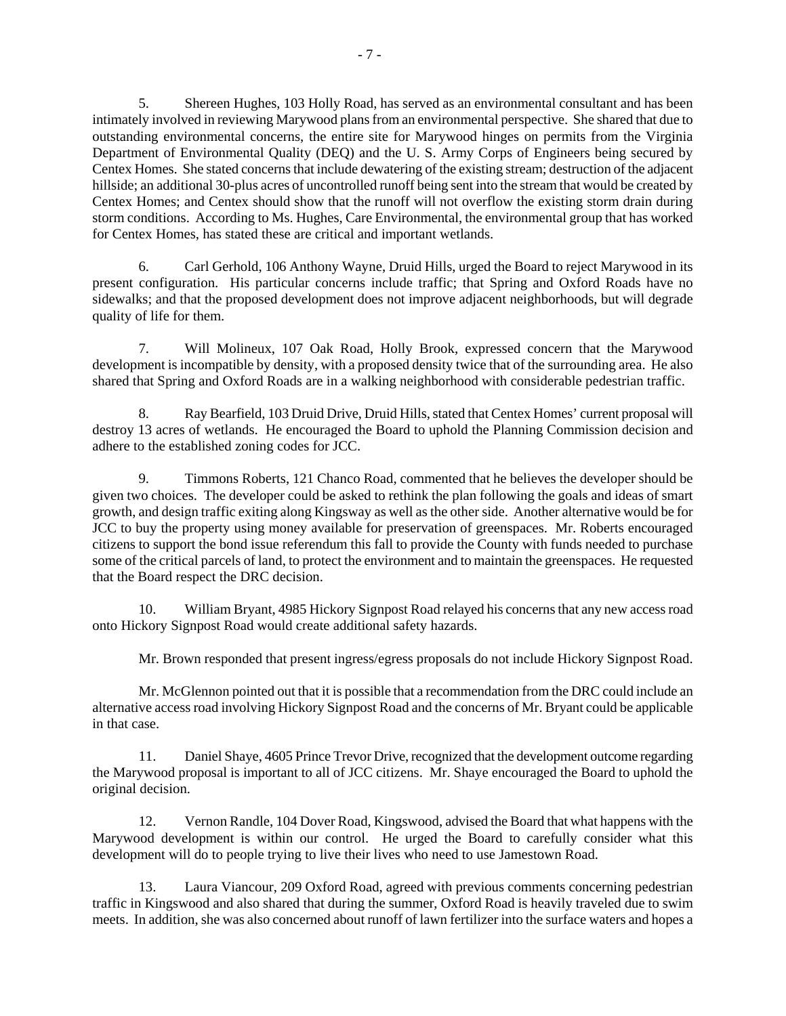5. Shereen Hughes, 103 Holly Road, has served as an environmental consultant and has been intimately involved in reviewing Marywood plans from an environmental perspective. She shared that due to outstanding environmental concerns, the entire site for Marywood hinges on permits from the Virginia Department of Environmental Quality (DEQ) and the U. S. Army Corps of Engineers being secured by Centex Homes. She stated concerns that include dewatering of the existing stream; destruction of the adjacent hillside; an additional 30-plus acres of uncontrolled runoff being sent into the stream that would be created by Centex Homes; and Centex should show that the runoff will not overflow the existing storm drain during storm conditions. According to Ms. Hughes, Care Environmental, the environmental group that has worked for Centex Homes, has stated these are critical and important wetlands.

 6. Carl Gerhold, 106 Anthony Wayne, Druid Hills, urged the Board to reject Marywood in its present configuration. His particular concerns include traffic; that Spring and Oxford Roads have no sidewalks; and that the proposed development does not improve adjacent neighborhoods, but will degrade quality of life for them.

 7. Will Molineux, 107 Oak Road, Holly Brook, expressed concern that the Marywood development is incompatible by density, with a proposed density twice that of the surrounding area. He also shared that Spring and Oxford Roads are in a walking neighborhood with considerable pedestrian traffic.

 8. Ray Bearfield, 103 Druid Drive, Druid Hills, stated that Centex Homes' current proposal will destroy 13 acres of wetlands. He encouraged the Board to uphold the Planning Commission decision and adhere to the established zoning codes for JCC.

 9. Timmons Roberts, 121 Chanco Road, commented that he believes the developer should be given two choices. The developer could be asked to rethink the plan following the goals and ideas of smart growth, and design traffic exiting along Kingsway as well as the other side. Another alternative would be for JCC to buy the property using money available for preservation of greenspaces. Mr. Roberts encouraged citizens to support the bond issue referendum this fall to provide the County with funds needed to purchase some of the critical parcels of land, to protect the environment and to maintain the greenspaces. He requested that the Board respect the DRC decision.

 10. William Bryant, 4985 Hickory Signpost Road relayed his concerns that any new access road onto Hickory Signpost Road would create additional safety hazards.

Mr. Brown responded that present ingress/egress proposals do not include Hickory Signpost Road.

 Mr. McGlennon pointed out that it is possible that a recommendation from the DRC could include an alternative access road involving Hickory Signpost Road and the concerns of Mr. Bryant could be applicable in that case.

 11. Daniel Shaye, 4605 Prince Trevor Drive, recognized that the development outcome regarding the Marywood proposal is important to all of JCC citizens. Mr. Shaye encouraged the Board to uphold the original decision.

 12. Vernon Randle, 104 Dover Road, Kingswood, advised the Board that what happens with the Marywood development is within our control. He urged the Board to carefully consider what this development will do to people trying to live their lives who need to use Jamestown Road.

 13. Laura Viancour, 209 Oxford Road, agreed with previous comments concerning pedestrian traffic in Kingswood and also shared that during the summer, Oxford Road is heavily traveled due to swim meets. In addition, she was also concerned about runoff of lawn fertilizer into the surface waters and hopes a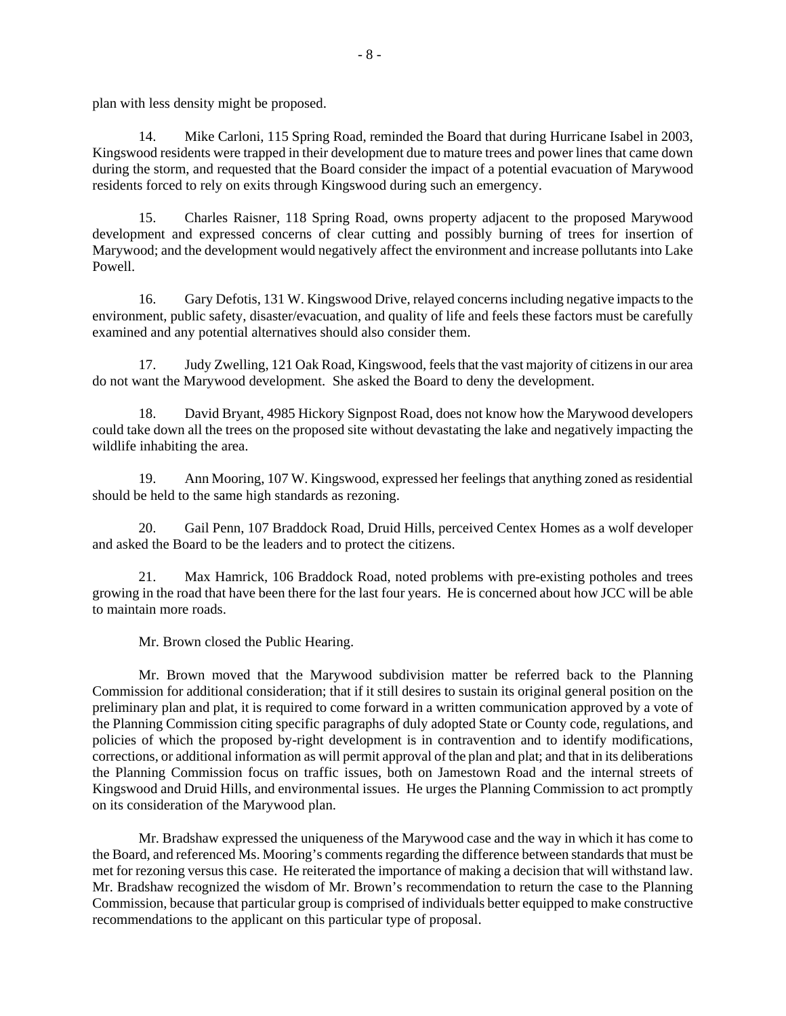plan with less density might be proposed.

 14. Mike Carloni, 115 Spring Road, reminded the Board that during Hurricane Isabel in 2003, Kingswood residents were trapped in their development due to mature trees and power lines that came down during the storm, and requested that the Board consider the impact of a potential evacuation of Marywood residents forced to rely on exits through Kingswood during such an emergency.

 15. Charles Raisner, 118 Spring Road, owns property adjacent to the proposed Marywood development and expressed concerns of clear cutting and possibly burning of trees for insertion of Marywood; and the development would negatively affect the environment and increase pollutants into Lake Powell.

 16. Gary Defotis, 131 W. Kingswood Drive, relayed concerns including negative impacts to the environment, public safety, disaster/evacuation, and quality of life and feels these factors must be carefully examined and any potential alternatives should also consider them.

 17. Judy Zwelling, 121 Oak Road, Kingswood, feels that the vast majority of citizens in our area do not want the Marywood development. She asked the Board to deny the development.

 18. David Bryant, 4985 Hickory Signpost Road, does not know how the Marywood developers could take down all the trees on the proposed site without devastating the lake and negatively impacting the wildlife inhabiting the area.

 19. Ann Mooring, 107 W. Kingswood, expressed her feelings that anything zoned as residential should be held to the same high standards as rezoning.

 20. Gail Penn, 107 Braddock Road, Druid Hills, perceived Centex Homes as a wolf developer and asked the Board to be the leaders and to protect the citizens.

 21. Max Hamrick, 106 Braddock Road, noted problems with pre-existing potholes and trees growing in the road that have been there for the last four years. He is concerned about how JCC will be able to maintain more roads.

Mr. Brown closed the Public Hearing.

 Mr. Brown moved that the Marywood subdivision matter be referred back to the Planning Commission for additional consideration; that if it still desires to sustain its original general position on the preliminary plan and plat, it is required to come forward in a written communication approved by a vote of the Planning Commission citing specific paragraphs of duly adopted State or County code, regulations, and policies of which the proposed by-right development is in contravention and to identify modifications, corrections, or additional information as will permit approval of the plan and plat; and that in its deliberations the Planning Commission focus on traffic issues, both on Jamestown Road and the internal streets of Kingswood and Druid Hills, and environmental issues. He urges the Planning Commission to act promptly on its consideration of the Marywood plan.

 Mr. Bradshaw expressed the uniqueness of the Marywood case and the way in which it has come to the Board, and referenced Ms. Mooring's comments regarding the difference between standards that must be met for rezoning versus this case. He reiterated the importance of making a decision that will withstand law. Mr. Bradshaw recognized the wisdom of Mr. Brown's recommendation to return the case to the Planning Commission, because that particular group is comprised of individuals better equipped to make constructive recommendations to the applicant on this particular type of proposal.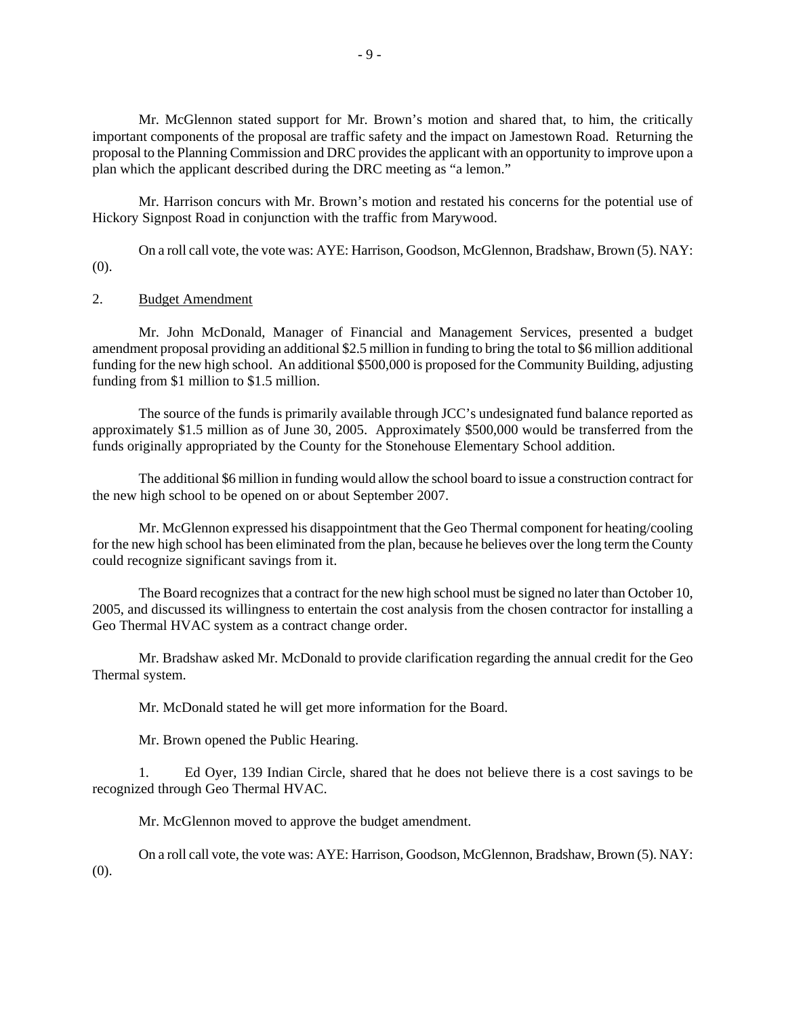Mr. McGlennon stated support for Mr. Brown's motion and shared that, to him, the critically important components of the proposal are traffic safety and the impact on Jamestown Road. Returning the proposal to the Planning Commission and DRC provides the applicant with an opportunity to improve upon a plan which the applicant described during the DRC meeting as "a lemon."

 Mr. Harrison concurs with Mr. Brown's motion and restated his concerns for the potential use of Hickory Signpost Road in conjunction with the traffic from Marywood.

 On a roll call vote, the vote was: AYE: Harrison, Goodson, McGlennon, Bradshaw, Brown (5). NAY: (0).

## 2. Budget Amendment

 Mr. John McDonald, Manager of Financial and Management Services, presented a budget amendment proposal providing an additional \$2.5 million in funding to bring the total to \$6 million additional funding for the new high school. An additional \$500,000 is proposed for the Community Building, adjusting funding from \$1 million to \$1.5 million.

 The source of the funds is primarily available through JCC's undesignated fund balance reported as approximately \$1.5 million as of June 30, 2005. Approximately \$500,000 would be transferred from the funds originally appropriated by the County for the Stonehouse Elementary School addition.

 The additional \$6 million in funding would allow the school board to issue a construction contract for the new high school to be opened on or about September 2007.

 Mr. McGlennon expressed his disappointment that the Geo Thermal component for heating/cooling for the new high school has been eliminated from the plan, because he believes over the long term the County could recognize significant savings from it.

 The Board recognizes that a contract for the new high school must be signed no later than October 10, 2005, and discussed its willingness to entertain the cost analysis from the chosen contractor for installing a Geo Thermal HVAC system as a contract change order.

 Mr. Bradshaw asked Mr. McDonald to provide clarification regarding the annual credit for the Geo Thermal system.

Mr. McDonald stated he will get more information for the Board.

Mr. Brown opened the Public Hearing.

 1. Ed Oyer, 139 Indian Circle, shared that he does not believe there is a cost savings to be recognized through Geo Thermal HVAC.

Mr. McGlennon moved to approve the budget amendment.

 On a roll call vote, the vote was: AYE: Harrison, Goodson, McGlennon, Bradshaw, Brown (5). NAY: (0).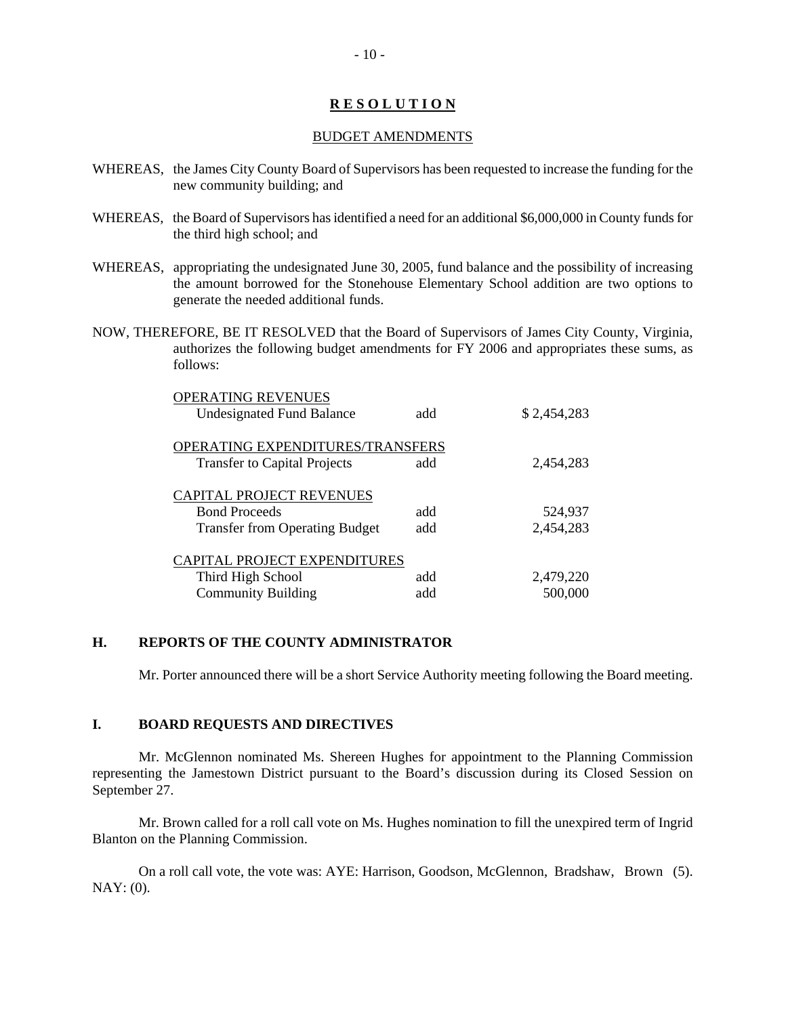# **R E S O L U T I O N**

#### BUDGET AMENDMENTS

- WHEREAS, the James City County Board of Supervisors has been requested to increase the funding for the new community building; and
- WHEREAS, the Board of Supervisors has identified a need for an additional \$6,000,000 in County funds for the third high school; and
- WHEREAS, appropriating the undesignated June 30, 2005, fund balance and the possibility of increasing the amount borrowed for the Stonehouse Elementary School addition are two options to generate the needed additional funds.
- NOW, THEREFORE, BE IT RESOLVED that the Board of Supervisors of James City County, Virginia, authorizes the following budget amendments for FY 2006 and appropriates these sums, as follows:

| OPERATING REVENUES<br><b>Undesignated Fund Balance</b>                                    | add        | \$2,454,283          |
|-------------------------------------------------------------------------------------------|------------|----------------------|
| OPERATING EXPENDITURES/TRANSFERS<br><b>Transfer to Capital Projects</b>                   | add        | 2,454,283            |
| CAPITAL PROJECT REVENUES<br><b>Bond Proceeds</b><br><b>Transfer from Operating Budget</b> | add<br>add | 524,937<br>2,454,283 |
| CAPITAL PROJECT EXPENDITURES<br>Third High School<br><b>Community Building</b>            | add<br>add | 2,479,220<br>500,000 |

# **H. REPORTS OF THE COUNTY ADMINISTRATOR**

Mr. Porter announced there will be a short Service Authority meeting following the Board meeting.

#### **I. BOARD REQUESTS AND DIRECTIVES**

 Mr. McGlennon nominated Ms. Shereen Hughes for appointment to the Planning Commission representing the Jamestown District pursuant to the Board's discussion during its Closed Session on September 27.

 Mr. Brown called for a roll call vote on Ms. Hughes nomination to fill the unexpired term of Ingrid Blanton on the Planning Commission.

 On a roll call vote, the vote was: AYE: Harrison, Goodson, McGlennon, Bradshaw, Brown (5). NAY: (0).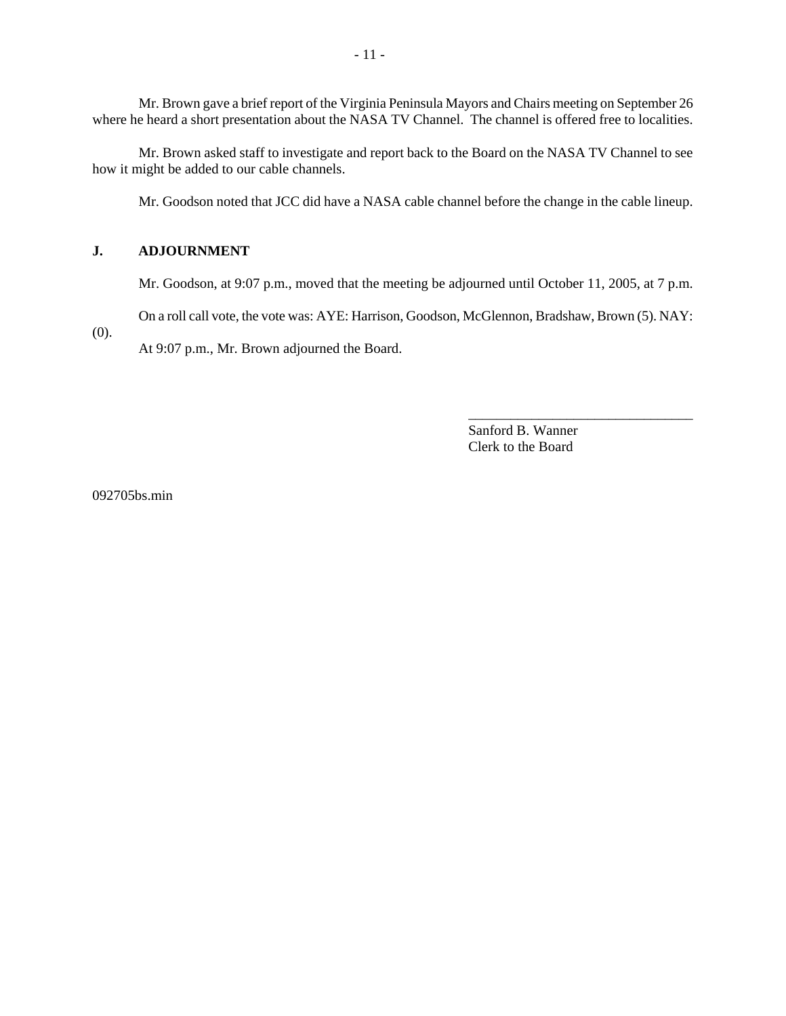Mr. Brown gave a brief report of the Virginia Peninsula Mayors and Chairs meeting on September 26 where he heard a short presentation about the NASA TV Channel. The channel is offered free to localities.

 Mr. Brown asked staff to investigate and report back to the Board on the NASA TV Channel to see how it might be added to our cable channels.

Mr. Goodson noted that JCC did have a NASA cable channel before the change in the cable lineup.

## **J. ADJOURNMENT**

Mr. Goodson, at 9:07 p.m., moved that the meeting be adjourned until October 11, 2005, at 7 p.m.

On a roll call vote, the vote was: AYE: Harrison, Goodson, McGlennon, Bradshaw, Brown (5). NAY:

(0).

At 9:07 p.m., Mr. Brown adjourned the Board.

Sanford B. Wanner Clerk to the Board

\_\_\_\_\_\_\_\_\_\_\_\_\_\_\_\_\_\_\_\_\_\_\_\_\_\_\_\_\_\_\_\_

092705bs.min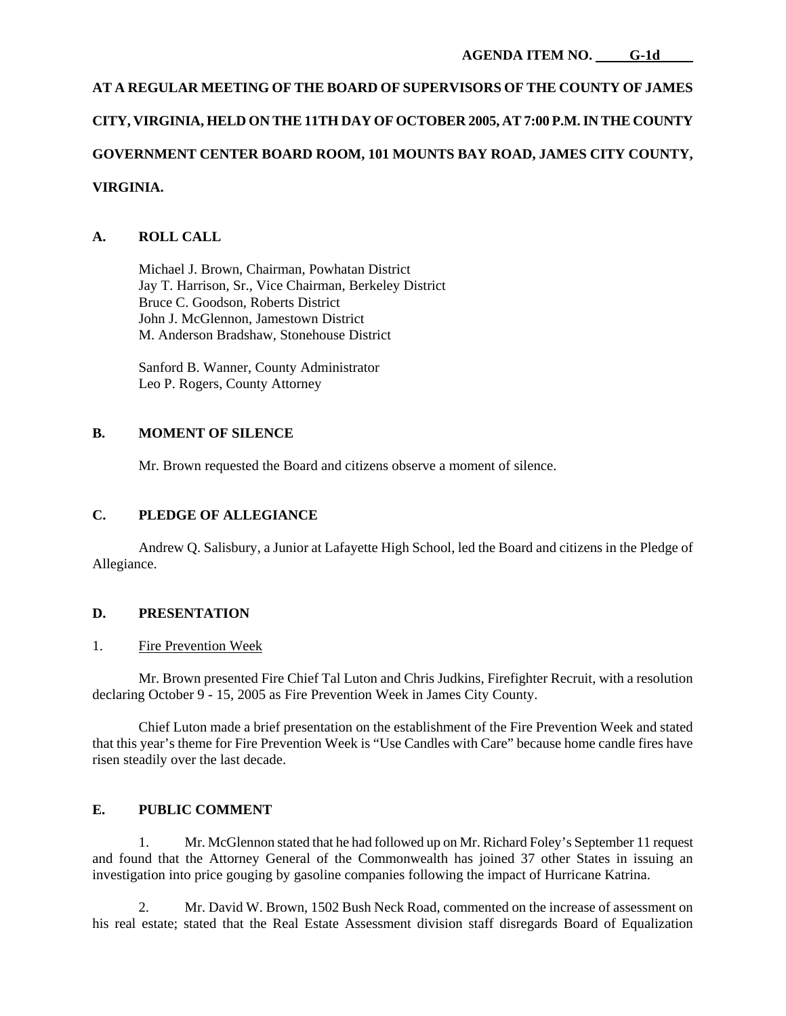# **AT A REGULAR MEETING OF THE BOARD OF SUPERVISORS OF THE COUNTY OF JAMES CITY, VIRGINIA, HELD ON THE 11TH DAY OF OCTOBER 2005, AT 7:00 P.M. IN THE COUNTY GOVERNMENT CENTER BOARD ROOM, 101 MOUNTS BAY ROAD, JAMES CITY COUNTY, VIRGINIA.**

# **A. ROLL CALL**

 Michael J. Brown, Chairman, Powhatan District Jay T. Harrison, Sr., Vice Chairman, Berkeley District Bruce C. Goodson, Roberts District John J. McGlennon, Jamestown District M. Anderson Bradshaw, Stonehouse District

 Sanford B. Wanner, County Administrator Leo P. Rogers, County Attorney

## **B. MOMENT OF SILENCE**

Mr. Brown requested the Board and citizens observe a moment of silence.

# **C. PLEDGE OF ALLEGIANCE**

 Andrew Q. Salisbury, a Junior at Lafayette High School, led the Board and citizens in the Pledge of Allegiance.

## **D. PRESENTATION**

## 1. Fire Prevention Week

 Mr. Brown presented Fire Chief Tal Luton and Chris Judkins, Firefighter Recruit, with a resolution declaring October 9 - 15, 2005 as Fire Prevention Week in James City County.

 Chief Luton made a brief presentation on the establishment of the Fire Prevention Week and stated that this year's theme for Fire Prevention Week is "Use Candles with Care" because home candle fires have risen steadily over the last decade.

## **E. PUBLIC COMMENT**

 1. Mr. McGlennon stated that he had followed up on Mr. Richard Foley's September 11 request and found that the Attorney General of the Commonwealth has joined 37 other States in issuing an investigation into price gouging by gasoline companies following the impact of Hurricane Katrina.

 2. Mr. David W. Brown, 1502 Bush Neck Road, commented on the increase of assessment on his real estate; stated that the Real Estate Assessment division staff disregards Board of Equalization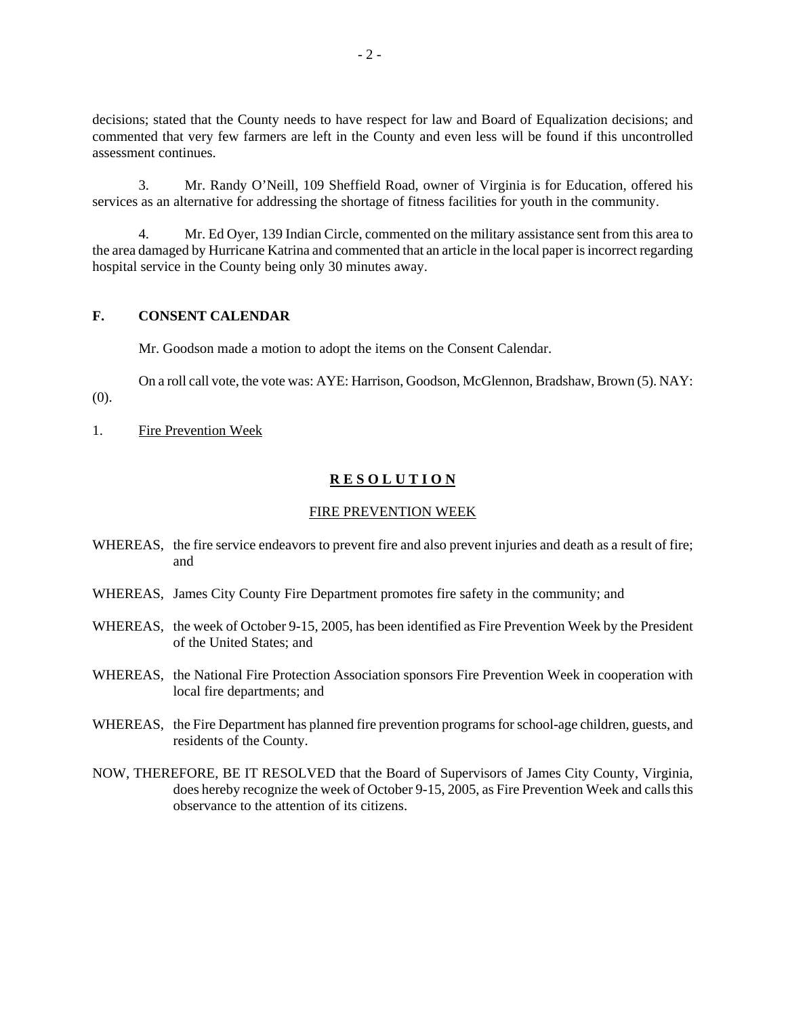decisions; stated that the County needs to have respect for law and Board of Equalization decisions; and commented that very few farmers are left in the County and even less will be found if this uncontrolled assessment continues.

 3. Mr. Randy O'Neill, 109 Sheffield Road, owner of Virginia is for Education, offered his services as an alternative for addressing the shortage of fitness facilities for youth in the community.

 4. Mr. Ed Oyer, 139 Indian Circle, commented on the military assistance sent from this area to the area damaged by Hurricane Katrina and commented that an article in the local paper is incorrect regarding hospital service in the County being only 30 minutes away.

#### **F. CONSENT CALENDAR**

Mr. Goodson made a motion to adopt the items on the Consent Calendar.

 On a roll call vote, the vote was: AYE: Harrison, Goodson, McGlennon, Bradshaw, Brown (5). NAY: (0).

1. Fire Prevention Week

## **R E S O L U T I O N**

#### FIRE PREVENTION WEEK

- WHEREAS, the fire service endeavors to prevent fire and also prevent injuries and death as a result of fire; and
- WHEREAS, James City County Fire Department promotes fire safety in the community; and
- WHEREAS, the week of October 9-15, 2005, has been identified as Fire Prevention Week by the President of the United States; and
- WHEREAS, the National Fire Protection Association sponsors Fire Prevention Week in cooperation with local fire departments; and
- WHEREAS, the Fire Department has planned fire prevention programs for school-age children, guests, and residents of the County.
- NOW, THEREFORE, BE IT RESOLVED that the Board of Supervisors of James City County, Virginia, does hereby recognize the week of October 9-15, 2005, as Fire Prevention Week and calls this observance to the attention of its citizens.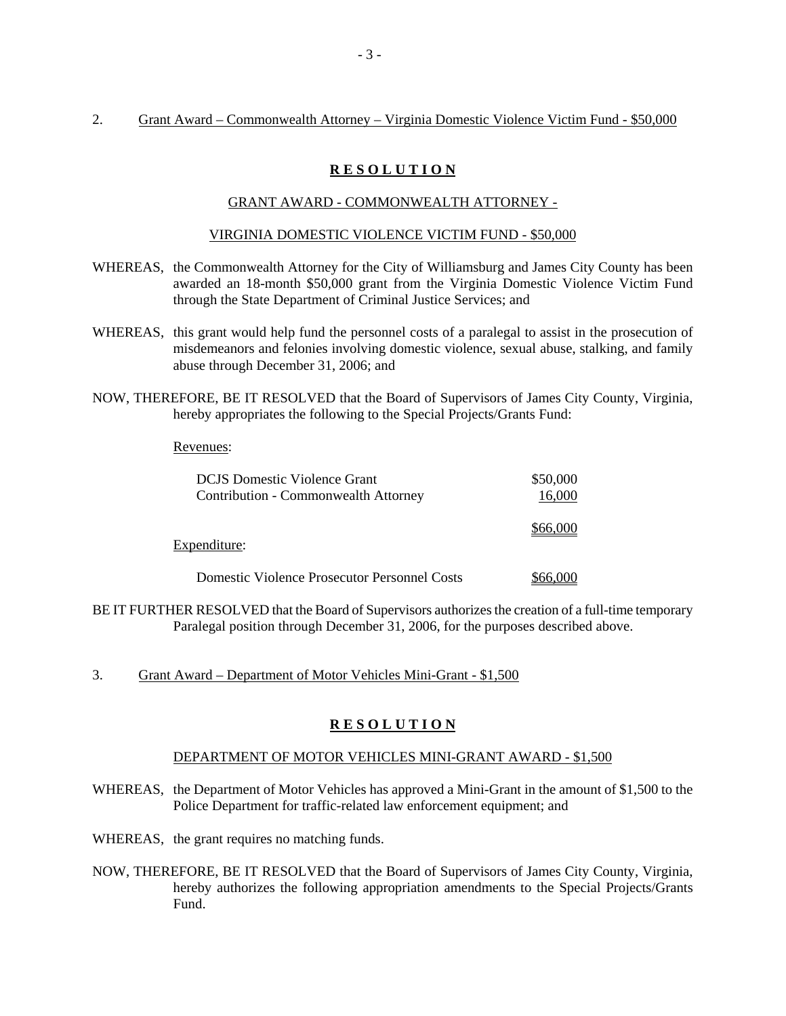## 2. Grant Award – Commonwealth Attorney – Virginia Domestic Violence Victim Fund - \$50,000

# **R E S O L U T I O N**

## GRANT AWARD - COMMONWEALTH ATTORNEY -

#### VIRGINIA DOMESTIC VIOLENCE VICTIM FUND - \$50,000

- WHEREAS, the Commonwealth Attorney for the City of Williamsburg and James City County has been awarded an 18-month \$50,000 grant from the Virginia Domestic Violence Victim Fund through the State Department of Criminal Justice Services; and
- WHEREAS, this grant would help fund the personnel costs of a paralegal to assist in the prosecution of misdemeanors and felonies involving domestic violence, sexual abuse, stalking, and family abuse through December 31, 2006; and
- NOW, THEREFORE, BE IT RESOLVED that the Board of Supervisors of James City County, Virginia, hereby appropriates the following to the Special Projects/Grants Fund:

#### Revenues:

| <b>DCJS</b> Domestic Violence Grant                 | \$50,000 |
|-----------------------------------------------------|----------|
| Contribution - Commonwealth Attorney                | 16,000   |
| Expenditure:                                        | \$66,000 |
| <b>Domestic Violence Prosecutor Personnel Costs</b> |          |

BE IT FURTHER RESOLVED that the Board of Supervisors authorizes the creation of a full-time temporary Paralegal position through December 31, 2006, for the purposes described above.

3. Grant Award – Department of Motor Vehicles Mini-Grant - \$1,500

## **R E S O L U T I O N**

## DEPARTMENT OF MOTOR VEHICLES MINI-GRANT AWARD - \$1,500

WHEREAS, the Department of Motor Vehicles has approved a Mini-Grant in the amount of \$1,500 to the Police Department for traffic-related law enforcement equipment; and

WHEREAS, the grant requires no matching funds.

NOW, THEREFORE, BE IT RESOLVED that the Board of Supervisors of James City County, Virginia, hereby authorizes the following appropriation amendments to the Special Projects/Grants Fund.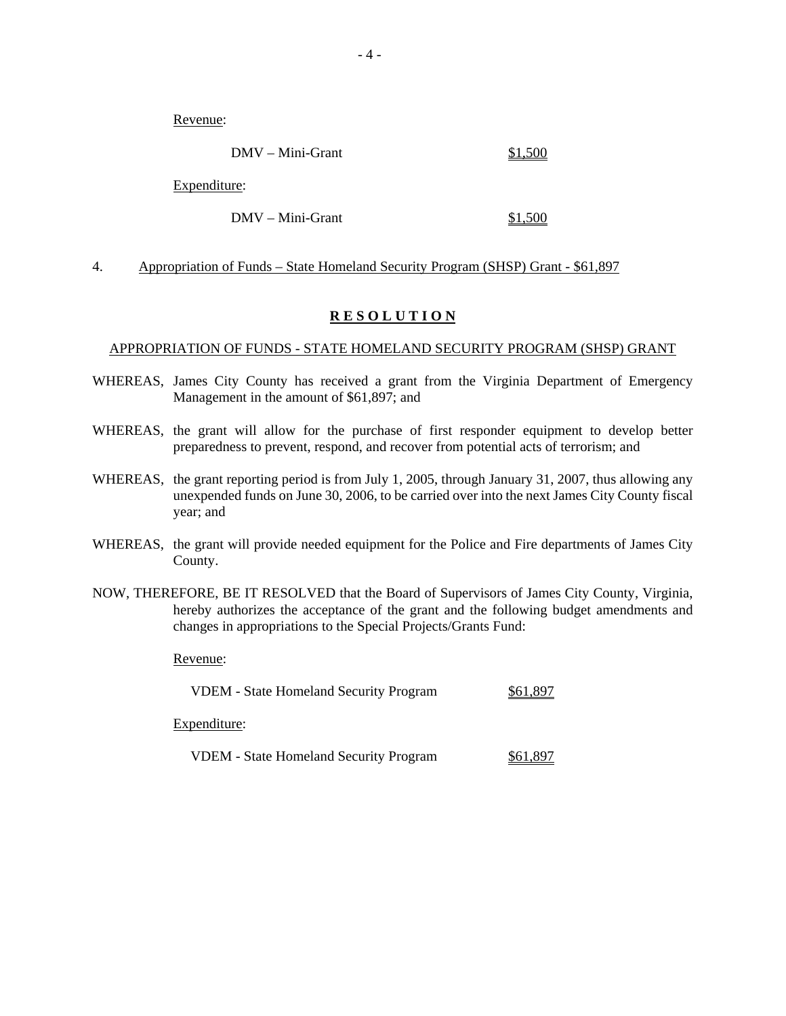Revenue:

|              | $DMV - Mini-Grant$ | \$1,500 |
|--------------|--------------------|---------|
| Expenditure: |                    |         |
|              | DMV – Mini-Grant   |         |

#### 4. Appropriation of Funds – State Homeland Security Program (SHSP) Grant - \$61,897

### **R E S O L U T I O N**

### APPROPRIATION OF FUNDS - STATE HOMELAND SECURITY PROGRAM (SHSP) GRANT

- WHEREAS, James City County has received a grant from the Virginia Department of Emergency Management in the amount of \$61,897; and
- WHEREAS, the grant will allow for the purchase of first responder equipment to develop better preparedness to prevent, respond, and recover from potential acts of terrorism; and
- WHEREAS, the grant reporting period is from July 1, 2005, through January 31, 2007, thus allowing any unexpended funds on June 30, 2006, to be carried over into the next James City County fiscal year; and
- WHEREAS, the grant will provide needed equipment for the Police and Fire departments of James City County.
- NOW, THEREFORE, BE IT RESOLVED that the Board of Supervisors of James City County, Virginia, hereby authorizes the acceptance of the grant and the following budget amendments and changes in appropriations to the Special Projects/Grants Fund:

Revenue:

| <b>VDEM</b> - State Homeland Security Program | \$61,897 |  |
|-----------------------------------------------|----------|--|
|                                               |          |  |

Expenditure:

| <b>VDEM</b> - State Homeland Security Program | \$61,897 |
|-----------------------------------------------|----------|
|-----------------------------------------------|----------|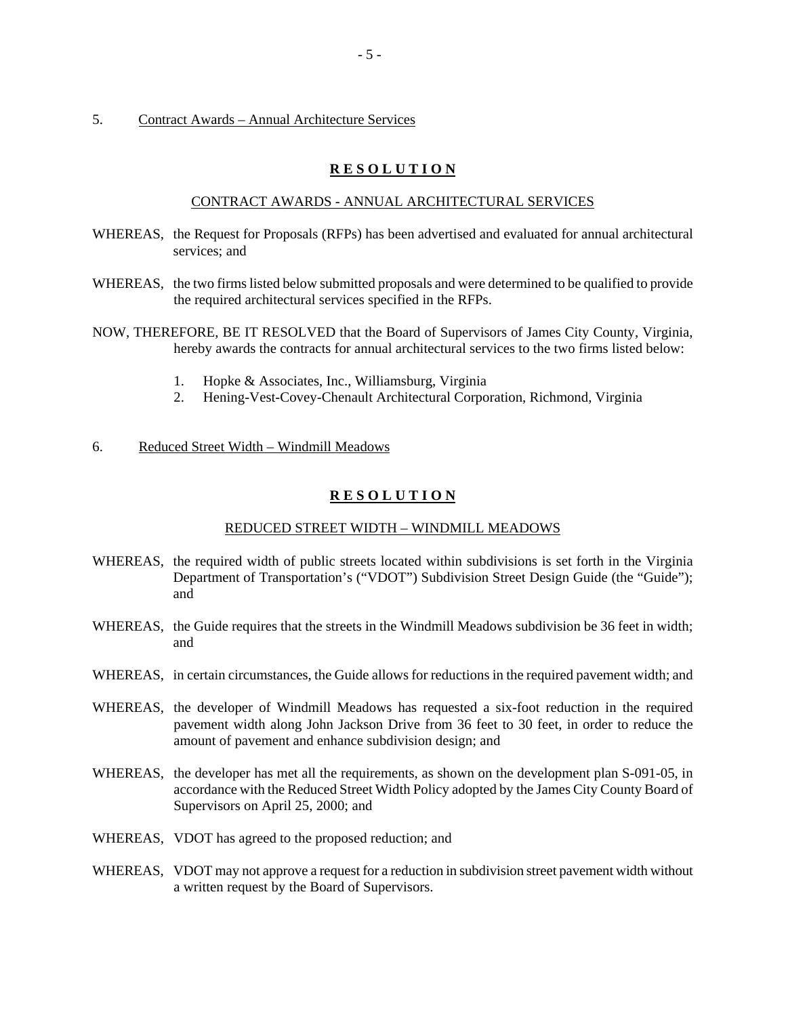5. Contract Awards – Annual Architecture Services

# **R E S O L U T I O N**

#### CONTRACT AWARDS - ANNUAL ARCHITECTURAL SERVICES

- WHEREAS, the Request for Proposals (RFPs) has been advertised and evaluated for annual architectural services; and
- WHEREAS, the two firms listed below submitted proposals and were determined to be qualified to provide the required architectural services specified in the RFPs.
- NOW, THEREFORE, BE IT RESOLVED that the Board of Supervisors of James City County, Virginia, hereby awards the contracts for annual architectural services to the two firms listed below:
	- 1. Hopke & Associates, Inc., Williamsburg, Virginia
	- 2. Hening-Vest-Covey-Chenault Architectural Corporation, Richmond, Virginia
- 6. Reduced Street Width Windmill Meadows

### **R E S O L U T I O N**

#### REDUCED STREET WIDTH – WINDMILL MEADOWS

- WHEREAS, the required width of public streets located within subdivisions is set forth in the Virginia Department of Transportation's ("VDOT") Subdivision Street Design Guide (the "Guide"); and
- WHEREAS, the Guide requires that the streets in the Windmill Meadows subdivision be 36 feet in width; and
- WHEREAS, in certain circumstances, the Guide allows for reductions in the required pavement width; and
- WHEREAS, the developer of Windmill Meadows has requested a six-foot reduction in the required pavement width along John Jackson Drive from 36 feet to 30 feet, in order to reduce the amount of pavement and enhance subdivision design; and
- WHEREAS, the developer has met all the requirements, as shown on the development plan S-091-05, in accordance with the Reduced Street Width Policy adopted by the James City County Board of Supervisors on April 25, 2000; and
- WHEREAS, VDOT has agreed to the proposed reduction; and
- WHEREAS, VDOT may not approve a request for a reduction in subdivision street pavement width without a written request by the Board of Supervisors.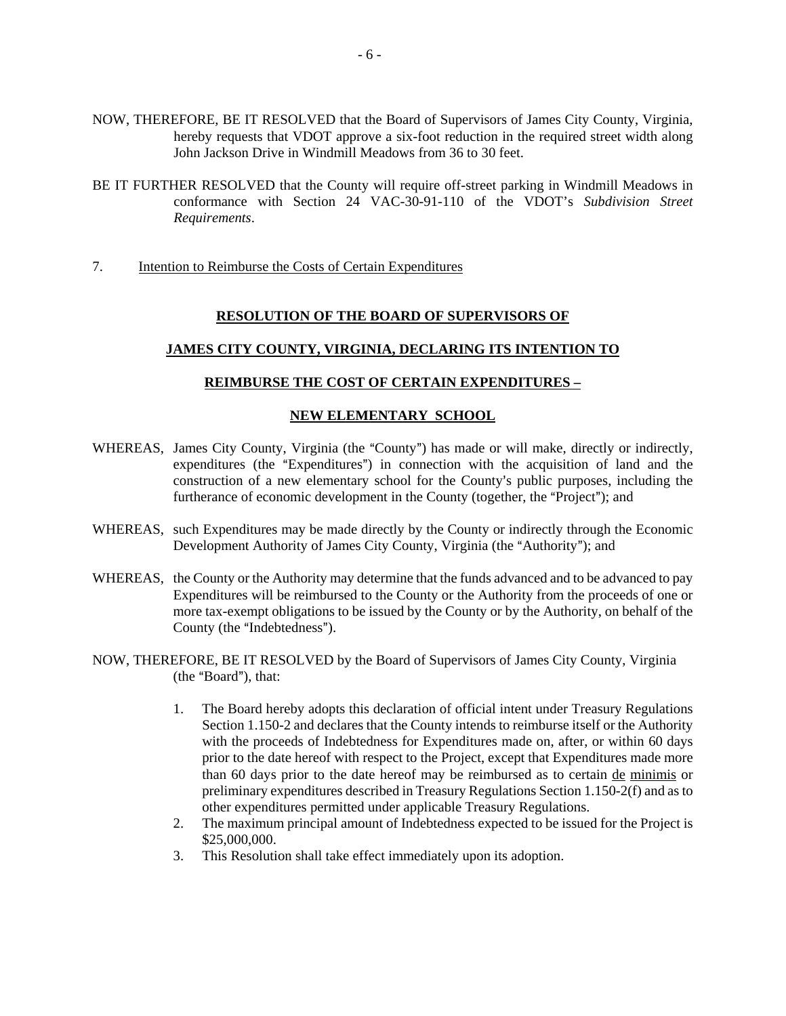- NOW, THEREFORE, BE IT RESOLVED that the Board of Supervisors of James City County, Virginia, hereby requests that VDOT approve a six-foot reduction in the required street width along John Jackson Drive in Windmill Meadows from 36 to 30 feet.
- BE IT FURTHER RESOLVED that the County will require off-street parking in Windmill Meadows in conformance with Section 24 VAC-30-91-110 of the VDOT's *Subdivision Street Requirements*.
- 7. Intention to Reimburse the Costs of Certain Expenditures

### **RESOLUTION OF THE BOARD OF SUPERVISORS OF**

## **JAMES CITY COUNTY, VIRGINIA, DECLARING ITS INTENTION TO**

#### **REIMBURSE THE COST OF CERTAIN EXPENDITURES –**

### **NEW ELEMENTARY SCHOOL**

- WHEREAS, James City County, Virginia (the "County") has made or will make, directly or indirectly, expenditures (the "Expenditures") in connection with the acquisition of land and the construction of a new elementary school for the County's public purposes, including the furtherance of economic development in the County (together, the "Project"); and
- WHEREAS, such Expenditures may be made directly by the County or indirectly through the Economic Development Authority of James City County, Virginia (the "Authority"); and
- WHEREAS, the County or the Authority may determine that the funds advanced and to be advanced to pay Expenditures will be reimbursed to the County or the Authority from the proceeds of one or more tax-exempt obligations to be issued by the County or by the Authority, on behalf of the County (the "Indebtedness").
- NOW, THEREFORE, BE IT RESOLVED by the Board of Supervisors of James City County, Virginia  $(the "Board"), that:$ 
	- 1. The Board hereby adopts this declaration of official intent under Treasury Regulations Section 1.150-2 and declares that the County intends to reimburse itself or the Authority with the proceeds of Indebtedness for Expenditures made on, after, or within 60 days prior to the date hereof with respect to the Project, except that Expenditures made more than 60 days prior to the date hereof may be reimbursed as to certain de minimis or preliminary expenditures described in Treasury Regulations Section 1.150-2(f) and as to other expenditures permitted under applicable Treasury Regulations.
	- 2. The maximum principal amount of Indebtedness expected to be issued for the Project is \$25,000,000.
	- 3. This Resolution shall take effect immediately upon its adoption.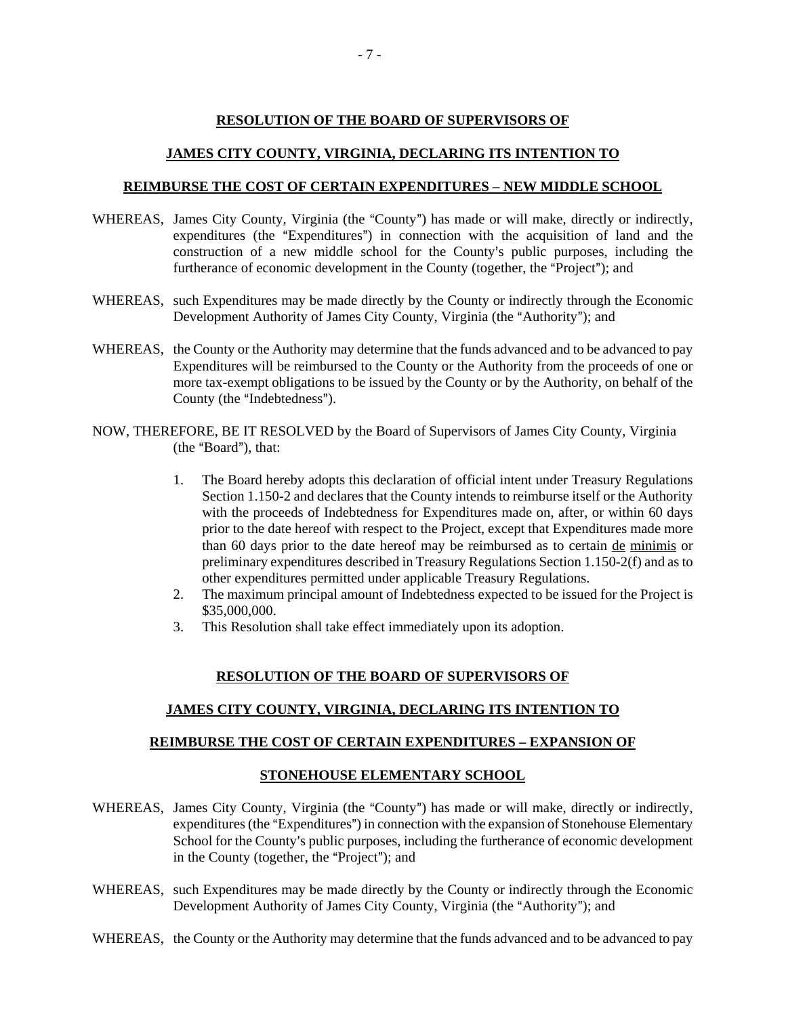# **RESOLUTION OF THE BOARD OF SUPERVISORS OF**

## **JAMES CITY COUNTY, VIRGINIA, DECLARING ITS INTENTION TO**

#### **REIMBURSE THE COST OF CERTAIN EXPENDITURES – NEW MIDDLE SCHOOL**

- WHEREAS, James City County, Virginia (the "County") has made or will make, directly or indirectly, expenditures (the "Expenditures") in connection with the acquisition of land and the construction of a new middle school for the County's public purposes, including the furtherance of economic development in the County (together, the "Project"); and
- WHEREAS, such Expenditures may be made directly by the County or indirectly through the Economic Development Authority of James City County, Virginia (the "Authority"); and
- WHEREAS, the County or the Authority may determine that the funds advanced and to be advanced to pay Expenditures will be reimbursed to the County or the Authority from the proceeds of one or more tax-exempt obligations to be issued by the County or by the Authority, on behalf of the County (the "Indebtedness").
- NOW, THEREFORE, BE IT RESOLVED by the Board of Supervisors of James City County, Virginia  $(the "Board"), that:$ 
	- 1. The Board hereby adopts this declaration of official intent under Treasury Regulations Section 1.150-2 and declares that the County intends to reimburse itself or the Authority with the proceeds of Indebtedness for Expenditures made on, after, or within 60 days prior to the date hereof with respect to the Project, except that Expenditures made more than 60 days prior to the date hereof may be reimbursed as to certain de minimis or preliminary expenditures described in Treasury Regulations Section 1.150-2(f) and as to other expenditures permitted under applicable Treasury Regulations.
	- 2. The maximum principal amount of Indebtedness expected to be issued for the Project is \$35,000,000.
	- 3. This Resolution shall take effect immediately upon its adoption.

## **RESOLUTION OF THE BOARD OF SUPERVISORS OF**

## **JAMES CITY COUNTY, VIRGINIA, DECLARING ITS INTENTION TO**

#### **REIMBURSE THE COST OF CERTAIN EXPENDITURES – EXPANSION OF**

## **STONEHOUSE ELEMENTARY SCHOOL**

- WHEREAS, James City County, Virginia (the "County") has made or will make, directly or indirectly, expenditures (the "Expenditures") in connection with the expansion of Stonehouse Elementary School for the County's public purposes, including the furtherance of economic development in the County (together, the "Project"); and
- WHEREAS, such Expenditures may be made directly by the County or indirectly through the Economic Development Authority of James City County, Virginia (the "Authority"); and
- WHEREAS, the County or the Authority may determine that the funds advanced and to be advanced to pay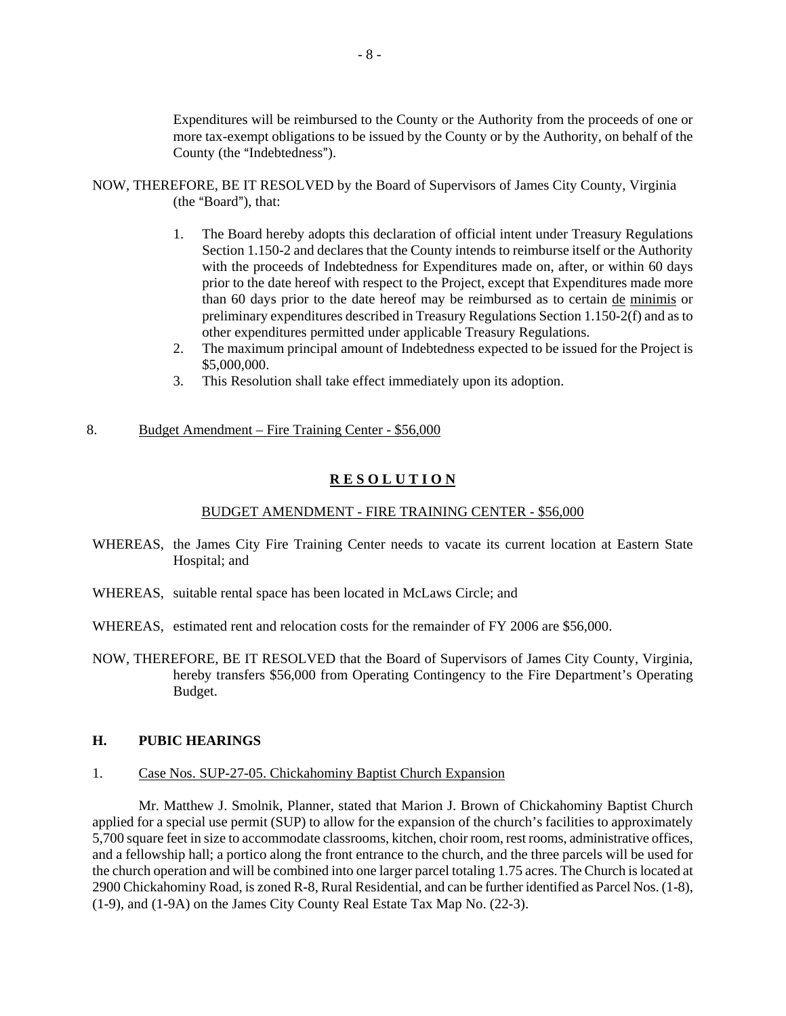Expenditures will be reimbursed to the County or the Authority from the proceeds of one or more tax-exempt obligations to be issued by the County or by the Authority, on behalf of the County (the "Indebtedness").

- NOW, THEREFORE, BE IT RESOLVED by the Board of Supervisors of James City County, Virginia  $(the "Board"). that:$ 
	- 1. The Board hereby adopts this declaration of official intent under Treasury Regulations Section 1.150-2 and declares that the County intends to reimburse itself or the Authority with the proceeds of Indebtedness for Expenditures made on, after, or within 60 days prior to the date hereof with respect to the Project, except that Expenditures made more than 60 days prior to the date hereof may be reimbursed as to certain de minimis or preliminary expenditures described in Treasury Regulations Section 1.150-2(f) and as to other expenditures permitted under applicable Treasury Regulations.
	- 2. The maximum principal amount of Indebtedness expected to be issued for the Project is \$5,000,000.
	- 3. This Resolution shall take effect immediately upon its adoption.

# 8. Budget Amendment – Fire Training Center - \$56,000

# **R E S O L U T I O N**

#### BUDGET AMENDMENT - FIRE TRAINING CENTER - \$56,000

- WHEREAS, the James City Fire Training Center needs to vacate its current location at Eastern State Hospital; and
- WHEREAS, suitable rental space has been located in McLaws Circle; and
- WHEREAS, estimated rent and relocation costs for the remainder of FY 2006 are \$56,000.
- NOW, THEREFORE, BE IT RESOLVED that the Board of Supervisors of James City County, Virginia, hereby transfers \$56,000 from Operating Contingency to the Fire Department's Operating Budget.

# **H. PUBIC HEARINGS**

#### 1. Case Nos. SUP-27-05. Chickahominy Baptist Church Expansion

 Mr. Matthew J. Smolnik, Planner, stated that Marion J. Brown of Chickahominy Baptist Church applied for a special use permit (SUP) to allow for the expansion of the church's facilities to approximately 5,700 square feet in size to accommodate classrooms, kitchen, choir room, rest rooms, administrative offices, and a fellowship hall; a portico along the front entrance to the church, and the three parcels will be used for the church operation and will be combined into one larger parcel totaling 1.75 acres. The Church is located at 2900 Chickahominy Road, is zoned R-8, Rural Residential, and can be further identified as Parcel Nos. (1-8), (1-9), and (1-9A) on the James City County Real Estate Tax Map No. (22-3).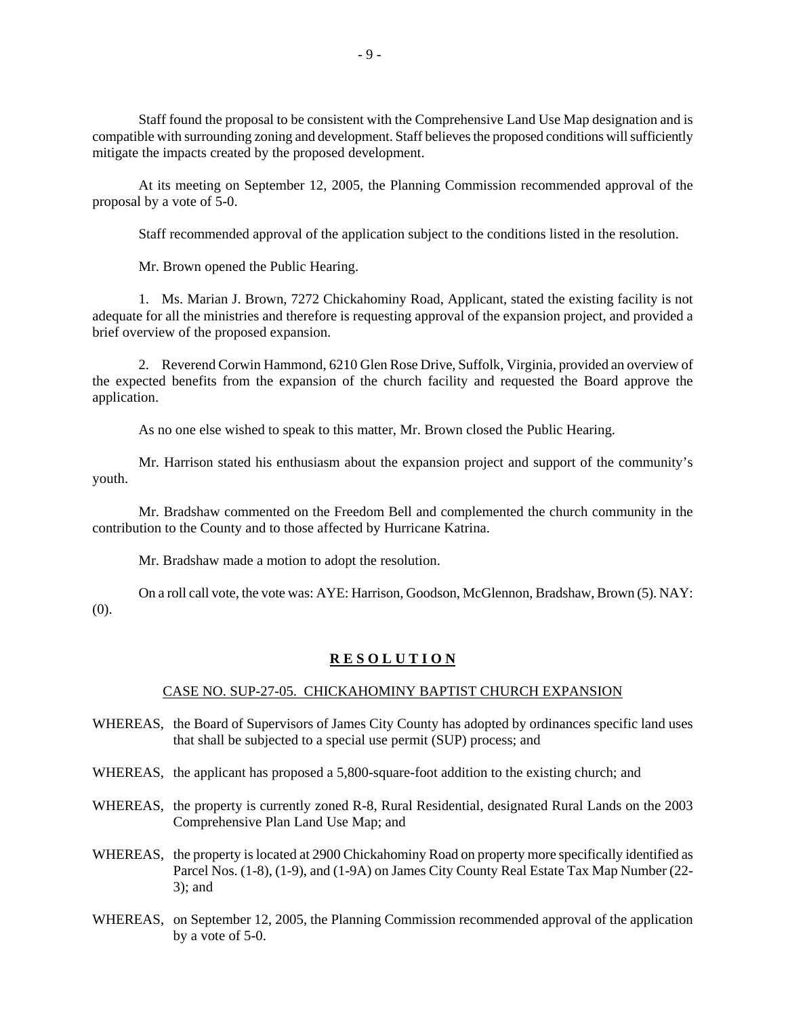Staff found the proposal to be consistent with the Comprehensive Land Use Map designation and is compatible with surrounding zoning and development. Staff believes the proposed conditions will sufficiently mitigate the impacts created by the proposed development.

 At its meeting on September 12, 2005, the Planning Commission recommended approval of the proposal by a vote of 5-0.

Staff recommended approval of the application subject to the conditions listed in the resolution.

Mr. Brown opened the Public Hearing.

 1. Ms. Marian J. Brown, 7272 Chickahominy Road, Applicant, stated the existing facility is not adequate for all the ministries and therefore is requesting approval of the expansion project, and provided a brief overview of the proposed expansion.

 2. Reverend Corwin Hammond, 6210 Glen Rose Drive, Suffolk, Virginia, provided an overview of the expected benefits from the expansion of the church facility and requested the Board approve the application.

As no one else wished to speak to this matter, Mr. Brown closed the Public Hearing.

 Mr. Harrison stated his enthusiasm about the expansion project and support of the community's youth.

 Mr. Bradshaw commented on the Freedom Bell and complemented the church community in the contribution to the County and to those affected by Hurricane Katrina.

Mr. Bradshaw made a motion to adopt the resolution.

 On a roll call vote, the vote was: AYE: Harrison, Goodson, McGlennon, Bradshaw, Brown (5). NAY: (0).

## **R E S O L U T I O N**

#### CASE NO. SUP-27-05. CHICKAHOMINY BAPTIST CHURCH EXPANSION

- WHEREAS, the Board of Supervisors of James City County has adopted by ordinances specific land uses that shall be subjected to a special use permit (SUP) process; and
- WHEREAS, the applicant has proposed a 5,800-square-foot addition to the existing church; and
- WHEREAS, the property is currently zoned R-8, Rural Residential, designated Rural Lands on the 2003 Comprehensive Plan Land Use Map; and
- WHEREAS, the property is located at 2900 Chickahominy Road on property more specifically identified as Parcel Nos. (1-8), (1-9), and (1-9A) on James City County Real Estate Tax Map Number (22- 3); and
- WHEREAS, on September 12, 2005, the Planning Commission recommended approval of the application by a vote of 5-0.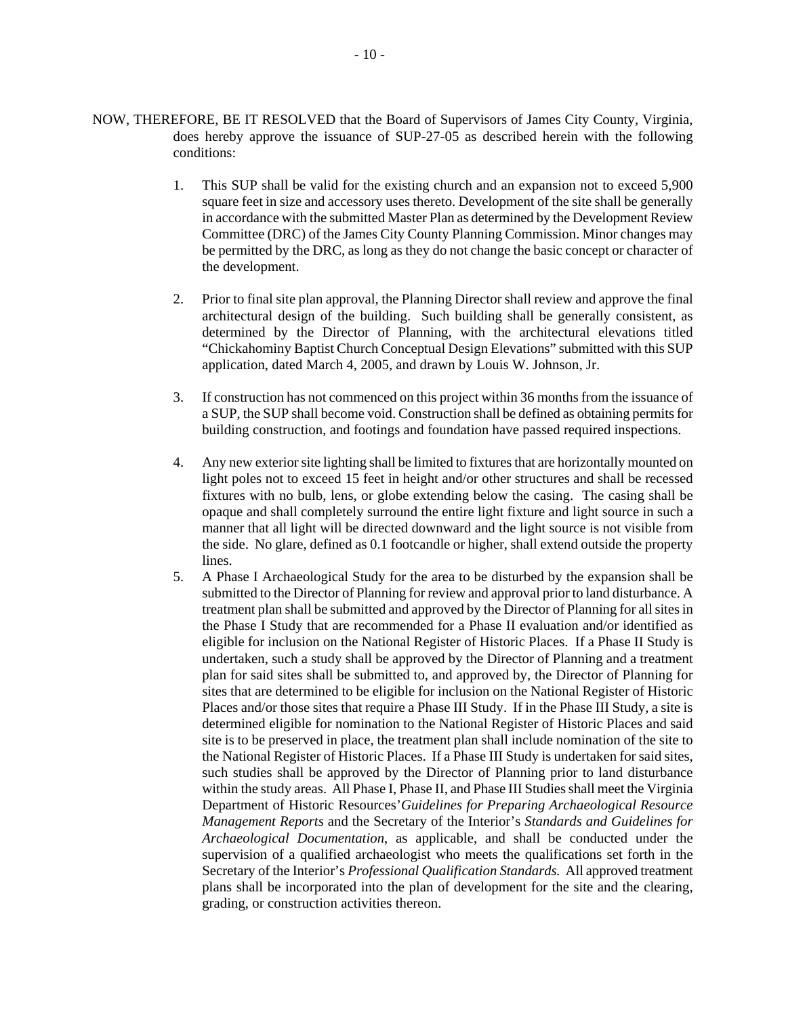- NOW, THEREFORE, BE IT RESOLVED that the Board of Supervisors of James City County, Virginia, does hereby approve the issuance of SUP-27-05 as described herein with the following conditions:
	- 1. This SUP shall be valid for the existing church and an expansion not to exceed 5,900 square feet in size and accessory uses thereto. Development of the site shall be generally in accordance with the submitted Master Plan as determined by the Development Review Committee (DRC) of the James City County Planning Commission. Minor changes may be permitted by the DRC, as long as they do not change the basic concept or character of the development.
	- 2. Prior to final site plan approval, the Planning Director shall review and approve the final architectural design of the building. Such building shall be generally consistent, as determined by the Director of Planning, with the architectural elevations titled "Chickahominy Baptist Church Conceptual Design Elevations" submitted with this SUP application, dated March 4, 2005, and drawn by Louis W. Johnson, Jr.
	- 3. If construction has not commenced on this project within 36 months from the issuance of a SUP, the SUP shall become void. Construction shall be defined as obtaining permits for building construction, and footings and foundation have passed required inspections.
	- 4. Any new exterior site lighting shall be limited to fixtures that are horizontally mounted on light poles not to exceed 15 feet in height and/or other structures and shall be recessed fixtures with no bulb, lens, or globe extending below the casing. The casing shall be opaque and shall completely surround the entire light fixture and light source in such a manner that all light will be directed downward and the light source is not visible from the side. No glare, defined as 0.1 footcandle or higher, shall extend outside the property lines.
	- 5. A Phase I Archaeological Study for the area to be disturbed by the expansion shall be submitted to the Director of Planning for review and approval prior to land disturbance. A treatment plan shall be submitted and approved by the Director of Planning for all sites in the Phase I Study that are recommended for a Phase II evaluation and/or identified as eligible for inclusion on the National Register of Historic Places. If a Phase II Study is undertaken, such a study shall be approved by the Director of Planning and a treatment plan for said sites shall be submitted to, and approved by, the Director of Planning for sites that are determined to be eligible for inclusion on the National Register of Historic Places and/or those sites that require a Phase III Study. If in the Phase III Study, a site is determined eligible for nomination to the National Register of Historic Places and said site is to be preserved in place, the treatment plan shall include nomination of the site to the National Register of Historic Places. If a Phase III Study is undertaken for said sites, such studies shall be approved by the Director of Planning prior to land disturbance within the study areas. All Phase I, Phase II, and Phase III Studies shall meet the Virginia Department of Historic Resources'*Guidelines for Preparing Archaeological Resource Management Reports* and the Secretary of the Interior's *Standards and Guidelines for Archaeological Documentation*, as applicable, and shall be conducted under the supervision of a qualified archaeologist who meets the qualifications set forth in the Secretary of the Interior's *Professional Qualification Standards.* All approved treatment plans shall be incorporated into the plan of development for the site and the clearing, grading, or construction activities thereon.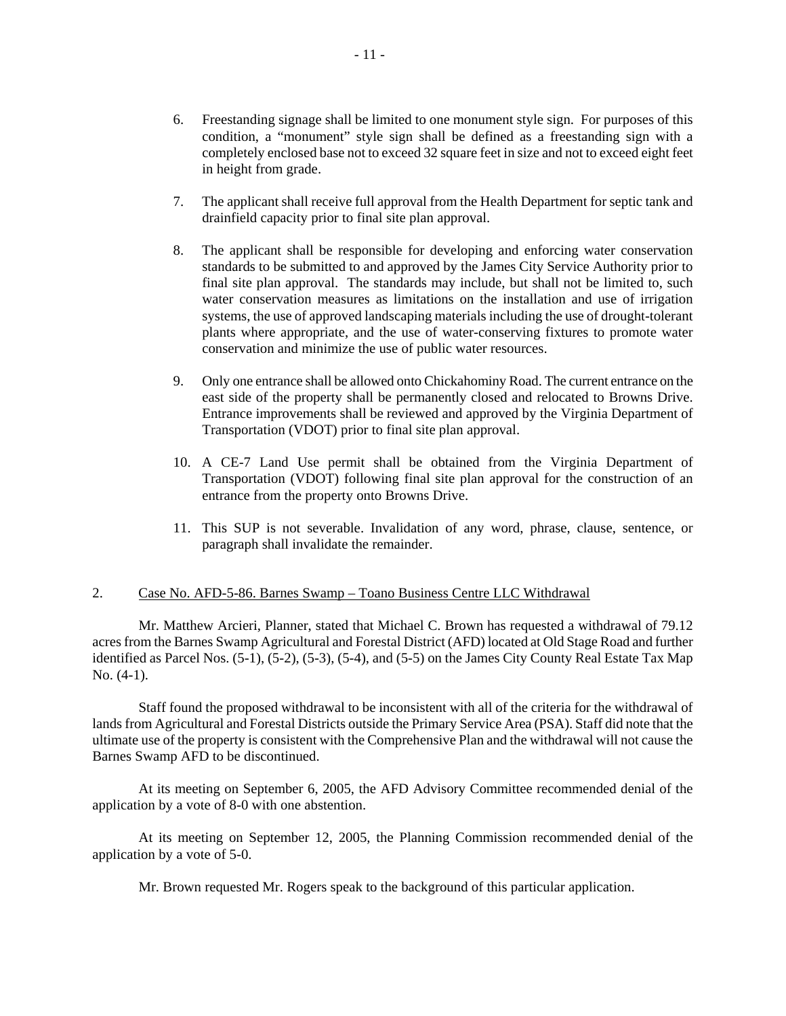- 6. Freestanding signage shall be limited to one monument style sign. For purposes of this condition, a "monument" style sign shall be defined as a freestanding sign with a completely enclosed base not to exceed 32 square feet in size and not to exceed eight feet in height from grade.
- 7. The applicant shall receive full approval from the Health Department for septic tank and drainfield capacity prior to final site plan approval.
- 8. The applicant shall be responsible for developing and enforcing water conservation standards to be submitted to and approved by the James City Service Authority prior to final site plan approval. The standards may include, but shall not be limited to, such water conservation measures as limitations on the installation and use of irrigation systems, the use of approved landscaping materials including the use of drought-tolerant plants where appropriate, and the use of water-conserving fixtures to promote water conservation and minimize the use of public water resources.
- 9. Only one entrance shall be allowed onto Chickahominy Road. The current entrance on the east side of the property shall be permanently closed and relocated to Browns Drive. Entrance improvements shall be reviewed and approved by the Virginia Department of Transportation (VDOT) prior to final site plan approval.
- 10. A CE-7 Land Use permit shall be obtained from the Virginia Department of Transportation (VDOT) following final site plan approval for the construction of an entrance from the property onto Browns Drive.
- 11. This SUP is not severable. Invalidation of any word, phrase, clause, sentence, or paragraph shall invalidate the remainder.

#### 2. Case No. AFD-5-86. Barnes Swamp – Toano Business Centre LLC Withdrawal

 Mr. Matthew Arcieri, Planner, stated that Michael C. Brown has requested a withdrawal of 79.12 acres from the Barnes Swamp Agricultural and Forestal District (AFD) located at Old Stage Road and further identified as Parcel Nos. (5-1), (5-2), (5-3), (5-4), and (5-5) on the James City County Real Estate Tax Map No. (4-1).

 Staff found the proposed withdrawal to be inconsistent with all of the criteria for the withdrawal of lands from Agricultural and Forestal Districts outside the Primary Service Area (PSA). Staff did note that the ultimate use of the property is consistent with the Comprehensive Plan and the withdrawal will not cause the Barnes Swamp AFD to be discontinued.

 At its meeting on September 6, 2005, the AFD Advisory Committee recommended denial of the application by a vote of 8-0 with one abstention.

 At its meeting on September 12, 2005, the Planning Commission recommended denial of the application by a vote of 5-0.

Mr. Brown requested Mr. Rogers speak to the background of this particular application.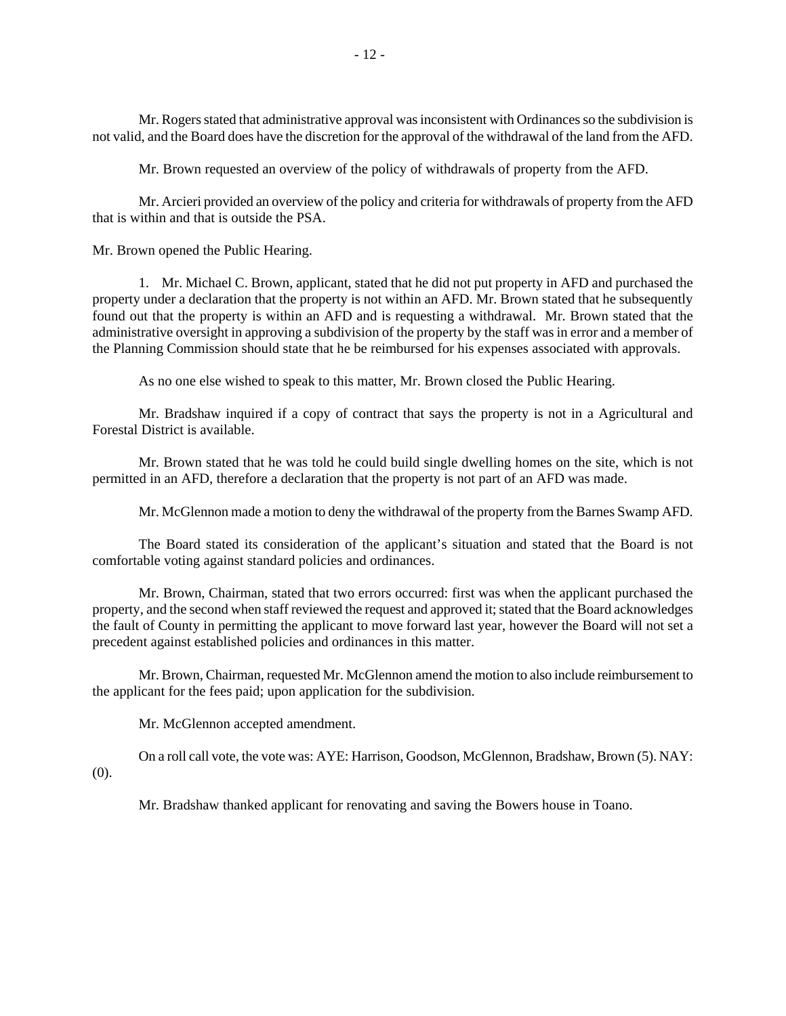Mr. Rogers stated that administrative approval was inconsistent with Ordinances so the subdivision is not valid, and the Board does have the discretion for the approval of the withdrawal of the land from the AFD.

Mr. Brown requested an overview of the policy of withdrawals of property from the AFD.

 Mr. Arcieri provided an overview of the policy and criteria for withdrawals of property from the AFD that is within and that is outside the PSA.

Mr. Brown opened the Public Hearing.

 1. Mr. Michael C. Brown, applicant, stated that he did not put property in AFD and purchased the property under a declaration that the property is not within an AFD. Mr. Brown stated that he subsequently found out that the property is within an AFD and is requesting a withdrawal. Mr. Brown stated that the administrative oversight in approving a subdivision of the property by the staff was in error and a member of the Planning Commission should state that he be reimbursed for his expenses associated with approvals.

As no one else wished to speak to this matter, Mr. Brown closed the Public Hearing.

 Mr. Bradshaw inquired if a copy of contract that says the property is not in a Agricultural and Forestal District is available.

 Mr. Brown stated that he was told he could build single dwelling homes on the site, which is not permitted in an AFD, therefore a declaration that the property is not part of an AFD was made.

Mr. McGlennon made a motion to deny the withdrawal of the property from the Barnes Swamp AFD.

 The Board stated its consideration of the applicant's situation and stated that the Board is not comfortable voting against standard policies and ordinances.

 Mr. Brown, Chairman, stated that two errors occurred: first was when the applicant purchased the property, and the second when staff reviewed the request and approved it; stated that the Board acknowledges the fault of County in permitting the applicant to move forward last year, however the Board will not set a precedent against established policies and ordinances in this matter.

 Mr. Brown, Chairman, requested Mr. McGlennon amend the motion to also include reimbursement to the applicant for the fees paid; upon application for the subdivision.

Mr. McGlennon accepted amendment.

 On a roll call vote, the vote was: AYE: Harrison, Goodson, McGlennon, Bradshaw, Brown (5). NAY: (0).

Mr. Bradshaw thanked applicant for renovating and saving the Bowers house in Toano.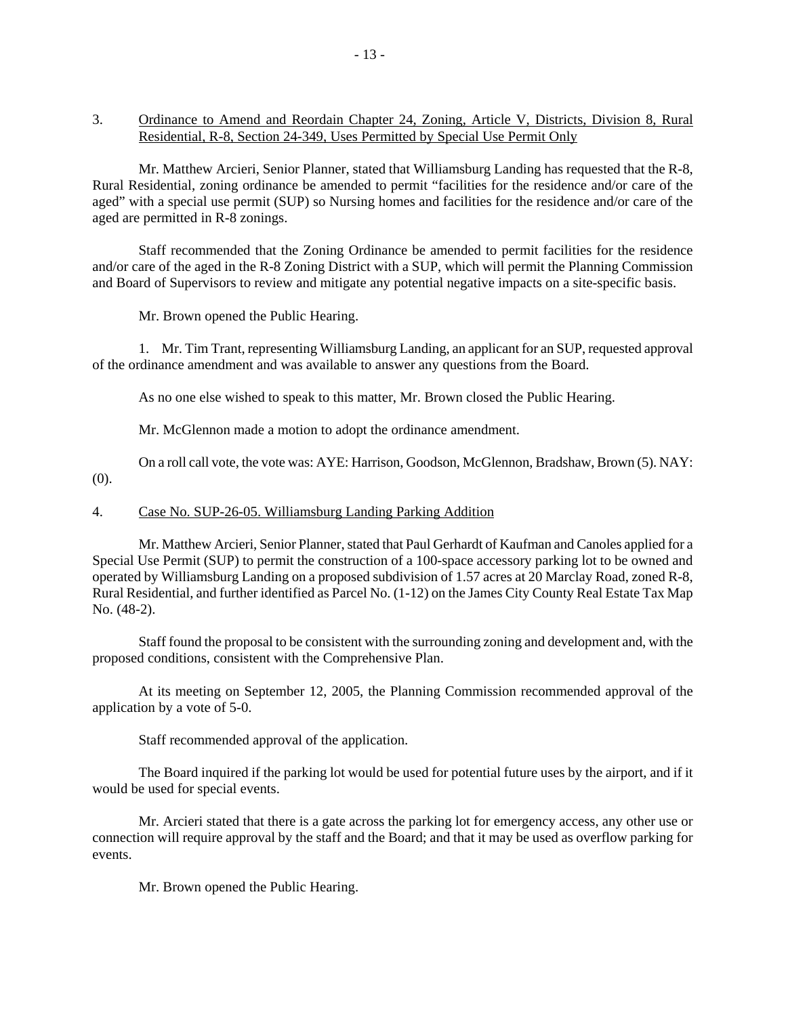3. Ordinance to Amend and Reordain Chapter 24, Zoning, Article V, Districts, Division 8, Rural Residential, R-8, Section 24-349, Uses Permitted by Special Use Permit Only

 Mr. Matthew Arcieri, Senior Planner, stated that Williamsburg Landing has requested that the R-8, Rural Residential, zoning ordinance be amended to permit "facilities for the residence and/or care of the aged" with a special use permit (SUP) so Nursing homes and facilities for the residence and/or care of the aged are permitted in R-8 zonings.

 Staff recommended that the Zoning Ordinance be amended to permit facilities for the residence and/or care of the aged in the R-8 Zoning District with a SUP, which will permit the Planning Commission and Board of Supervisors to review and mitigate any potential negative impacts on a site-specific basis.

Mr. Brown opened the Public Hearing.

 1. Mr. Tim Trant, representing Williamsburg Landing, an applicant for an SUP, requested approval of the ordinance amendment and was available to answer any questions from the Board.

As no one else wished to speak to this matter, Mr. Brown closed the Public Hearing.

Mr. McGlennon made a motion to adopt the ordinance amendment.

 On a roll call vote, the vote was: AYE: Harrison, Goodson, McGlennon, Bradshaw, Brown (5). NAY: (0).

#### 4. Case No. SUP-26-05. Williamsburg Landing Parking Addition

 Mr. Matthew Arcieri, Senior Planner, stated that Paul Gerhardt of Kaufman and Canoles applied for a Special Use Permit (SUP) to permit the construction of a 100-space accessory parking lot to be owned and operated by Williamsburg Landing on a proposed subdivision of 1.57 acres at 20 Marclay Road, zoned R-8, Rural Residential, and further identified as Parcel No. (1-12) on the James City County Real Estate Tax Map No. (48-2).

 Staff found the proposal to be consistent with the surrounding zoning and development and, with the proposed conditions, consistent with the Comprehensive Plan.

 At its meeting on September 12, 2005, the Planning Commission recommended approval of the application by a vote of 5-0.

Staff recommended approval of the application.

 The Board inquired if the parking lot would be used for potential future uses by the airport, and if it would be used for special events.

 Mr. Arcieri stated that there is a gate across the parking lot for emergency access, any other use or connection will require approval by the staff and the Board; and that it may be used as overflow parking for events.

Mr. Brown opened the Public Hearing.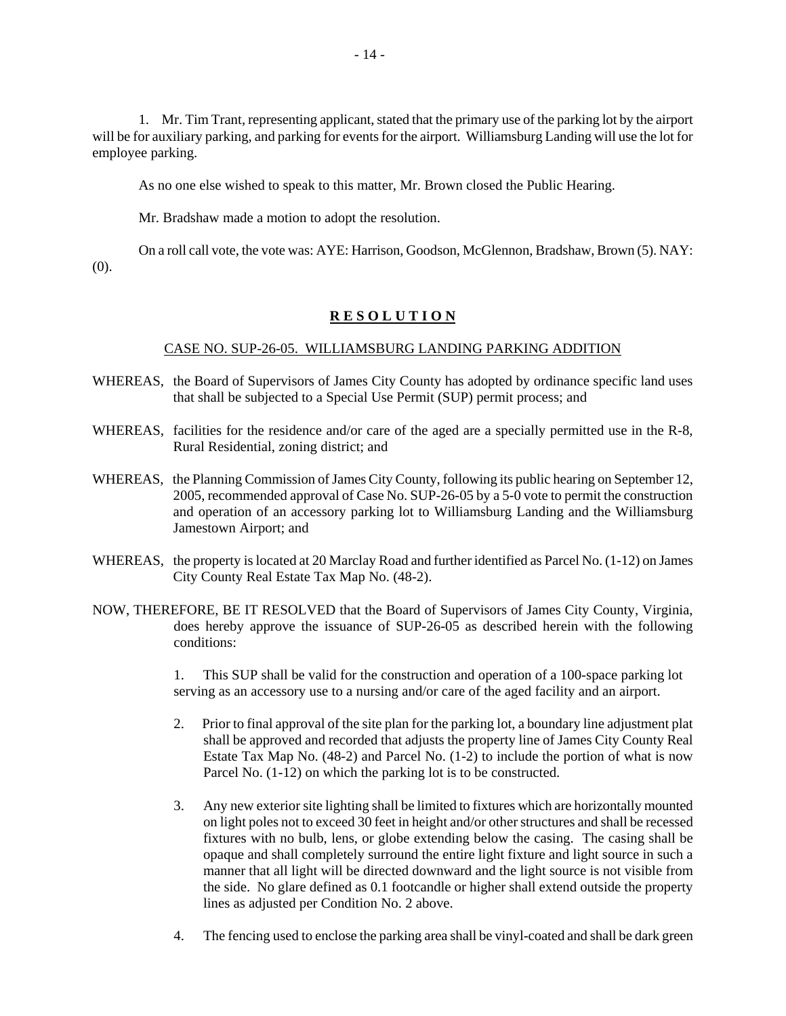1. Mr. Tim Trant, representing applicant, stated that the primary use of the parking lot by the airport will be for auxiliary parking, and parking for events for the airport. Williamsburg Landing will use the lot for employee parking.

As no one else wished to speak to this matter, Mr. Brown closed the Public Hearing.

Mr. Bradshaw made a motion to adopt the resolution.

 On a roll call vote, the vote was: AYE: Harrison, Goodson, McGlennon, Bradshaw, Brown (5). NAY: (0).

# **R E S O L U T I O N**

### CASE NO. SUP-26-05. WILLIAMSBURG LANDING PARKING ADDITION

- WHEREAS, the Board of Supervisors of James City County has adopted by ordinance specific land uses that shall be subjected to a Special Use Permit (SUP) permit process; and
- WHEREAS, facilities for the residence and/or care of the aged are a specially permitted use in the R-8, Rural Residential, zoning district; and
- WHEREAS, the Planning Commission of James City County, following its public hearing on September 12, 2005, recommended approval of Case No. SUP-26-05 by a 5-0 vote to permit the construction and operation of an accessory parking lot to Williamsburg Landing and the Williamsburg Jamestown Airport; and
- WHEREAS, the property is located at 20 Marclay Road and further identified as Parcel No. (1-12) on James City County Real Estate Tax Map No. (48-2).
- NOW, THEREFORE, BE IT RESOLVED that the Board of Supervisors of James City County, Virginia, does hereby approve the issuance of SUP-26-05 as described herein with the following conditions:

 1. This SUP shall be valid for the construction and operation of a 100-space parking lot serving as an accessory use to a nursing and/or care of the aged facility and an airport.

- 2. Prior to final approval of the site plan for the parking lot, a boundary line adjustment plat shall be approved and recorded that adjusts the property line of James City County Real Estate Tax Map No. (48-2) and Parcel No. (1-2) to include the portion of what is now Parcel No.  $(1-12)$  on which the parking lot is to be constructed.
- 3. Any new exterior site lighting shall be limited to fixtures which are horizontally mounted on light poles not to exceed 30 feet in height and/or other structures and shall be recessed fixtures with no bulb, lens, or globe extending below the casing. The casing shall be opaque and shall completely surround the entire light fixture and light source in such a manner that all light will be directed downward and the light source is not visible from the side. No glare defined as 0.1 footcandle or higher shall extend outside the property lines as adjusted per Condition No. 2 above.
- 4. The fencing used to enclose the parking area shall be vinyl-coated and shall be dark green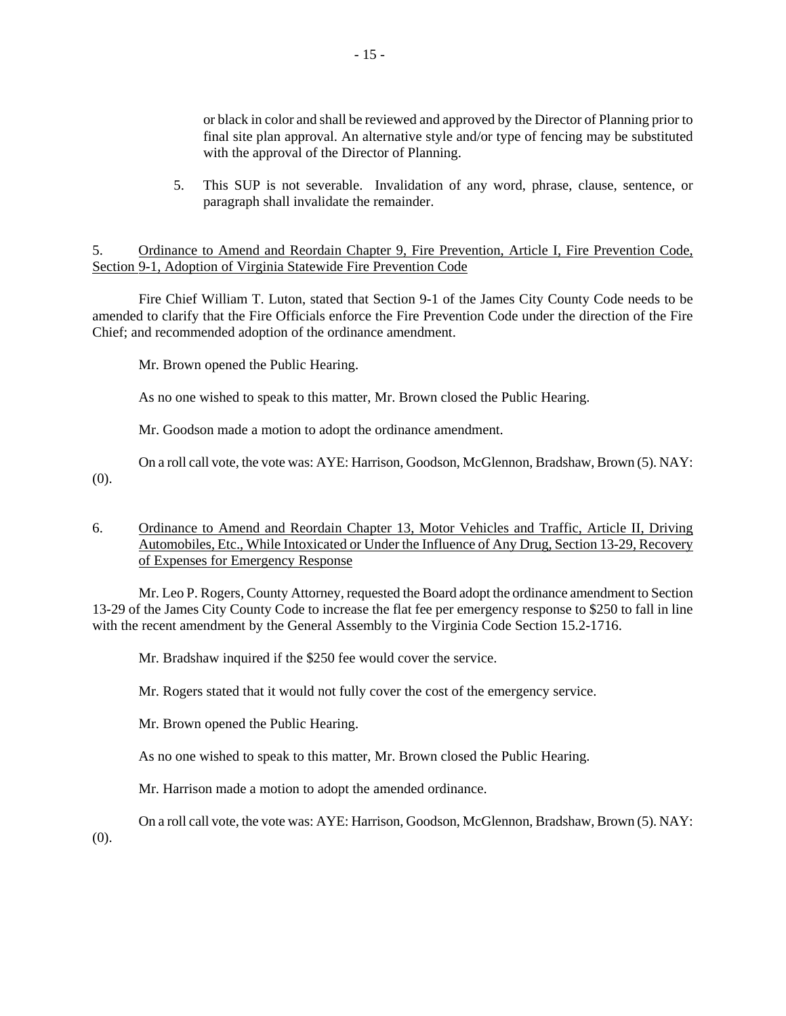or black in color and shall be reviewed and approved by the Director of Planning prior to final site plan approval. An alternative style and/or type of fencing may be substituted with the approval of the Director of Planning.

 5. This SUP is not severable. Invalidation of any word, phrase, clause, sentence, or paragraph shall invalidate the remainder.

## 5. Ordinance to Amend and Reordain Chapter 9, Fire Prevention, Article I, Fire Prevention Code, Section 9-1, Adoption of Virginia Statewide Fire Prevention Code

 Fire Chief William T. Luton, stated that Section 9-1 of the James City County Code needs to be amended to clarify that the Fire Officials enforce the Fire Prevention Code under the direction of the Fire Chief; and recommended adoption of the ordinance amendment.

Mr. Brown opened the Public Hearing.

As no one wished to speak to this matter, Mr. Brown closed the Public Hearing.

Mr. Goodson made a motion to adopt the ordinance amendment.

 On a roll call vote, the vote was: AYE: Harrison, Goodson, McGlennon, Bradshaw, Brown (5). NAY: (0).

## 6. Ordinance to Amend and Reordain Chapter 13, Motor Vehicles and Traffic, Article II, Driving Automobiles, Etc., While Intoxicated or Under the Influence of Any Drug, Section 13-29, Recovery of Expenses for Emergency Response

 Mr. Leo P. Rogers, County Attorney, requested the Board adopt the ordinance amendment to Section 13-29 of the James City County Code to increase the flat fee per emergency response to \$250 to fall in line with the recent amendment by the General Assembly to the Virginia Code Section 15.2-1716.

Mr. Bradshaw inquired if the \$250 fee would cover the service.

Mr. Rogers stated that it would not fully cover the cost of the emergency service.

Mr. Brown opened the Public Hearing.

As no one wished to speak to this matter, Mr. Brown closed the Public Hearing.

Mr. Harrison made a motion to adopt the amended ordinance.

On a roll call vote, the vote was: AYE: Harrison, Goodson, McGlennon, Bradshaw, Brown (5). NAY:

(0).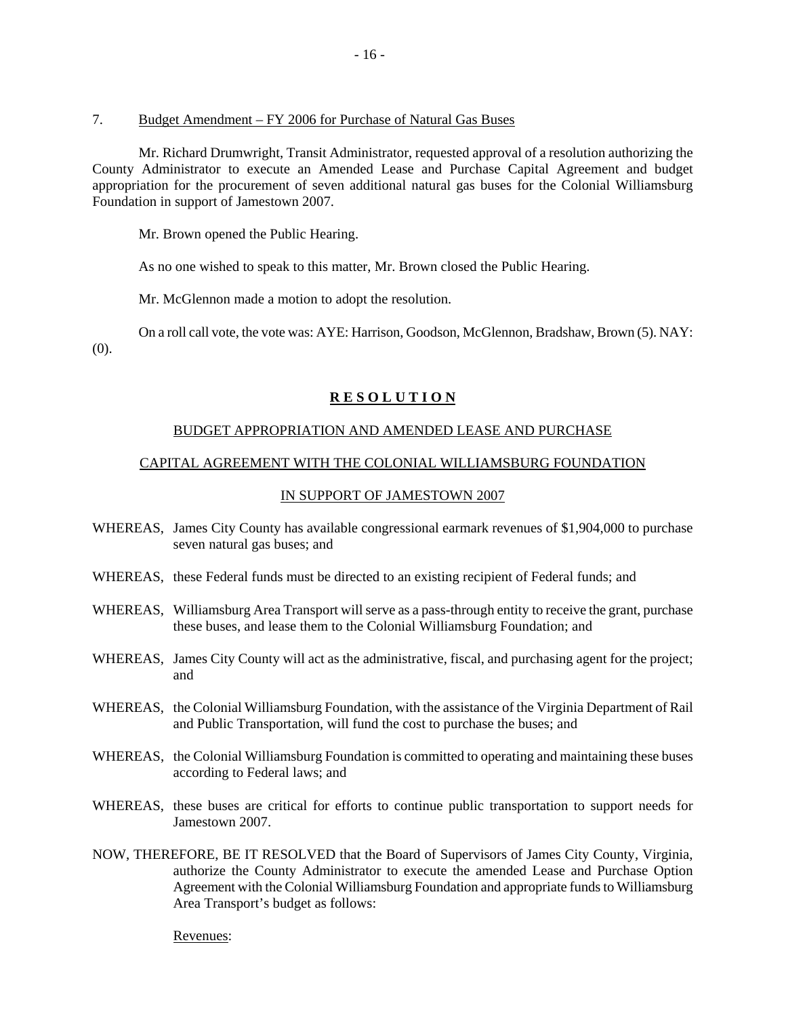#### 7. Budget Amendment – FY 2006 for Purchase of Natural Gas Buses

 Mr. Richard Drumwright, Transit Administrator, requested approval of a resolution authorizing the County Administrator to execute an Amended Lease and Purchase Capital Agreement and budget appropriation for the procurement of seven additional natural gas buses for the Colonial Williamsburg Foundation in support of Jamestown 2007.

Mr. Brown opened the Public Hearing.

As no one wished to speak to this matter, Mr. Brown closed the Public Hearing.

Mr. McGlennon made a motion to adopt the resolution.

 On a roll call vote, the vote was: AYE: Harrison, Goodson, McGlennon, Bradshaw, Brown (5). NAY: (0).

### **R E S O L U T I O N**

### BUDGET APPROPRIATION AND AMENDED LEASE AND PURCHASE

### CAPITAL AGREEMENT WITH THE COLONIAL WILLIAMSBURG FOUNDATION

## IN SUPPORT OF JAMESTOWN 2007

- WHEREAS, James City County has available congressional earmark revenues of \$1,904,000 to purchase seven natural gas buses; and
- WHEREAS, these Federal funds must be directed to an existing recipient of Federal funds; and
- WHEREAS, Williamsburg Area Transport will serve as a pass-through entity to receive the grant, purchase these buses, and lease them to the Colonial Williamsburg Foundation; and
- WHEREAS, James City County will act as the administrative, fiscal, and purchasing agent for the project; and
- WHEREAS, the Colonial Williamsburg Foundation, with the assistance of the Virginia Department of Rail and Public Transportation, will fund the cost to purchase the buses; and
- WHEREAS, the Colonial Williamsburg Foundation is committed to operating and maintaining these buses according to Federal laws; and
- WHEREAS, these buses are critical for efforts to continue public transportation to support needs for Jamestown 2007.
- NOW, THEREFORE, BE IT RESOLVED that the Board of Supervisors of James City County, Virginia, authorize the County Administrator to execute the amended Lease and Purchase Option Agreement with the Colonial Williamsburg Foundation and appropriate funds to Williamsburg Area Transport's budget as follows:

Revenues: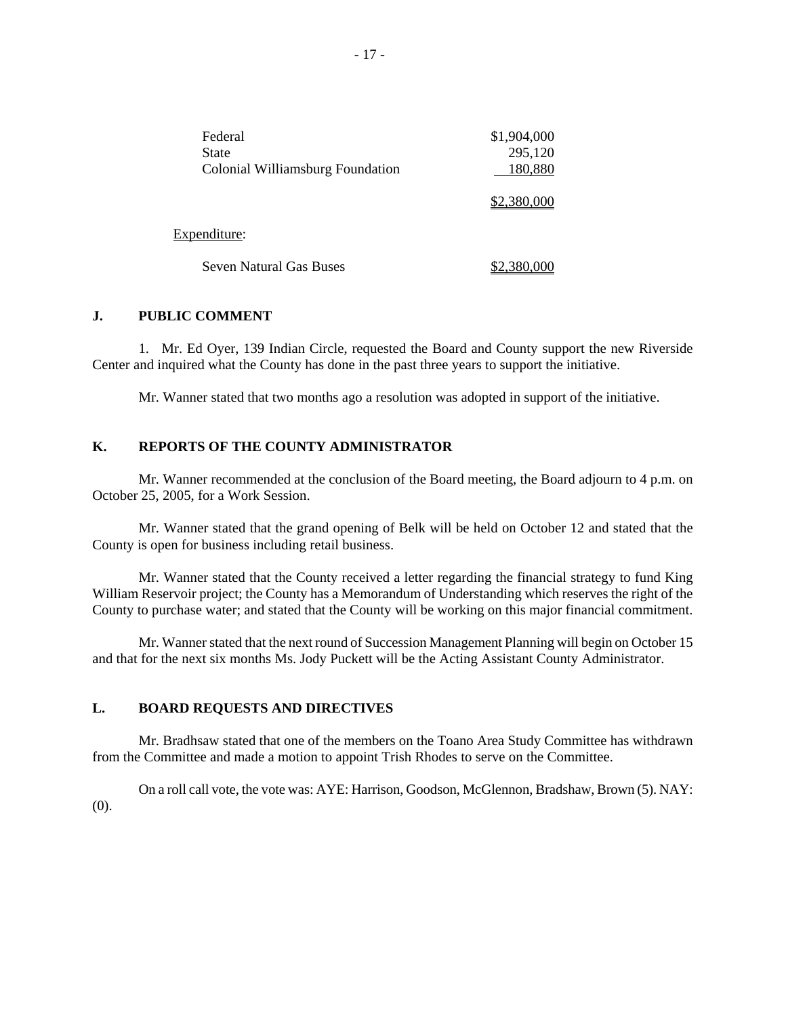| Federal<br><b>State</b>                 | \$1,904,000<br>295,120 |
|-----------------------------------------|------------------------|
| <b>Colonial Williamsburg Foundation</b> | 180,880                |
|                                         | \$2,380,000            |
| Expenditure:                            |                        |
| <b>Seven Natural Gas Buses</b>          | 2,380,000              |

#### **J. PUBLIC COMMENT**

 1. Mr. Ed Oyer, 139 Indian Circle, requested the Board and County support the new Riverside Center and inquired what the County has done in the past three years to support the initiative.

Mr. Wanner stated that two months ago a resolution was adopted in support of the initiative.

# **K. REPORTS OF THE COUNTY ADMINISTRATOR**

 Mr. Wanner recommended at the conclusion of the Board meeting, the Board adjourn to 4 p.m. on October 25, 2005, for a Work Session.

 Mr. Wanner stated that the grand opening of Belk will be held on October 12 and stated that the County is open for business including retail business.

 Mr. Wanner stated that the County received a letter regarding the financial strategy to fund King William Reservoir project; the County has a Memorandum of Understanding which reserves the right of the County to purchase water; and stated that the County will be working on this major financial commitment.

 Mr. Wanner stated that the next round of Succession Management Planning will begin on October 15 and that for the next six months Ms. Jody Puckett will be the Acting Assistant County Administrator.

#### **L. BOARD REQUESTS AND DIRECTIVES**

 Mr. Bradhsaw stated that one of the members on the Toano Area Study Committee has withdrawn from the Committee and made a motion to appoint Trish Rhodes to serve on the Committee.

 On a roll call vote, the vote was: AYE: Harrison, Goodson, McGlennon, Bradshaw, Brown (5). NAY: (0).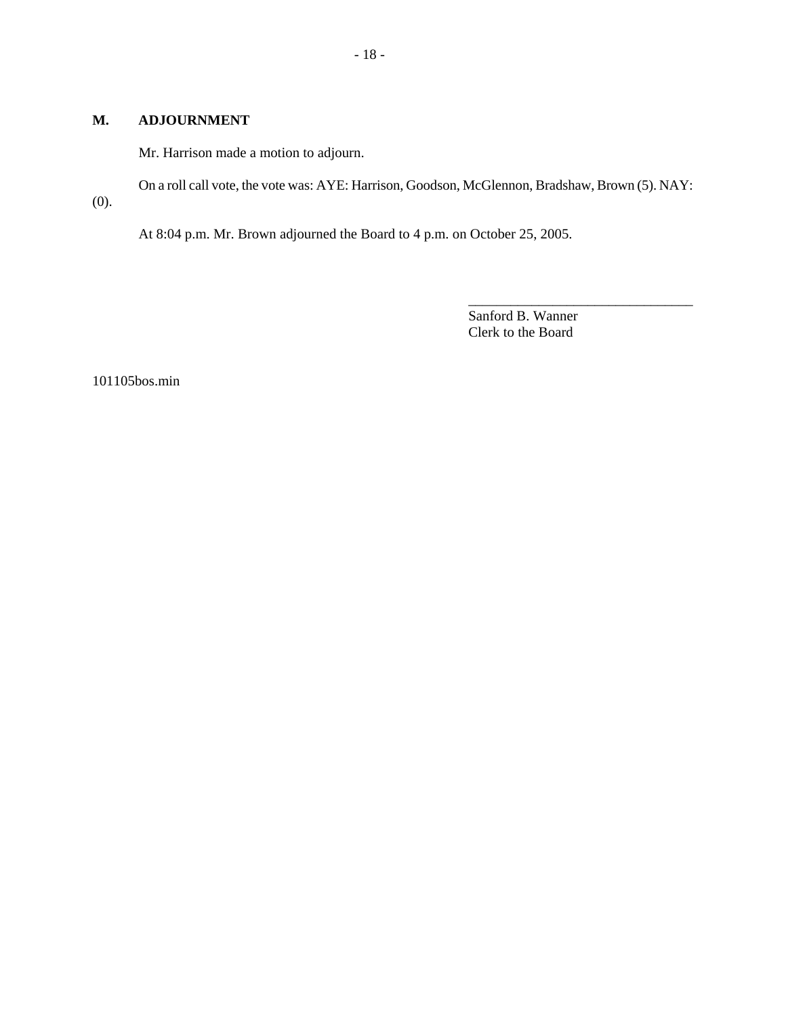### **M. ADJOURNMENT**

Mr. Harrison made a motion to adjourn.

On a roll call vote, the vote was: AYE: Harrison, Goodson, McGlennon, Bradshaw, Brown (5). NAY:

(0).

At 8:04 p.m. Mr. Brown adjourned the Board to 4 p.m. on October 25, 2005.

Sanford B. Wanner Clerk to the Board

\_\_\_\_\_\_\_\_\_\_\_\_\_\_\_\_\_\_\_\_\_\_\_\_\_\_\_\_\_\_\_\_

101105bos.min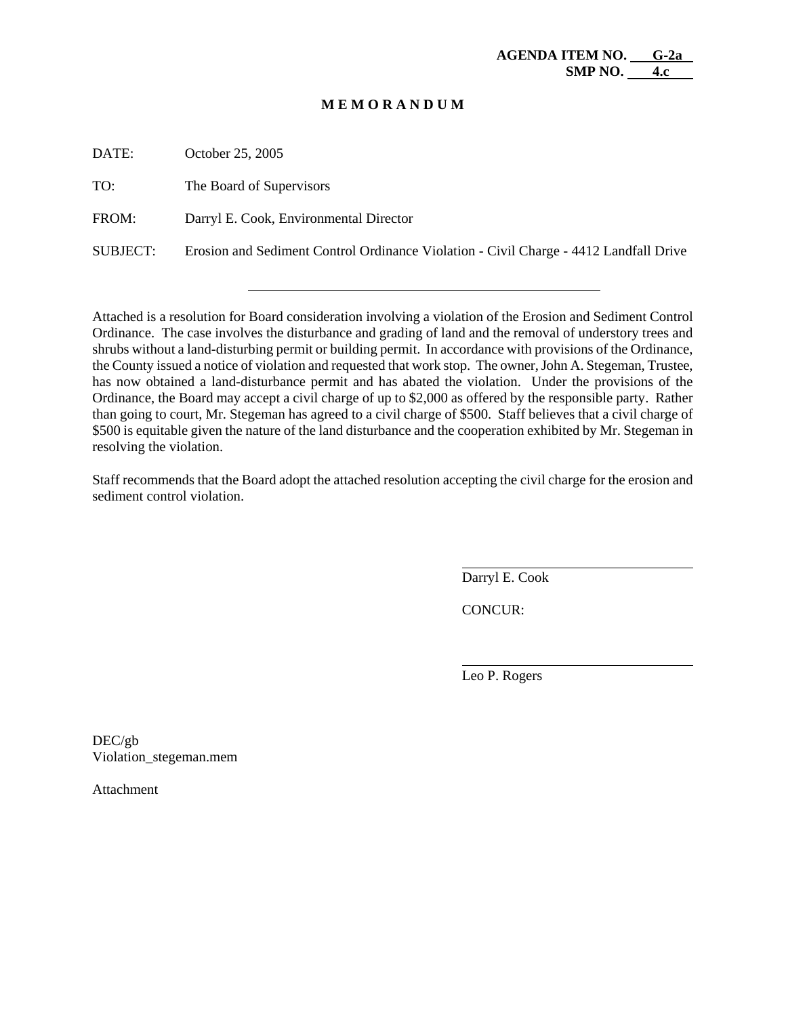DATE: October 25, 2005

TO: The Board of Supervisors

FROM: Darryl E. Cook, Environmental Director

SUBJECT: Erosion and Sediment Control Ordinance Violation - Civil Charge - 4412 Landfall Drive

Attached is a resolution for Board consideration involving a violation of the Erosion and Sediment Control Ordinance. The case involves the disturbance and grading of land and the removal of understory trees and shrubs without a land-disturbing permit or building permit. In accordance with provisions of the Ordinance, the County issued a notice of violation and requested that work stop. The owner, John A. Stegeman, Trustee, has now obtained a land-disturbance permit and has abated the violation. Under the provisions of the Ordinance, the Board may accept a civil charge of up to \$2,000 as offered by the responsible party. Rather than going to court, Mr. Stegeman has agreed to a civil charge of \$500. Staff believes that a civil charge of \$500 is equitable given the nature of the land disturbance and the cooperation exhibited by Mr. Stegeman in resolving the violation.

Staff recommends that the Board adopt the attached resolution accepting the civil charge for the erosion and sediment control violation.

Darryl E. Cook

CONCUR:

 $\overline{a}$ 

l

Leo P. Rogers

DEC/gb Violation\_stegeman.mem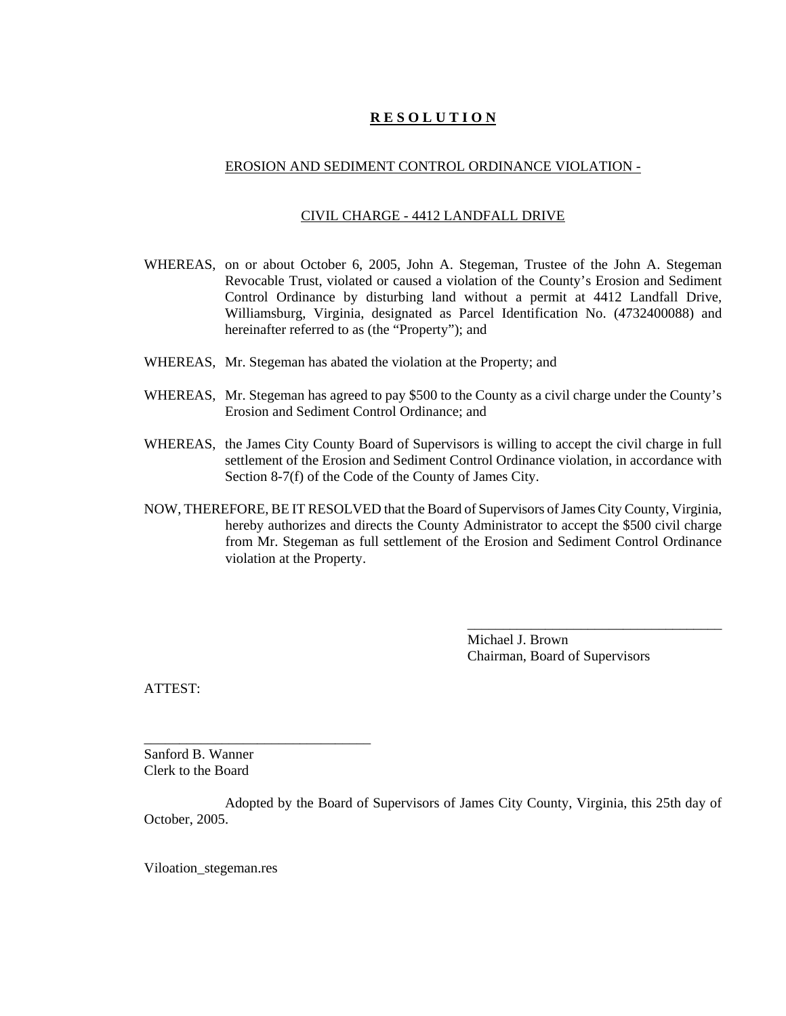### EROSION AND SEDIMENT CONTROL ORDINANCE VIOLATION -

#### CIVIL CHARGE - 4412 LANDFALL DRIVE

- WHEREAS, on or about October 6, 2005, John A. Stegeman, Trustee of the John A. Stegeman Revocable Trust, violated or caused a violation of the County's Erosion and Sediment Control Ordinance by disturbing land without a permit at 4412 Landfall Drive, Williamsburg, Virginia, designated as Parcel Identification No. (4732400088) and hereinafter referred to as (the "Property"); and
- WHEREAS, Mr. Stegeman has abated the violation at the Property; and
- WHEREAS, Mr. Stegeman has agreed to pay \$500 to the County as a civil charge under the County's Erosion and Sediment Control Ordinance; and
- WHEREAS, the James City County Board of Supervisors is willing to accept the civil charge in full settlement of the Erosion and Sediment Control Ordinance violation, in accordance with Section 8-7(f) of the Code of the County of James City.
- NOW, THEREFORE, BE IT RESOLVED that the Board of Supervisors of James City County, Virginia, hereby authorizes and directs the County Administrator to accept the \$500 civil charge from Mr. Stegeman as full settlement of the Erosion and Sediment Control Ordinance violation at the Property.

Michael J. Brown Chairman, Board of Supervisors

\_\_\_\_\_\_\_\_\_\_\_\_\_\_\_\_\_\_\_\_\_\_\_\_\_\_\_\_\_\_\_\_\_\_\_\_

ATTEST:

Sanford B. Wanner Clerk to the Board

\_\_\_\_\_\_\_\_\_\_\_\_\_\_\_\_\_\_\_\_\_\_\_\_\_\_\_\_\_\_\_\_

Adopted by the Board of Supervisors of James City County, Virginia, this 25th day of October, 2005.

Viloation\_stegeman.res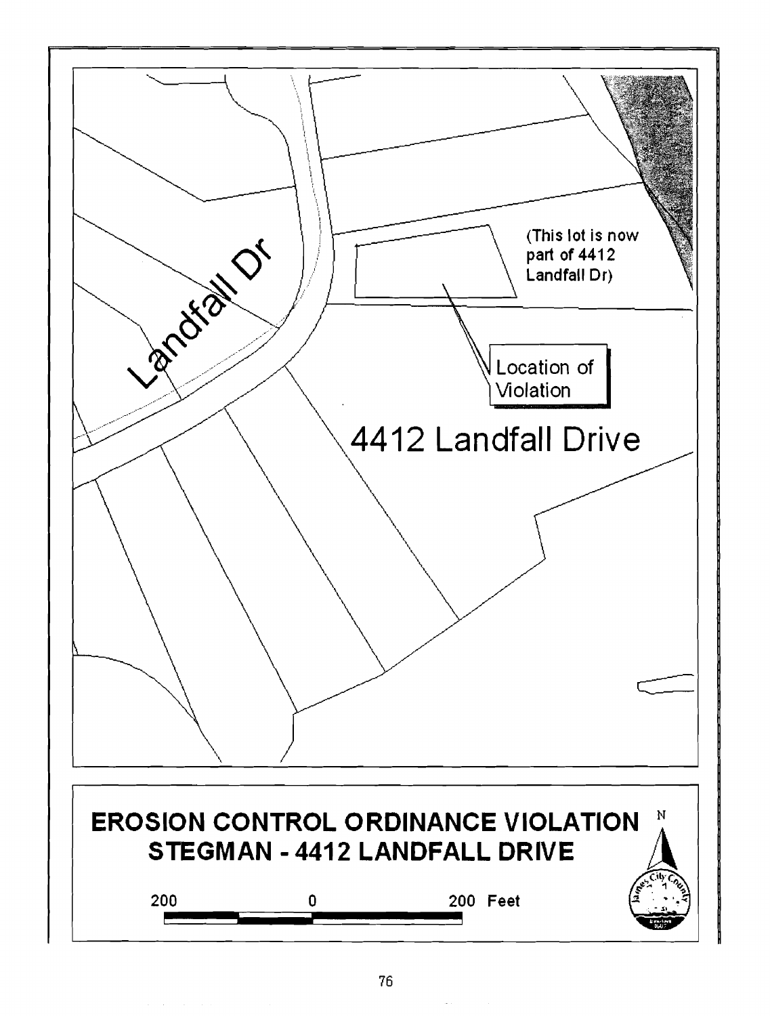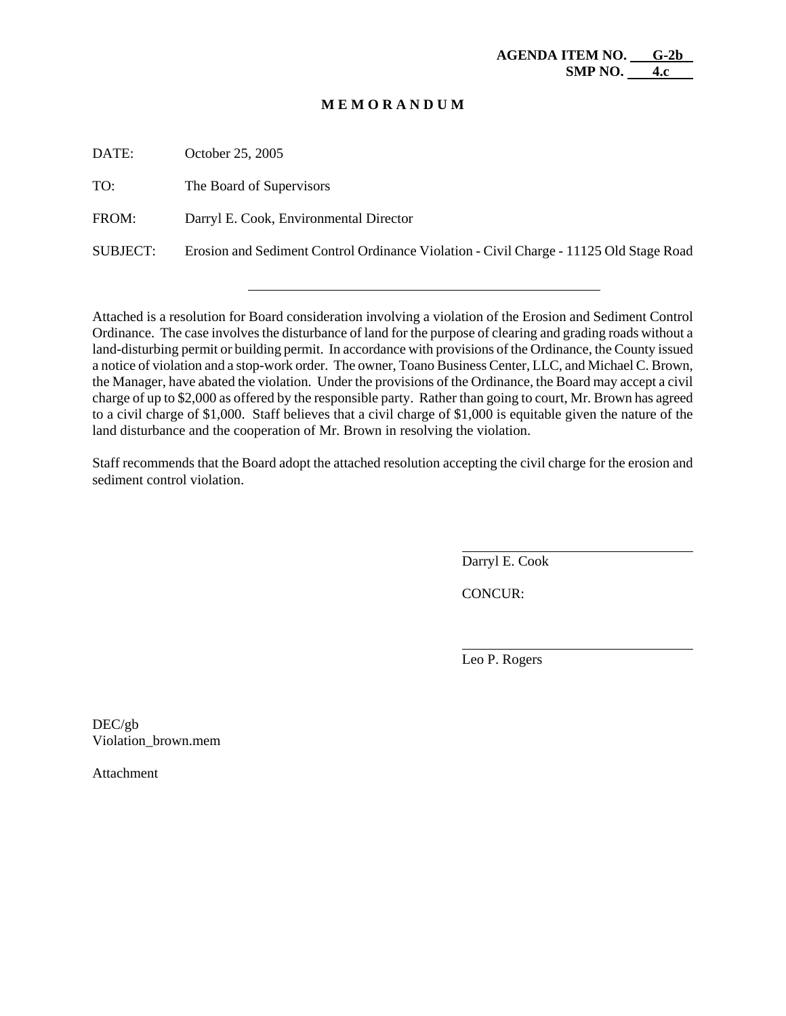DATE: October 25, 2005

TO: The Board of Supervisors

FROM: Darryl E. Cook, Environmental Director

SUBJECT: Erosion and Sediment Control Ordinance Violation - Civil Charge - 11125 Old Stage Road

Attached is a resolution for Board consideration involving a violation of the Erosion and Sediment Control Ordinance. The case involves the disturbance of land for the purpose of clearing and grading roads without a land-disturbing permit or building permit. In accordance with provisions of the Ordinance, the County issued a notice of violation and a stop-work order. The owner, Toano Business Center, LLC, and Michael C. Brown, the Manager, have abated the violation. Under the provisions of the Ordinance, the Board may accept a civil charge of up to \$2,000 as offered by the responsible party. Rather than going to court, Mr. Brown has agreed to a civil charge of \$1,000. Staff believes that a civil charge of \$1,000 is equitable given the nature of the land disturbance and the cooperation of Mr. Brown in resolving the violation.

Staff recommends that the Board adopt the attached resolution accepting the civil charge for the erosion and sediment control violation.

Darryl E. Cook

CONCUR:

 $\overline{a}$ 

l

Leo P. Rogers

DEC/gb Violation\_brown.mem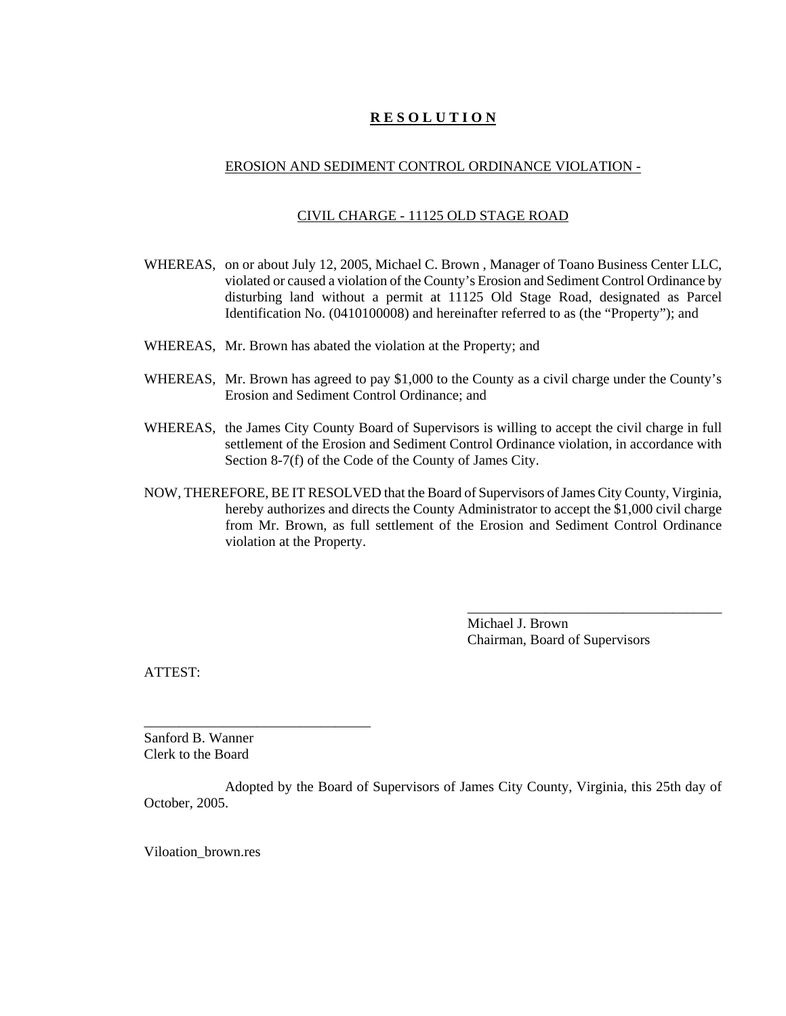### EROSION AND SEDIMENT CONTROL ORDINANCE VIOLATION -

### CIVIL CHARGE - 11125 OLD STAGE ROAD

- WHEREAS, on or about July 12, 2005, Michael C. Brown , Manager of Toano Business Center LLC, violated or caused a violation of the County's Erosion and Sediment Control Ordinance by disturbing land without a permit at 11125 Old Stage Road, designated as Parcel Identification No. (0410100008) and hereinafter referred to as (the "Property"); and
- WHEREAS, Mr. Brown has abated the violation at the Property; and
- WHEREAS, Mr. Brown has agreed to pay \$1,000 to the County as a civil charge under the County's Erosion and Sediment Control Ordinance; and
- WHEREAS, the James City County Board of Supervisors is willing to accept the civil charge in full settlement of the Erosion and Sediment Control Ordinance violation, in accordance with Section 8-7(f) of the Code of the County of James City.
- NOW, THEREFORE, BE IT RESOLVED that the Board of Supervisors of James City County, Virginia, hereby authorizes and directs the County Administrator to accept the \$1,000 civil charge from Mr. Brown, as full settlement of the Erosion and Sediment Control Ordinance violation at the Property.

Michael J. Brown Chairman, Board of Supervisors

\_\_\_\_\_\_\_\_\_\_\_\_\_\_\_\_\_\_\_\_\_\_\_\_\_\_\_\_\_\_\_\_\_\_\_\_

ATTEST:

Sanford B. Wanner Clerk to the Board

\_\_\_\_\_\_\_\_\_\_\_\_\_\_\_\_\_\_\_\_\_\_\_\_\_\_\_\_\_\_\_\_

Adopted by the Board of Supervisors of James City County, Virginia, this 25th day of October, 2005.

Viloation\_brown.res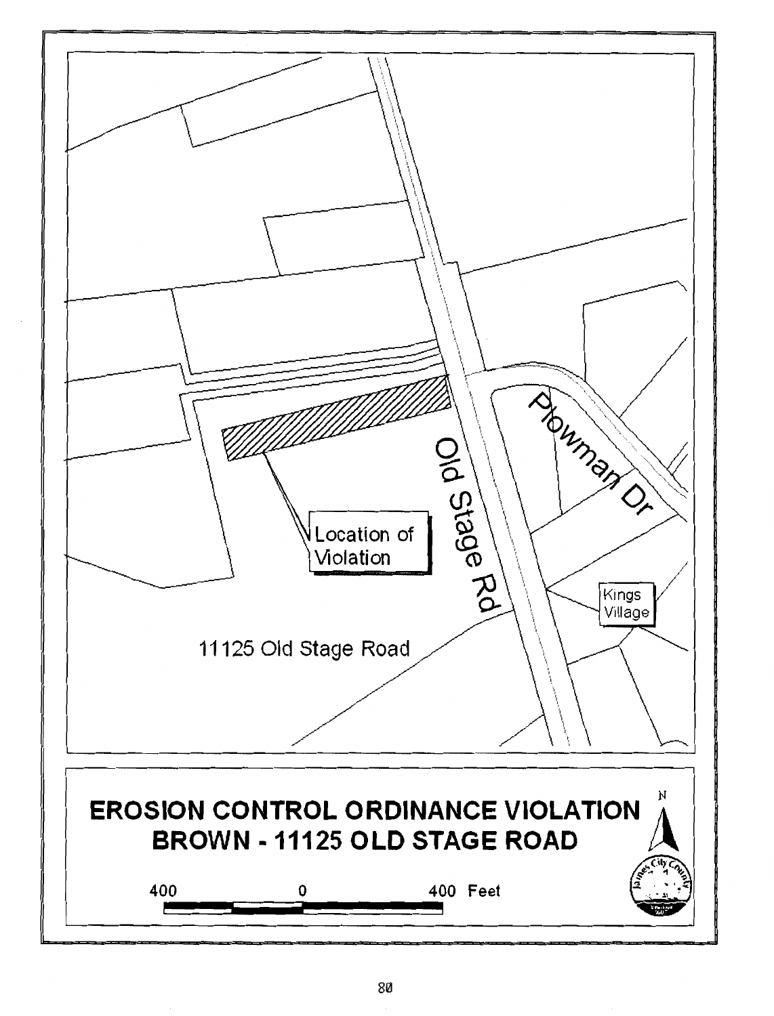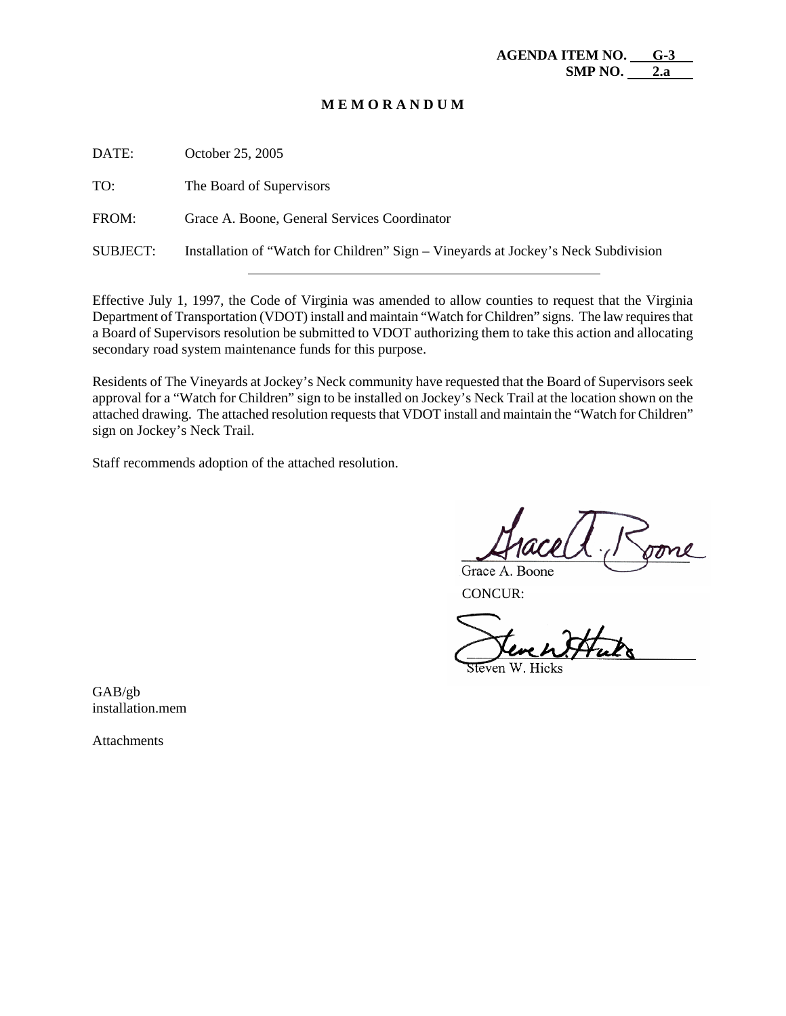| DATE:           | October 25, 2005                                                                   |
|-----------------|------------------------------------------------------------------------------------|
| TO:             | The Board of Supervisors                                                           |
| FROM:           | Grace A. Boone, General Services Coordinator                                       |
| <b>SUBJECT:</b> | Installation of "Watch for Children" Sign – Vineyards at Jockey's Neck Subdivision |
|                 |                                                                                    |

Effective July 1, 1997, the Code of Virginia was amended to allow counties to request that the Virginia Department of Transportation (VDOT) install and maintain "Watch for Children" signs. The law requires that a Board of Supervisors resolution be submitted to VDOT authorizing them to take this action and allocating secondary road system maintenance funds for this purpose.

Residents of The Vineyards at Jockey's Neck community have requested that the Board of Supervisors seek approval for a "Watch for Children" sign to be installed on Jockey's Neck Trail at the location shown on the attached drawing. The attached resolution requests that VDOT install and maintain the "Watch for Children" sign on Jockey's Neck Trail.

Staff recommends adoption of the attached resolution.

Grace A. Boone

CONCUR:

GAB/gb installation.mem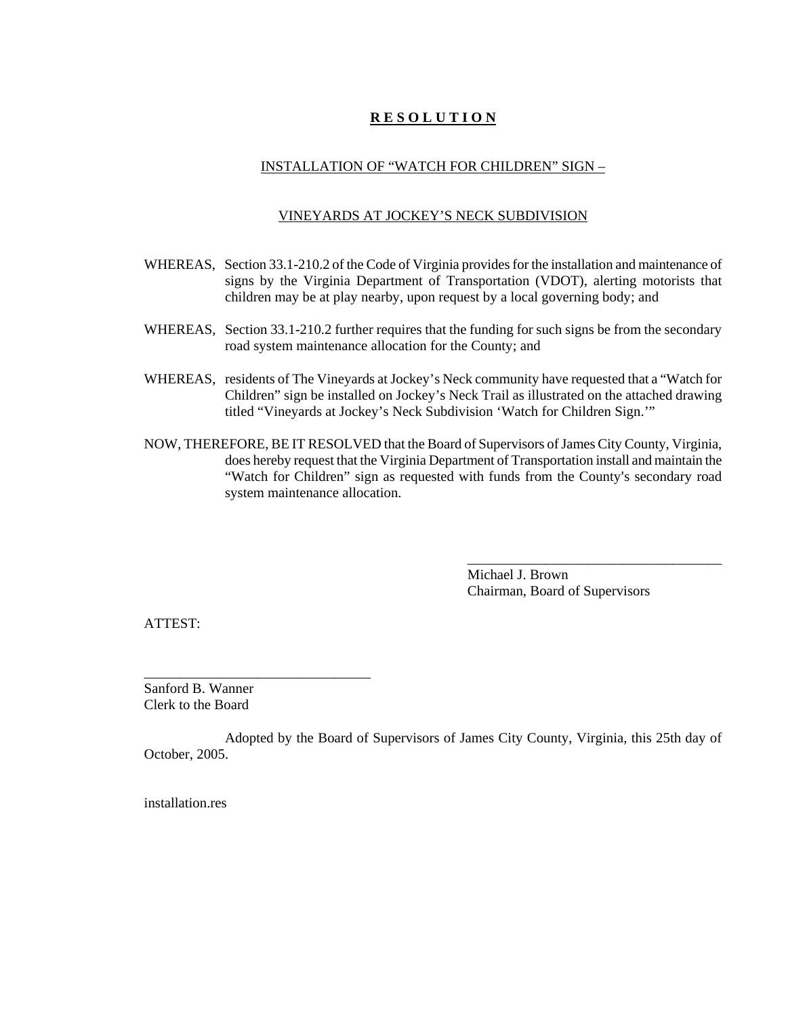## INSTALLATION OF "WATCH FOR CHILDREN" SIGN –

### VINEYARDS AT JOCKEY'S NECK SUBDIVISION

- WHEREAS, Section 33.1-210.2 of the Code of Virginia provides for the installation and maintenance of signs by the Virginia Department of Transportation (VDOT), alerting motorists that children may be at play nearby, upon request by a local governing body; and
- WHEREAS, Section 33.1-210.2 further requires that the funding for such signs be from the secondary road system maintenance allocation for the County; and
- WHEREAS, residents of The Vineyards at Jockey's Neck community have requested that a "Watch for Children" sign be installed on Jockey's Neck Trail as illustrated on the attached drawing titled "Vineyards at Jockey's Neck Subdivision 'Watch for Children Sign.'"
- NOW, THEREFORE, BE IT RESOLVED that the Board of Supervisors of James City County, Virginia, does hereby request that the Virginia Department of Transportation install and maintain the "Watch for Children" sign as requested with funds from the County's secondary road system maintenance allocation.

Michael J. Brown Chairman, Board of Supervisors

\_\_\_\_\_\_\_\_\_\_\_\_\_\_\_\_\_\_\_\_\_\_\_\_\_\_\_\_\_\_\_\_\_\_\_\_

ATTEST:

Sanford B. Wanner Clerk to the Board

\_\_\_\_\_\_\_\_\_\_\_\_\_\_\_\_\_\_\_\_\_\_\_\_\_\_\_\_\_\_\_\_

Adopted by the Board of Supervisors of James City County, Virginia, this 25th day of October, 2005.

installation.res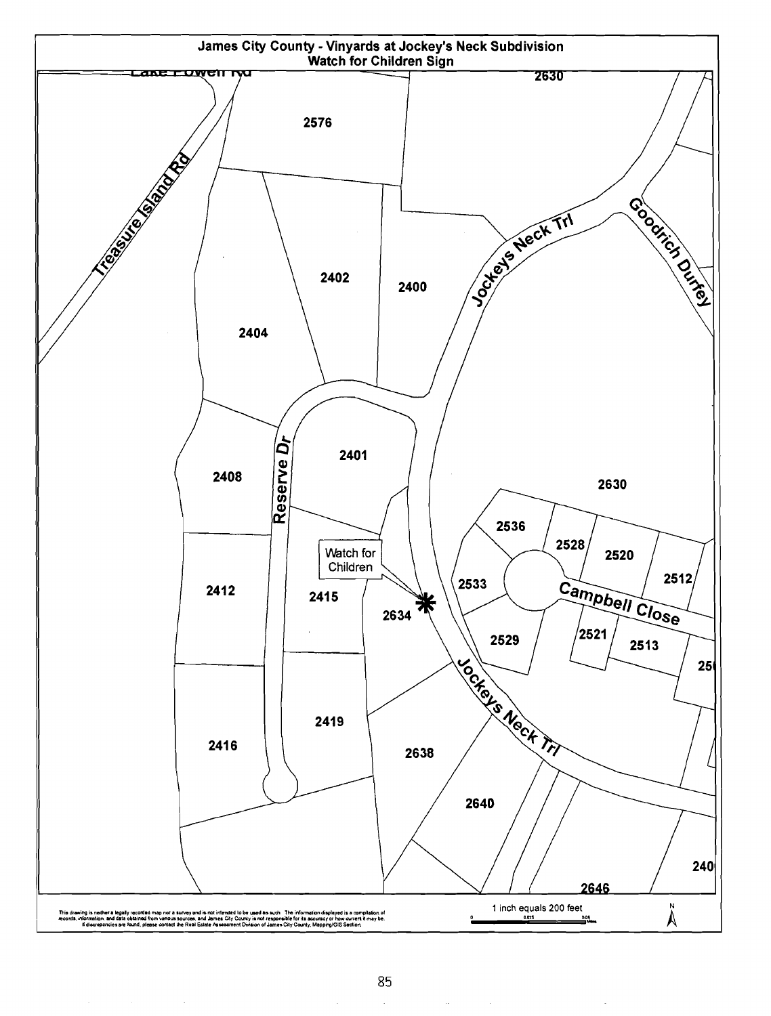

 $\sim$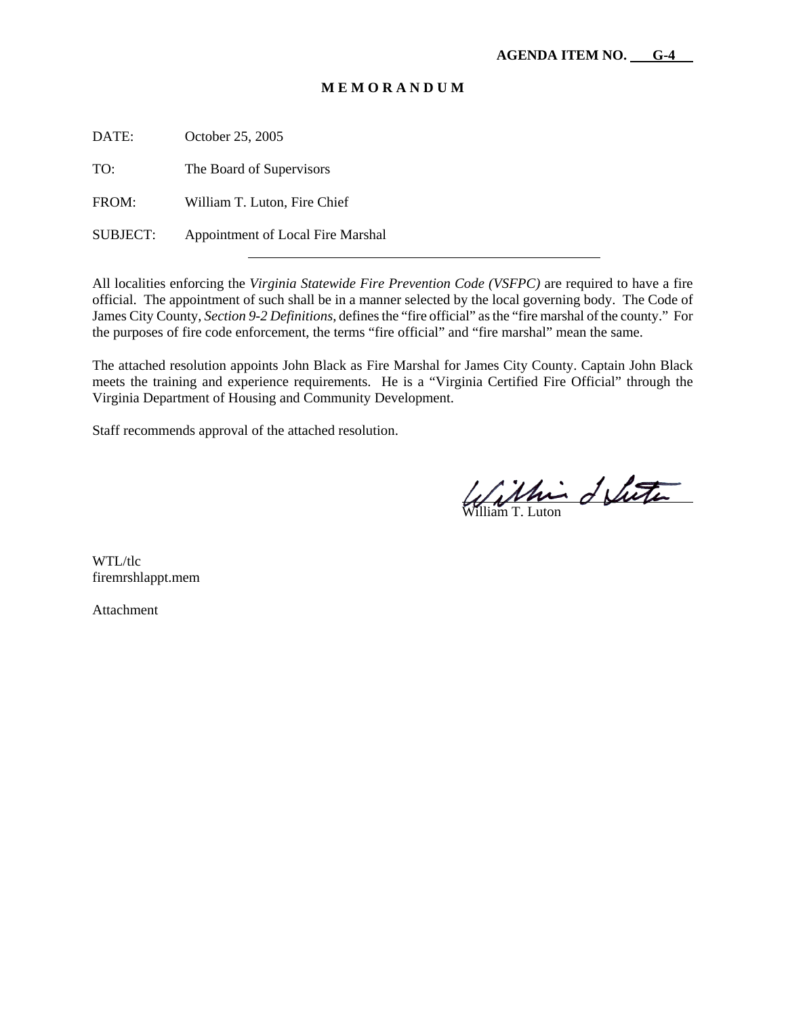DATE: October 25, 2005

TO: The Board of Supervisors

FROM: William T. Luton, Fire Chief

SUBJECT: Appointment of Local Fire Marshal

All localities enforcing the *Virginia Statewide Fire Prevention Code (VSFPC)* are required to have a fire official. The appointment of such shall be in a manner selected by the local governing body. The Code of James City County, *Section 9-2 Definitions*, defines the "fire official" as the "fire marshal of the county." For the purposes of fire code enforcement, the terms "fire official" and "fire marshal" mean the same.

The attached resolution appoints John Black as Fire Marshal for James City County. Captain John Black meets the training and experience requirements. He is a "Virginia Certified Fire Official" through the Virginia Department of Housing and Community Development.

Staff recommends approval of the attached resolution.

 $\overline{a}$ William T. Luton

WTL/tlc firemrshlappt.mem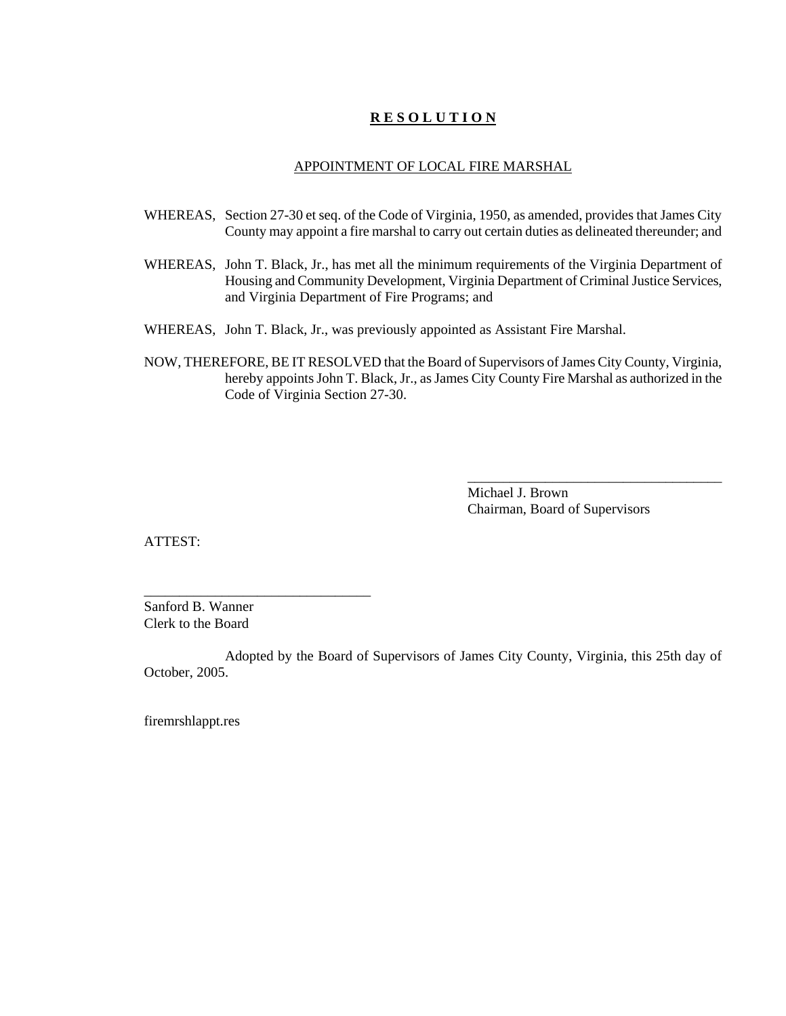### APPOINTMENT OF LOCAL FIRE MARSHAL

- WHEREAS, Section 27-30 et seq. of the Code of Virginia, 1950, as amended, provides that James City County may appoint a fire marshal to carry out certain duties as delineated thereunder; and
- WHEREAS, John T. Black, Jr., has met all the minimum requirements of the Virginia Department of Housing and Community Development, Virginia Department of Criminal Justice Services, and Virginia Department of Fire Programs; and
- WHEREAS, John T. Black, Jr., was previously appointed as Assistant Fire Marshal.
- NOW, THEREFORE, BE IT RESOLVED that the Board of Supervisors of James City County, Virginia, hereby appoints John T. Black, Jr., as James City County Fire Marshal as authorized in the Code of Virginia Section 27-30.

Michael J. Brown Chairman, Board of Supervisors

\_\_\_\_\_\_\_\_\_\_\_\_\_\_\_\_\_\_\_\_\_\_\_\_\_\_\_\_\_\_\_\_\_\_\_\_

ATTEST:

Sanford B. Wanner Clerk to the Board

\_\_\_\_\_\_\_\_\_\_\_\_\_\_\_\_\_\_\_\_\_\_\_\_\_\_\_\_\_\_\_\_

Adopted by the Board of Supervisors of James City County, Virginia, this 25th day of October, 2005.

firemrshlappt.res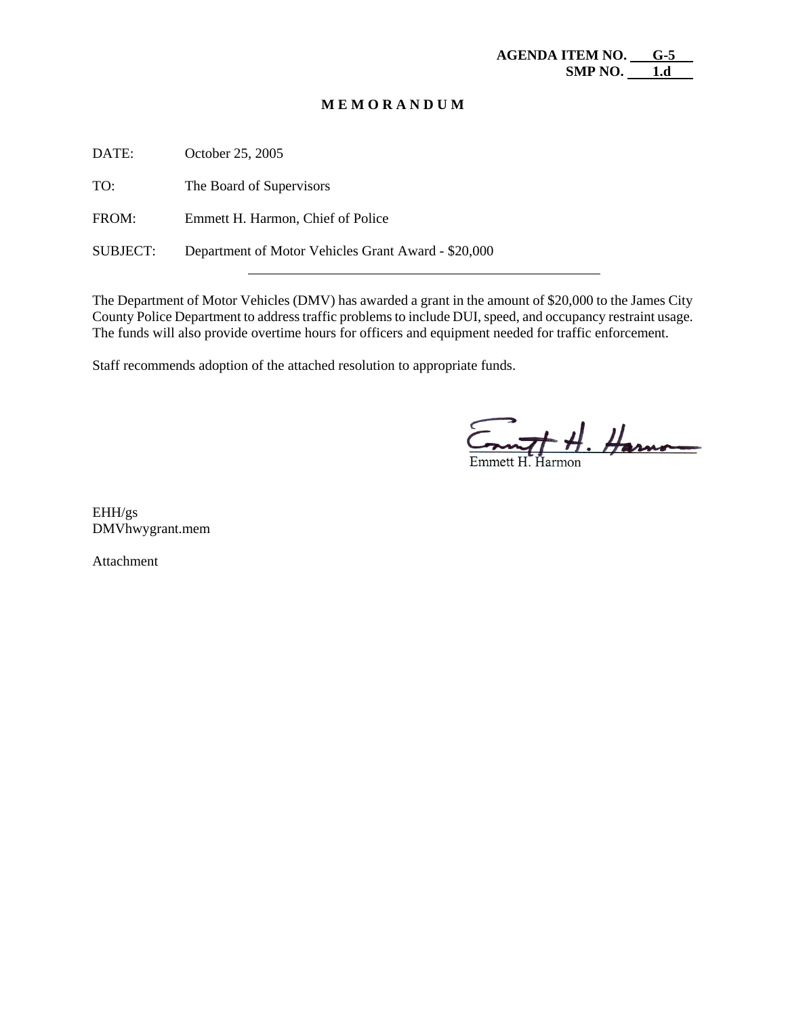DATE: October 25, 2005 TO: The Board of Supervisors FROM: Emmett H. Harmon, Chief of Police SUBJECT: Department of Motor Vehicles Grant Award - \$20,000

The Department of Motor Vehicles (DMV) has awarded a grant in the amount of \$20,000 to the James City County Police Department to address traffic problems to include DUI, speed, and occupancy restraint usage. The funds will also provide overtime hours for officers and equipment needed for traffic enforcement.

Staff recommends adoption of the attached resolution to appropriate funds.

 $T$   $H$ . Harmon

EHH/gs DMVhwygrant.mem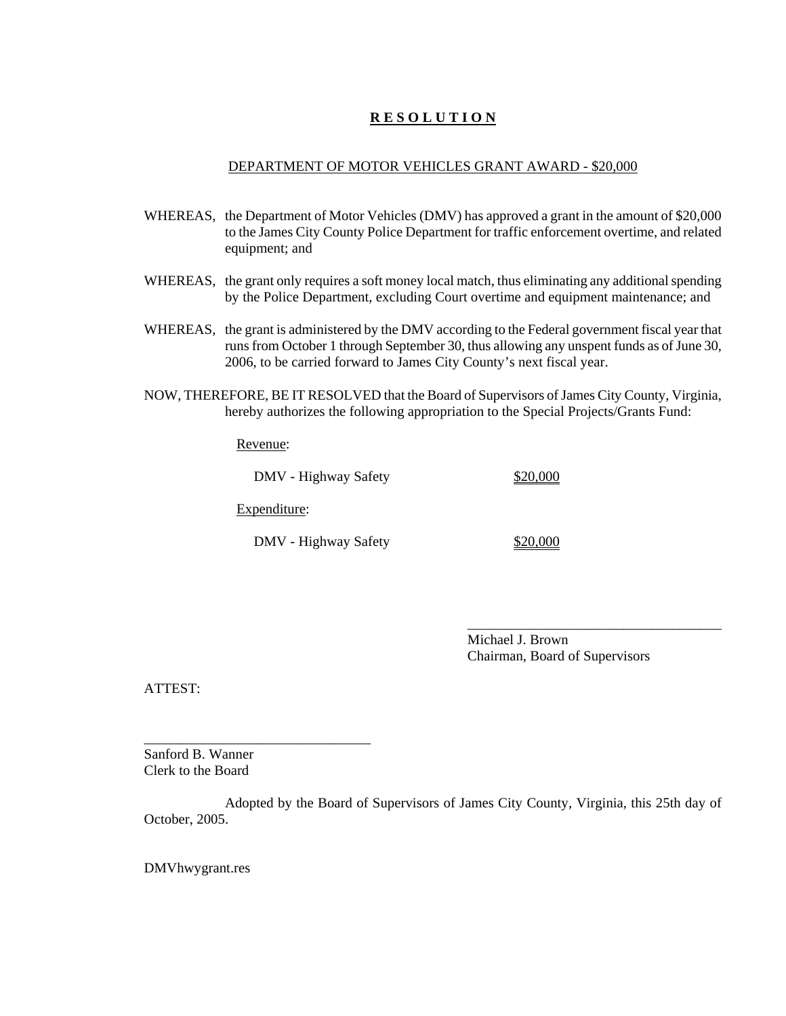### DEPARTMENT OF MOTOR VEHICLES GRANT AWARD - \$20,000

- WHEREAS, the Department of Motor Vehicles (DMV) has approved a grant in the amount of \$20,000 to the James City County Police Department for traffic enforcement overtime, and related equipment; and
- WHEREAS, the grant only requires a soft money local match, thus eliminating any additional spending by the Police Department, excluding Court overtime and equipment maintenance; and
- WHEREAS, the grant is administered by the DMV according to the Federal government fiscal year that runs from October 1 through September 30, thus allowing any unspent funds as of June 30, 2006, to be carried forward to James City County's next fiscal year.
- NOW, THEREFORE, BE IT RESOLVED that the Board of Supervisors of James City County, Virginia, hereby authorizes the following appropriation to the Special Projects/Grants Fund:

Revenue:

DMV - Highway Safety \$20,000

Expenditure:

\_\_\_\_\_\_\_\_\_\_\_\_\_\_\_\_\_\_\_\_\_\_\_\_\_\_\_\_\_\_\_\_

DMV - Highway Safety \$20,000

Michael J. Brown Chairman, Board of Supervisors

\_\_\_\_\_\_\_\_\_\_\_\_\_\_\_\_\_\_\_\_\_\_\_\_\_\_\_\_\_\_\_\_\_\_\_\_

ATTEST:

Sanford B. Wanner Clerk to the Board

Adopted by the Board of Supervisors of James City County, Virginia, this 25th day of October, 2005.

DMVhwygrant.res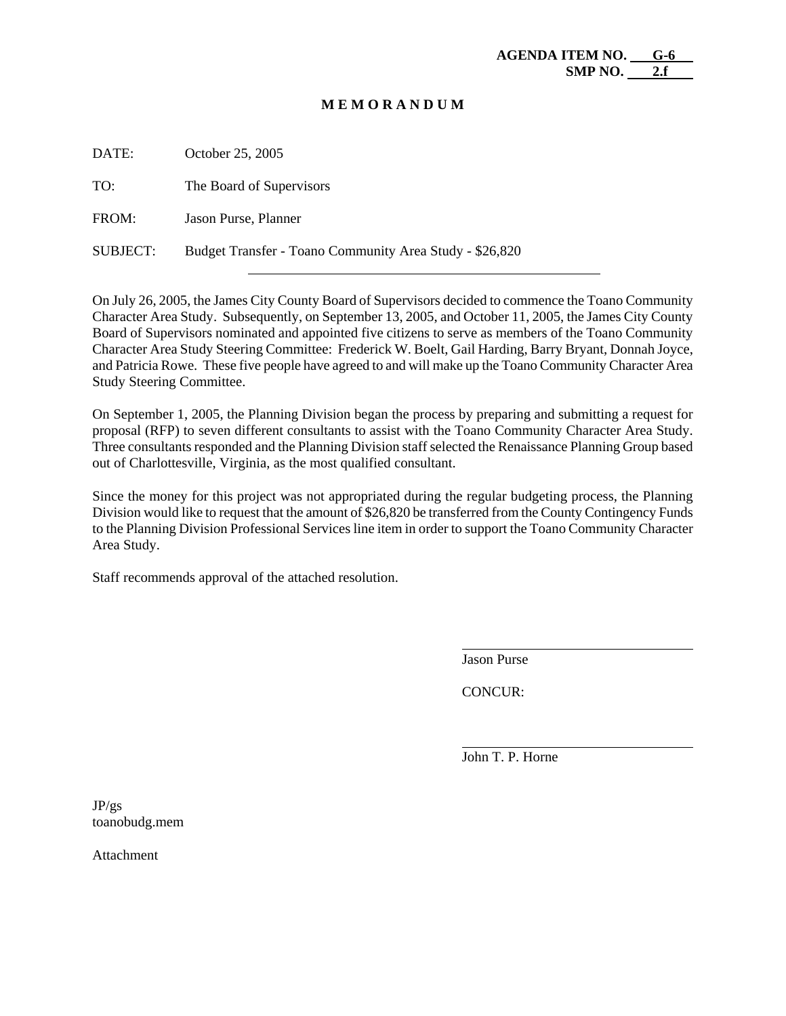| DATE:           | October 25, 2005                                        |
|-----------------|---------------------------------------------------------|
| TO:             | The Board of Supervisors                                |
| FROM:           | Jason Purse, Planner                                    |
| <b>SUBJECT:</b> | Budget Transfer - Toano Community Area Study - \$26,820 |

On July 26, 2005, the James City County Board of Supervisors decided to commence the Toano Community Character Area Study. Subsequently, on September 13, 2005, and October 11, 2005, the James City County Board of Supervisors nominated and appointed five citizens to serve as members of the Toano Community Character Area Study Steering Committee: Frederick W. Boelt, Gail Harding, Barry Bryant, Donnah Joyce, and Patricia Rowe. These five people have agreed to and will make up the Toano Community Character Area Study Steering Committee.

On September 1, 2005, the Planning Division began the process by preparing and submitting a request for proposal (RFP) to seven different consultants to assist with the Toano Community Character Area Study. Three consultants responded and the Planning Division staff selected the Renaissance Planning Group based out of Charlottesville, Virginia, as the most qualified consultant.

Since the money for this project was not appropriated during the regular budgeting process, the Planning Division would like to request that the amount of \$26,820 be transferred from the County Contingency Funds to the Planning Division Professional Services line item in order to support the Toano Community Character Area Study.

Staff recommends approval of the attached resolution.

Jason Purse

 $\overline{a}$ 

l

CONCUR:

John T. P. Horne

JP/gs toanobudg.mem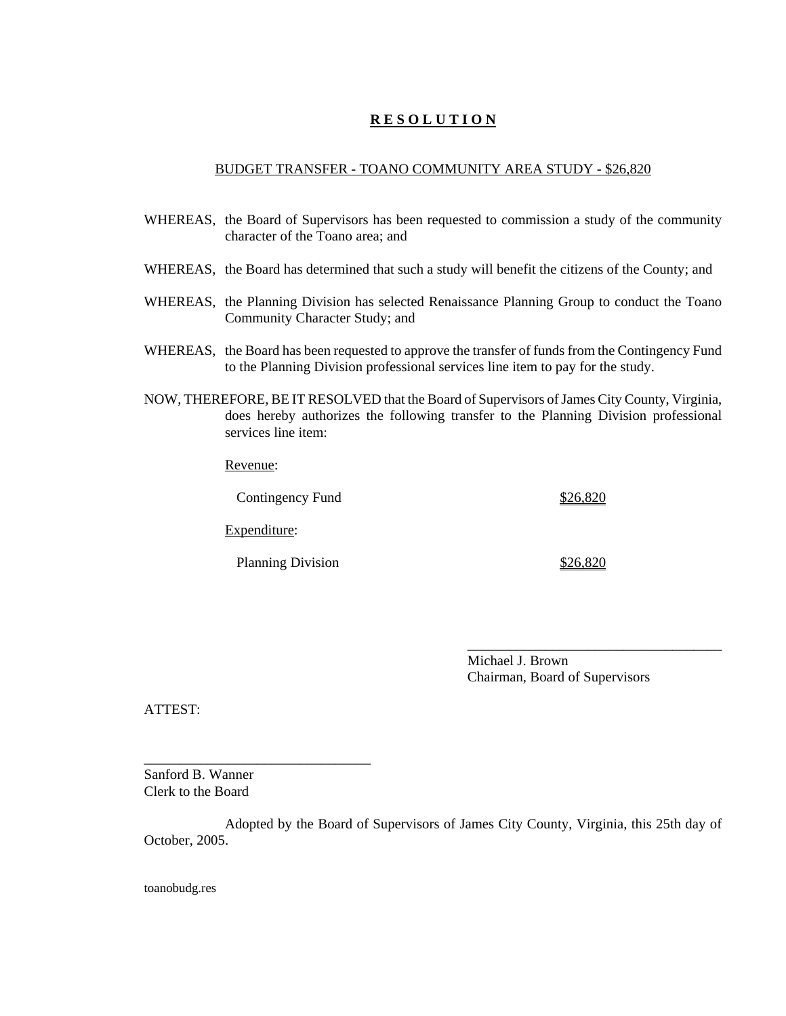### BUDGET TRANSFER - TOANO COMMUNITY AREA STUDY - \$26,820

- WHEREAS, the Board of Supervisors has been requested to commission a study of the community character of the Toano area; and
- WHEREAS, the Board has determined that such a study will benefit the citizens of the County; and
- WHEREAS, the Planning Division has selected Renaissance Planning Group to conduct the Toano Community Character Study; and
- WHEREAS, the Board has been requested to approve the transfer of funds from the Contingency Fund to the Planning Division professional services line item to pay for the study.
- NOW, THEREFORE, BE IT RESOLVED that the Board of Supervisors of James City County, Virginia, does hereby authorizes the following transfer to the Planning Division professional services line item:

Revenue:

Contingency Fund \$26,820 Expenditure: Planning Division \$26,820

> Michael J. Brown Chairman, Board of Supervisors

\_\_\_\_\_\_\_\_\_\_\_\_\_\_\_\_\_\_\_\_\_\_\_\_\_\_\_\_\_\_\_\_\_\_\_\_

ATTEST:

Sanford B. Wanner Clerk to the Board

\_\_\_\_\_\_\_\_\_\_\_\_\_\_\_\_\_\_\_\_\_\_\_\_\_\_\_\_\_\_\_\_

Adopted by the Board of Supervisors of James City County, Virginia, this 25th day of October, 2005.

toanobudg.res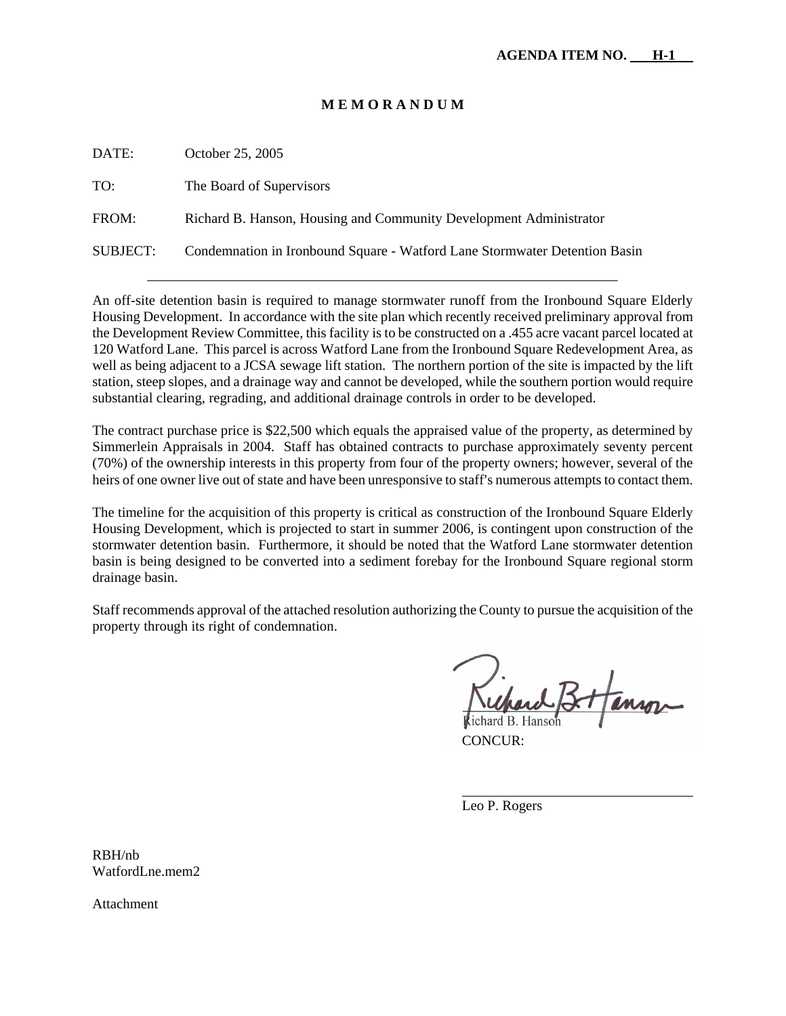| DATE:    | October 25, 2005                                                           |
|----------|----------------------------------------------------------------------------|
| TO:      | The Board of Supervisors                                                   |
| FROM:    | Richard B. Hanson, Housing and Community Development Administrator         |
| SUBJECT: | Condemnation in Ironbound Square - Watford Lane Stormwater Detention Basin |

An off-site detention basin is required to manage stormwater runoff from the Ironbound Square Elderly Housing Development. In accordance with the site plan which recently received preliminary approval from the Development Review Committee, this facility is to be constructed on a .455 acre vacant parcel located at 120 Watford Lane. This parcel is across Watford Lane from the Ironbound Square Redevelopment Area, as well as being adjacent to a JCSA sewage lift station. The northern portion of the site is impacted by the lift station, steep slopes, and a drainage way and cannot be developed, while the southern portion would require substantial clearing, regrading, and additional drainage controls in order to be developed.

The contract purchase price is \$22,500 which equals the appraised value of the property, as determined by Simmerlein Appraisals in 2004. Staff has obtained contracts to purchase approximately seventy percent (70%) of the ownership interests in this property from four of the property owners; however, several of the heirs of one owner live out of state and have been unresponsive to staff's numerous attempts to contact them.

The timeline for the acquisition of this property is critical as construction of the Ironbound Square Elderly Housing Development, which is projected to start in summer 2006, is contingent upon construction of the stormwater detention basin. Furthermore, it should be noted that the Watford Lane stormwater detention basin is being designed to be converted into a sediment forebay for the Ironbound Square regional storm drainage basin.

Staff recommends approval of the attached resolution authorizing the County to pursue the acquisition of the property through its right of condemnation.

CONCUR:

Leo P. Rogers

 $\overline{a}$ 

RBH/nb WatfordLne.mem2.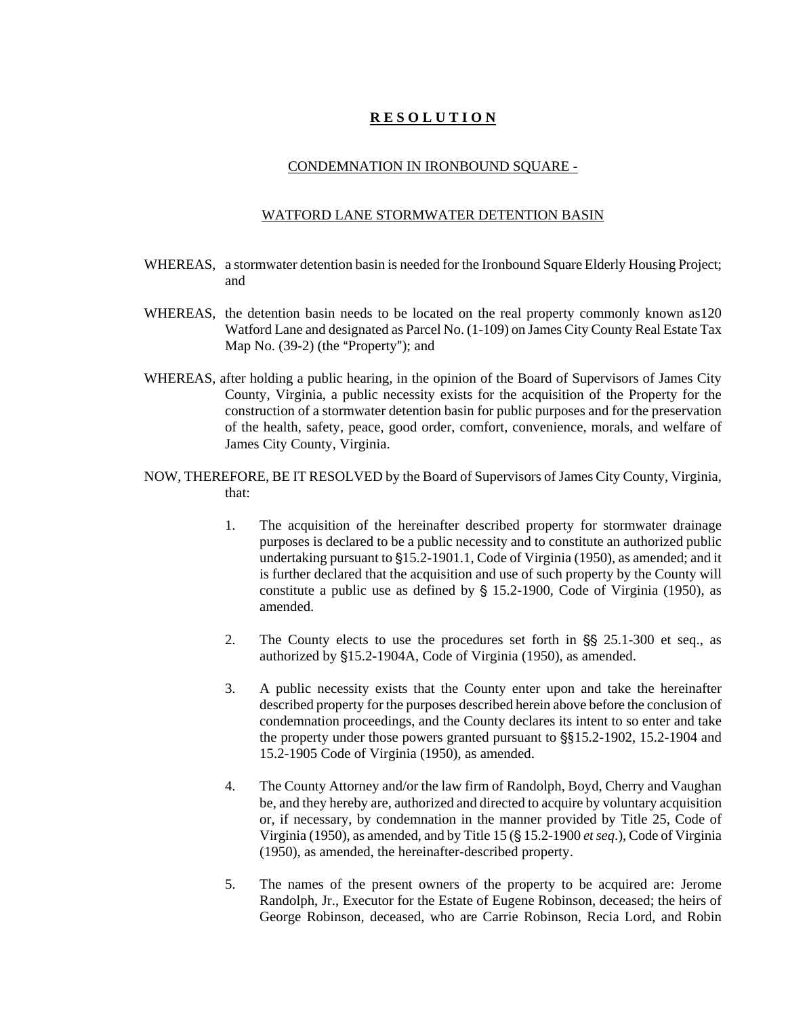#### CONDEMNATION IN IRONBOUND SQUARE -

#### WATFORD LANE STORMWATER DETENTION BASIN

- WHEREAS, a stormwater detention basin is needed for the Ironbound Square Elderly Housing Project; and
- WHEREAS, the detention basin needs to be located on the real property commonly known as120 Watford Lane and designated as Parcel No. (1-109) on James City County Real Estate Tax Map No.  $(39-2)$  (the "Property"); and
- WHEREAS, after holding a public hearing, in the opinion of the Board of Supervisors of James City County, Virginia, a public necessity exists for the acquisition of the Property for the construction of a stormwater detention basin for public purposes and for the preservation of the health, safety, peace, good order, comfort, convenience, morals, and welfare of James City County, Virginia.
- NOW, THEREFORE, BE IT RESOLVED by the Board of Supervisors of James City County, Virginia, that:
	- 1. The acquisition of the hereinafter described property for stormwater drainage purposes is declared to be a public necessity and to constitute an authorized public undertaking pursuant to  $$15.2-1901.1$ , Code of Virginia (1950), as amended; and it is further declared that the acquisition and use of such property by the County will constitute a public use as defined by  $\S$  15.2-1900, Code of Virginia (1950), as amended.
	- 2. The County elects to use the procedures set forth in  $\S$ § 25.1-300 et seq., as authorized by §15.2-1904A, Code of Virginia (1950), as amended.
	- 3. A public necessity exists that the County enter upon and take the hereinafter described property for the purposes described herein above before the conclusion of condemnation proceedings, and the County declares its intent to so enter and take the property under those powers granted pursuant to  $\S$ §15.2-1902, 15.2-1904 and 15.2-1905 Code of Virginia (1950), as amended.
	- 4. The County Attorney and/or the law firm of Randolph, Boyd, Cherry and Vaughan be, and they hereby are, authorized and directed to acquire by voluntary acquisition or, if necessary, by condemnation in the manner provided by Title 25, Code of Virginia (1950), as amended, and by Title 15 (§ 15.2-1900 *et seq.*), Code of Virginia (1950), as amended, the hereinafter-described property.
	- 5. The names of the present owners of the property to be acquired are: Jerome Randolph, Jr., Executor for the Estate of Eugene Robinson, deceased; the heirs of George Robinson, deceased, who are Carrie Robinson, Recia Lord, and Robin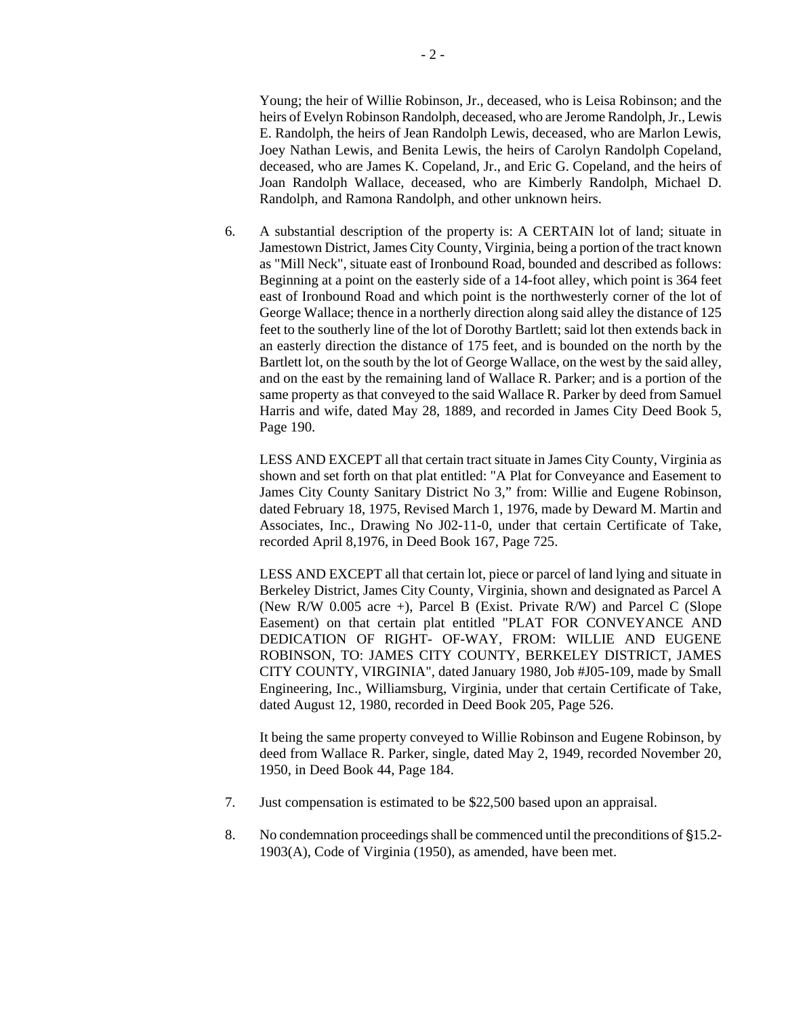Young; the heir of Willie Robinson, Jr., deceased, who is Leisa Robinson; and the heirs of Evelyn Robinson Randolph, deceased, who are Jerome Randolph, Jr., Lewis E. Randolph, the heirs of Jean Randolph Lewis, deceased, who are Marlon Lewis, Joey Nathan Lewis, and Benita Lewis, the heirs of Carolyn Randolph Copeland, deceased, who are James K. Copeland, Jr., and Eric G. Copeland, and the heirs of Joan Randolph Wallace, deceased, who are Kimberly Randolph, Michael D. Randolph, and Ramona Randolph, and other unknown heirs.

 6. A substantial description of the property is: A CERTAIN lot of land; situate in Jamestown District, James City County, Virginia, being a portion of the tract known as "Mill Neck", situate east of Ironbound Road, bounded and described as follows: Beginning at a point on the easterly side of a 14-foot alley, which point is 364 feet east of Ironbound Road and which point is the northwesterly corner of the lot of George Wallace; thence in a northerly direction along said alley the distance of 125 feet to the southerly line of the lot of Dorothy Bartlett; said lot then extends back in an easterly direction the distance of 175 feet, and is bounded on the north by the Bartlett lot, on the south by the lot of George Wallace, on the west by the said alley, and on the east by the remaining land of Wallace R. Parker; and is a portion of the same property as that conveyed to the said Wallace R. Parker by deed from Samuel Harris and wife, dated May 28, 1889, and recorded in James City Deed Book 5, Page 190.

 LESS AND EXCEPT all that certain tract situate in James City County, Virginia as shown and set forth on that plat entitled: "A Plat for Conveyance and Easement to James City County Sanitary District No 3," from: Willie and Eugene Robinson, dated February 18, 1975, Revised March 1, 1976, made by Deward M. Martin and Associates, Inc., Drawing No J02-11-0, under that certain Certificate of Take, recorded April 8,1976, in Deed Book 167, Page 725.

 LESS AND EXCEPT all that certain lot, piece or parcel of land lying and situate in Berkeley District, James City County, Virginia, shown and designated as Parcel A (New R/W 0.005 acre +), Parcel B (Exist. Private R/W) and Parcel C (Slope Easement) on that certain plat entitled "PLAT FOR CONVEYANCE AND DEDICATION OF RIGHT- OF-WAY, FROM: WILLIE AND EUGENE ROBINSON, TO: JAMES CITY COUNTY, BERKELEY DISTRICT, JAMES CITY COUNTY, VIRGINIA", dated January 1980, Job #J05-109, made by Small Engineering, Inc., Williamsburg, Virginia, under that certain Certificate of Take, dated August 12, 1980, recorded in Deed Book 205, Page 526.

 It being the same property conveyed to Willie Robinson and Eugene Robinson, by deed from Wallace R. Parker, single, dated May 2, 1949, recorded November 20, 1950, in Deed Book 44, Page 184.

- 7. Just compensation is estimated to be \$22,500 based upon an appraisal.
- 8. No condemnation proceedings shall be commenced until the preconditions of \$15.2-1903(A), Code of Virginia (1950), as amended, have been met.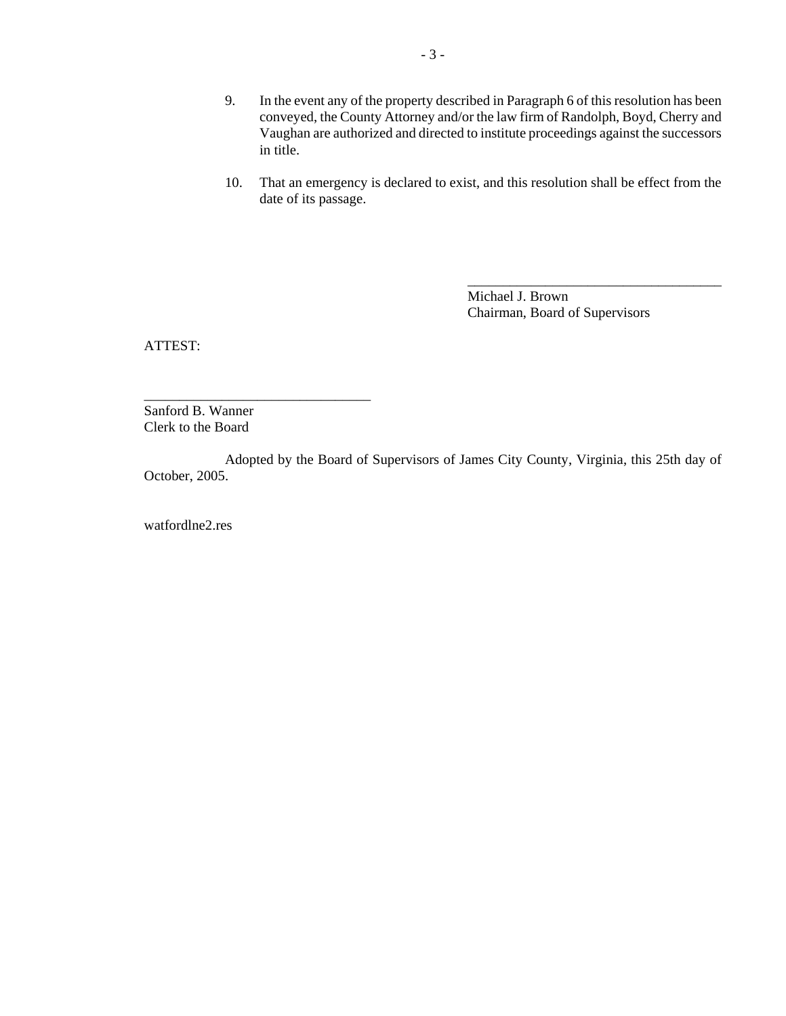- 9. In the event any of the property described in Paragraph 6 of this resolution has been conveyed, the County Attorney and/or the law firm of Randolph, Boyd, Cherry and Vaughan are authorized and directed to institute proceedings against the successors in title.
- 10. That an emergency is declared to exist, and this resolution shall be effect from the date of its passage.

Michael J. Brown Chairman, Board of Supervisors

\_\_\_\_\_\_\_\_\_\_\_\_\_\_\_\_\_\_\_\_\_\_\_\_\_\_\_\_\_\_\_\_\_\_\_\_

ATTEST:

Sanford B. Wanner Clerk to the Board

\_\_\_\_\_\_\_\_\_\_\_\_\_\_\_\_\_\_\_\_\_\_\_\_\_\_\_\_\_\_\_\_

Adopted by the Board of Supervisors of James City County, Virginia, this 25th day of October, 2005.

watfordlne2.res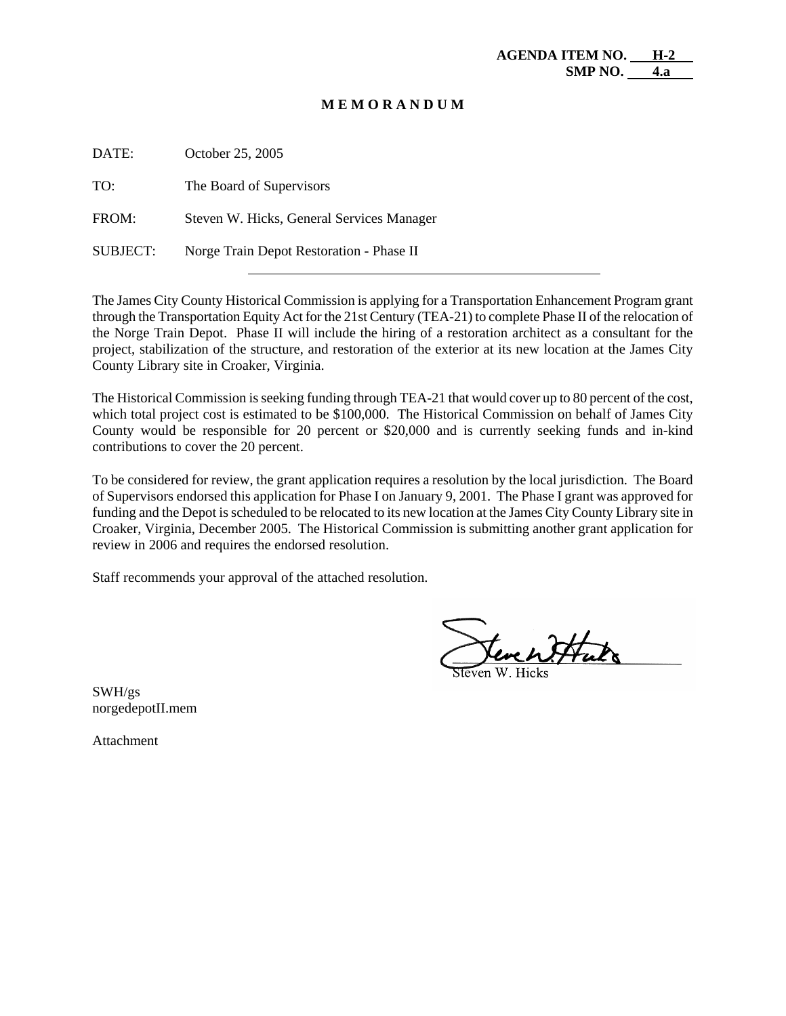| DATE:           | October 25, 2005                          |
|-----------------|-------------------------------------------|
| TO:             | The Board of Supervisors                  |
| FROM:           | Steven W. Hicks, General Services Manager |
| <b>SUBJECT:</b> | Norge Train Depot Restoration - Phase II  |

The James City County Historical Commission is applying for a Transportation Enhancement Program grant through the Transportation Equity Act for the 21st Century (TEA-21) to complete Phase II of the relocation of the Norge Train Depot. Phase II will include the hiring of a restoration architect as a consultant for the project, stabilization of the structure, and restoration of the exterior at its new location at the James City County Library site in Croaker, Virginia.

The Historical Commission is seeking funding through TEA-21 that would cover up to 80 percent of the cost, which total project cost is estimated to be \$100,000. The Historical Commission on behalf of James City County would be responsible for 20 percent or \$20,000 and is currently seeking funds and in-kind contributions to cover the 20 percent.

To be considered for review, the grant application requires a resolution by the local jurisdiction. The Board of Supervisors endorsed this application for Phase I on January 9, 2001. The Phase I grant was approved for funding and the Depot is scheduled to be relocated to its new location at the James City County Library site in Croaker, Virginia, December 2005. The Historical Commission is submitting another grant application for review in 2006 and requires the endorsed resolution.

Staff recommends your approval of the attached resolution.

terent tuto

SWH/gs norgedepotII.mem